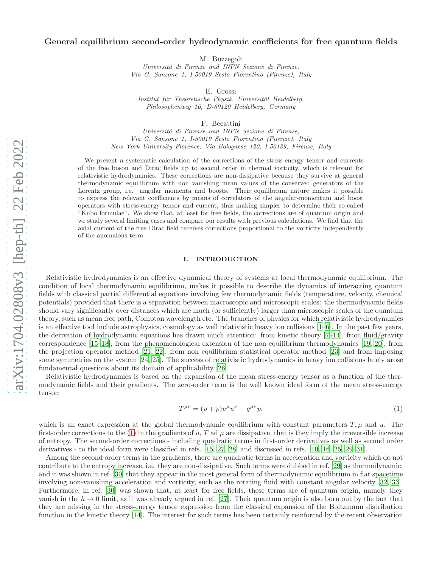# General equilibrium second-order hydrodynamic coefficients for free quantum fields

M. Buzzegoli

Universitá di Firenze and INFN Sezione di Firenze, Via G. Sansone 1, I-50019 Sesto Fiorentino (Firenze), Italy

E. Grossi

Institut für Theoretische Physik, Universität Heidelberg, Philosophenweg 16, D-69120 Heidelberg, Germany

F. Becattini

Universitá di Firenze and INFN Sezione di Firenze, Via G. Sansone 1, I-50019 Sesto Fiorentino (Firenze), Italy New York University Florence, Via Bolognese 120, I-50139, Firenze, Italy

We present a systematic calculation of the corrections of the stress-energy tensor and currents of the free boson and Dirac fields up to second order in thermal vorticity, which is relevant for relativistic hydrodynamics. These corrections are non-dissipative because they survive at general thermodynamic equilibrium with non vanishing mean values of the conserved generators of the Lorentz group, i.e. angular momenta and boosts. Their equilibrium nature makes it possible to express the relevant coefficients by means of correlators of the angular-momentum and boost operators with stress-energy tensor and current, thus making simpler to determine their so-called "Kubo formulae". We show that, at least for free fields, the corrections are of quantum origin and we study several limiting cases and compare our results with previous calculations. We find that the axial current of the free Dirac field receives corrections proportional to the vorticity independently of the anomalous term.

# I. INTRODUCTION

Relativistic hydrodynamics is an effective dynamical theory of systems at local thermodynamic equilibrium. The condition of local thermodynamic equilibrium, makes it possible to describe the dynamics of interacting quantum fields with classical partial differential equations involving few thermodynamic fields (temperature, velocity, chemical potentials) provided that there is a separation between macroscopic and microscopic scales: the thermodynamic fields should vary significantly over distances which are much (or sufficiently) larger than microscopic scales of the quantum theory, such as mean free path, Compton wavelength etc. The branches of physics for which relativistic hydrodynamics is an effective tool include astrophysics, cosmology as well relativistic heavy ion collisions [\[1](#page-31-0)[–6\]](#page-31-1). In the past few years, the derivation of hydrodynamic equations has drawn much attention: from kinetic theory [\[7](#page-31-2)[–14](#page-31-3)], from fluid/gravity correspondence [\[15](#page-31-4)[–18\]](#page-31-5), from the phenomenological extension of the non equilibrium thermodynamics [\[19,](#page-31-6) [20\]](#page-31-7), from the projection operator method [\[21,](#page-31-8) [22](#page-31-9)], from non equilibrium statistical operator method [\[23\]](#page-31-10) and from imposing some symmetries on the system [\[24,](#page-31-11) [25\]](#page-31-12). The success of relativistic hydrodynamics in heavy ion collisions lately arose fundamental questions about its domain of applicability [\[26](#page-31-13)].

<span id="page-0-0"></span>Relativistic hydrodynamics is based on the expansion of the mean stress-energy tensor as a function of the thermodynamic fields and their gradients. The zero-order term is the well known ideal form of the mean stress-energy tensor:

$$
T^{\mu\nu} = (\rho + p)u^{\mu}u^{\nu} - g^{\mu\nu}p,
$$
\n(1)

which is an exact expression at the global thermodynamic equilibrium with constant parameters  $T, \mu$  and u. The first-order corrections to the [\(1\)](#page-0-0) in the gradients of u, T ad  $\mu$  are dissipative, that is they imply the irreversible increase of entropy. The second-order corrections - including quadratic terms in first-order derivatives as well as second order derivatives - to the ideal form were classified in refs. [\[15](#page-31-4), [27](#page-31-14), [28\]](#page-31-15) and discussed in refs. [\[10,](#page-31-16) [16,](#page-31-17) [25](#page-31-12), [29](#page-31-18)[–31\]](#page-31-19).

Among the second order terms in the gradients, there are quadratic terms in acceleration and vorticity which do not contribute to the entropy increase, i.e. they are non-dissipative. Such terms were dubbed in ref. [\[29\]](#page-31-18) as thermodynamic, and it was shown in ref. [\[30](#page-31-20)] that they appear in the most general form of thermodynamic equilibrium in flat spacetime involving non-vanishing acceleration and vorticity, such as the rotating fluid with constant angular velocity [\[32](#page-31-21), [33\]](#page-31-22). Furthermore, in ref. [\[30\]](#page-31-20) was shown that, at least for free fields, these terms are of quantum origin, namely they vanish in the  $\hbar \to 0$  limit, as it was already argued in ref. [\[27](#page-31-14)]. Their quantum origin is also born out by the fact that they are missing in the stress-energy tensor expression from the classical expansion of the Boltzmann distribution function in the kinetic theory [\[14](#page-31-3)]. The interest for such terms has been certainly reinforced by the recent observation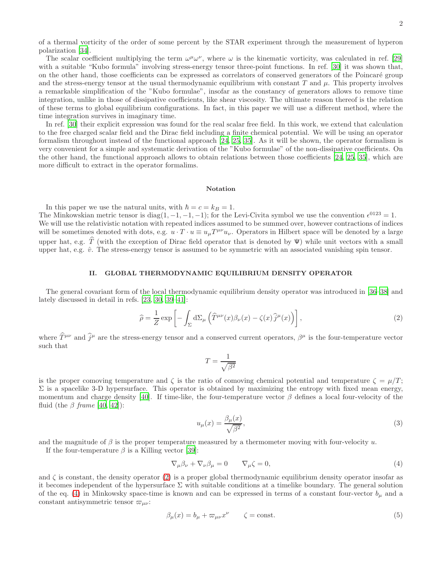of a thermal vorticity of the order of some percent by the STAR experiment through the measurement of hyperon polarization [\[34\]](#page-31-23).

The scalar coefficient multiplying the term  $\omega^{\mu}\omega^{\nu}$ , where  $\omega$  is the kinematic vorticity, was calculated in ref. [\[29](#page-31-18)] with a suitable "Kubo formula" involving stress-energy tensor three-point functions. In ref. [\[30](#page-31-20)] it was shown that, on the other hand, those coefficients can be expressed as correlators of conserved generators of the Poincar´e group and the stress-energy tensor at the usual thermodynamic equilibrium with constant  $T$  and  $\mu$ . This property involves a remarkable simplification of the "Kubo formulae", insofar as the constancy of generators allows to remove time integration, unlike in those of dissipative coefficients, like shear viscosity. The ultimate reason thereof is the relation of these terms to global equilibrium configurations. In fact, in this paper we will use a different method, where the time integration survives in imaginary time.

In ref. [\[30](#page-31-20)] their explicit expression was found for the real scalar free field. In this work, we extend that calculation to the free charged scalar field and the Dirac field including a finite chemical potential. We will be using an operator formalism throughout instead of the functional approach [\[24](#page-31-11), [25,](#page-31-12) [35\]](#page-31-24). As it will be shown, the operator formalism is very convenient for a simple and systematic derivation of the "Kubo formulae" of the non-dissipative coefficients. On the other hand, the functional approach allows to obtain relations between those coefficients [\[24,](#page-31-11) [25](#page-31-12), [35\]](#page-31-24), which are more difficult to extract in the operator formalims.

#### Notation

In this paper we use the natural units, with  $\hbar = c = k_B = 1$ . The Minkowskian metric tensor is diag(1, -1, -1, -1); for the Levi-Civita symbol we use the convention  $\epsilon^{0123} = 1$ . We will use the relativistic notation with repeated indices assumed to be summed over, however contractions of indices will be sometimes denoted with dots, e.g.  $u \cdot T \cdot u \equiv u_{\mu} T^{\mu \nu} u_{\nu}$ . Operators in Hilbert space will be denoted by a large upper hat, e.g.  $\hat{T}$  (with the exception of Dirac field operator that is denoted by  $\Psi$ ) while unit vectors with a small upper hat, e.g.  $\hat{v}$ . The stress-energy tensor is assumed to be symmetric with an associated vanishing spin tensor.

### II. GLOBAL THERMODYNAMIC EQUILIBRIUM DENSITY OPERATOR

The general covariant form of the local thermodynamic equilibrium density operator was introduced in [\[36](#page-31-25)[–38](#page-31-26)] and lately discussed in detail in refs. [\[23,](#page-31-10) [30,](#page-31-20) [39](#page-31-27)[–41\]](#page-31-28):

<span id="page-1-0"></span>
$$
\widehat{\rho} = \frac{1}{Z} \exp\left[ -\int_{\Sigma} d\Sigma_{\mu} \left( \widehat{T}^{\mu\nu}(x) \beta_{\nu}(x) - \zeta(x) \widehat{j}^{\mu}(x) \right) \right], \tag{2}
$$

where  $\hat{T}^{\mu\nu}$  and  $\hat{j}^{\mu}$  are the stress-energy tensor and a conserved current operators,  $\beta^{\mu}$  is the four-temperature vector such that

$$
T = \frac{1}{\sqrt{\beta^2}}
$$

is the proper comoving temperature and  $\zeta$  is the ratio of comoving chemical potential and temperature  $\zeta = \mu/T$ ;  $\Sigma$  is a spacelike 3-D hypersurface. This operator is obtained by maximizing the entropy with fixed mean energy, momentum and charge density [\[40\]](#page-31-29). If time-like, the four-temperature vector  $\beta$  defines a local four-velocity of the fluid (the  $\beta$  frame [\[40](#page-31-29), [42](#page-31-30)]):

<span id="page-1-3"></span><span id="page-1-1"></span>
$$
u_{\mu}(x) = \frac{\beta_{\mu}(x)}{\sqrt{\beta^2}},\tag{3}
$$

and the magnitude of  $\beta$  is the proper temperature measured by a thermometer moving with four-velocity u.

If the four-temperature  $\beta$  is a Killing vector [\[39\]](#page-31-27):

$$
\nabla_{\mu}\beta_{\nu} + \nabla_{\nu}\beta_{\mu} = 0 \qquad \nabla_{\mu}\zeta = 0, \tag{4}
$$

and  $\zeta$  is constant, the density operator [\(2\)](#page-1-0) is a proper global thermodynamic equilibrium density operator insofar as it becomes independent of the hypersurface  $\Sigma$  with suitable conditions at a timelike boundary. The general solution of the eq. [\(4\)](#page-1-1) in Minkowsky space-time is known and can be expressed in terms of a constant four-vector  $b_{\mu}$  and a constant antisymmetric tensor  $\varpi_{\mu\nu}$ :

<span id="page-1-2"></span>
$$
\beta_{\mu}(x) = b_{\mu} + \varpi_{\mu\nu} x^{\nu} \qquad \zeta = \text{const.} \tag{5}
$$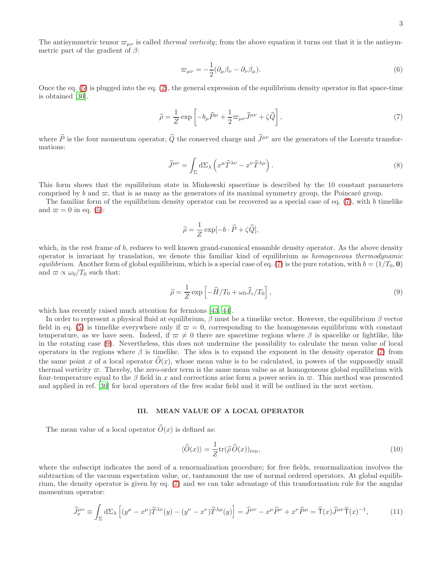The antisymmetric tensor  $\varpi_{\mu\nu}$  is called *thermal vorticity*; from the above equation it turns out that it is the antisymmetric part of the gradient of  $\beta$ :

<span id="page-2-4"></span>
$$
\varpi_{\mu\nu} = -\frac{1}{2} (\partial_{\mu}\beta_{\nu} - \partial_{\nu}\beta_{\mu}).
$$
\n(6)

<span id="page-2-0"></span>Once the eq.  $(5)$  is plugged into the eq.  $(2)$ , the general expression of the equilibrium density operator in flat space-time is obtained [\[30\]](#page-31-20).

$$
\widehat{\rho} = \frac{1}{Z} \exp\left[ -b_{\mu} \widehat{P}^{\mu} + \frac{1}{2} \varpi_{\mu\nu} \widehat{J}^{\mu\nu} + \zeta \widehat{Q} \right],\tag{7}
$$

where  $\hat{P}$  is the four momentum operator,  $\hat{Q}$  the conserved charge and  $\hat{J}^{\mu\nu}$  are the generators of the Lorentz transformations:

$$
\widehat{J}^{\mu\nu} = \int_{\Sigma} d\Sigma_{\lambda} \left( x^{\mu} \widehat{T}^{\lambda\nu} - x^{\nu} \widehat{T}^{\lambda\mu} \right). \tag{8}
$$

This form shows that the equilibrium state in Minkowski spacetime is described by the 10 constant parameters comprised by b and  $\varpi$ , that is as many as the generators of its maximal symmetry group, the Poincaré group.

The familiar form of the equilibrium density operator can be recovered as a special case of eq.  $(7)$ , with b timelike and  $\varpi = 0$  in eq. [\(5\)](#page-1-2):

$$
\widehat{\rho} = \frac{1}{Z} \exp[-b \cdot \widehat{P} + \zeta \widehat{Q}],
$$

which, in the rest frame of b, reduces to well known grand-canonical ensamble density operator. As the above density operator is invariant by translation, we denote this familiar kind of equilibrium as homogeneous thermodynamic equilibrium. Another form of global equilibrium, which is a special case of eq. [\(7\)](#page-2-0) is the pure rotation, with  $b = (1/T_0, 0)$ and  $\varpi \propto \omega_0/T_0$  such that:

<span id="page-2-1"></span>
$$
\widehat{\rho} = \frac{1}{Z} \exp\left[-\widehat{H}/T_0 + \omega_0 \widehat{J}_z/T_0\right],\tag{9}
$$

which has recently raised much attention for fermions [\[43,](#page-31-31) [44\]](#page-31-32).

In order to represent a physical fluid at equilibrium,  $\beta$  must be a timelike vector. However, the equilibrium  $\beta$  vector field in eq. [\(5\)](#page-1-2) is timelike everywhere only if  $\varpi = 0$ , corresponding to the homogeneous equilibrium with constant temperature, as we have seen. Indeed, if  $\varpi \neq 0$  there are spacetime regions where  $\beta$  is spacelike or lightlike, like in the rotating case [\(9\)](#page-2-1). Nevertheless, this does not undermine the possibility to calculate the mean value of local operators in the regions where  $\beta$  is timelike. The idea is to expand the exponent in the density operator [\(7\)](#page-2-0) from the same point x of a local operator  $\hat{O}(x)$ , whose mean value is to be calculated, in powers of the supposedly small thermal vorticity  $\varpi$ . Thereby, the zero-order term is the same mean value as at homogeneous global equilibrium with four-temperature equal to the  $\beta$  field in x and corrections arise form a power series in  $\varpi$ . This method was presented and applied in ref. [\[30\]](#page-31-20) for local operators of the free scalar field and it will be outlined in the next section.

# III. MEAN VALUE OF A LOCAL OPERATOR

The mean value of a local operator  $\tilde{O}(x)$  is defined as:

<span id="page-2-2"></span>
$$
\langle \widehat{O}(x) \rangle = \frac{1}{Z} \text{tr}(\widehat{\rho} \widehat{O}(x))_{\text{ren}},\tag{10}
$$

where the subscript indicates the need of a renormalization procedure; for free fields, renormalization involves the subtraction of the vacuum expectation value, or, tantamount the use of normal ordered operators. At global equilibrium, the density operator is given by eq. [\(7\)](#page-2-0) and we can take advantage of this transformation rule for the angular momentum operator:

<span id="page-2-3"></span>
$$
\widehat{J}^{\mu\nu}_x \equiv \int_{\Sigma} d\Sigma_{\lambda} \left[ (y^{\mu} - x^{\mu}) \widehat{T}^{\lambda\nu}(y) - (y^{\nu} - x^{\nu}) \widehat{T}^{\lambda\mu}(y) \right] = \widehat{J}^{\mu\nu} - x^{\mu} \widehat{P}^{\nu} + x^{\nu} \widehat{P}^{\mu} = \widehat{T}(x) \widehat{J}^{\mu\nu} \widehat{T}(x)^{-1}, \tag{11}
$$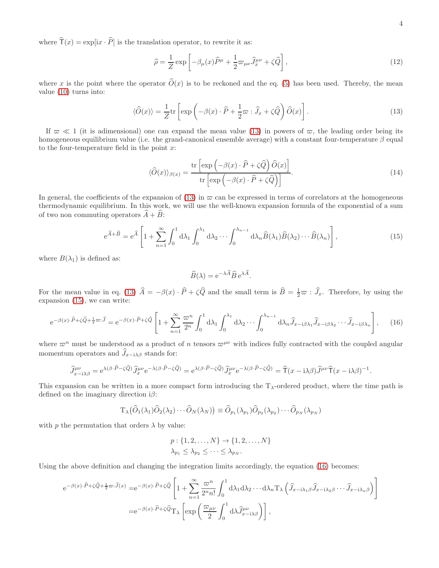where  $\hat{\mathsf{T}}(x) = \exp[\mathrm{i} x \cdot \hat{P}]$  is the translation operator, to rewrite it as:

<span id="page-3-4"></span>
$$
\widehat{\rho} = \frac{1}{Z} \exp\left[ -\beta_{\mu}(x)\widehat{P}^{\mu} + \frac{1}{2}\varpi_{\mu\nu}\widehat{J}_{x}^{\mu\nu} + \zeta\widehat{Q} \right],\tag{12}
$$

where x is the point where the operator  $\widehat{O}(x)$  is to be reckoned and the eq. [\(5\)](#page-1-2) has been used. Thereby, the mean value [\(10\)](#page-2-2) turns into:

<span id="page-3-0"></span>
$$
\langle \widehat{O}(x) \rangle = \frac{1}{Z} \text{tr} \left[ \exp \left( -\beta(x) \cdot \widehat{P} + \frac{1}{2} \varpi \cdot \widehat{J}_x + \zeta \widehat{Q} \right) \widehat{O}(x) \right]. \tag{13}
$$

If  $\pi \ll 1$  (it is adimensional) one can expand the mean value [\(13\)](#page-3-0) in powers of  $\pi$ , the leading order being its homogeneous equilibrium value (i.e. the grand-canonical ensemble average) with a constant four-temperature  $\beta$  equal to the four-temperature field in the point  $x$ :

<span id="page-3-3"></span><span id="page-3-1"></span>
$$
\langle \widehat{O}(x) \rangle_{\beta(x)} = \frac{\text{tr}\left[\exp\left(-\beta(x) \cdot \widehat{P} + \zeta \widehat{Q}\right) \widehat{O}(x)\right]}{\text{tr}\left[\exp\left(-\beta(x) \cdot \widehat{P} + \zeta \widehat{Q}\right)\right]}.
$$
\n(14)

In general, the coefficients of the expansion of [\(13\)](#page-3-0) in  $\varpi$  can be expressed in terms of correlators at the homogeneous thermodynamic equilibrium. In this work, we will use the well-known expansion formula of the exponential of a sum of two non commuting operators  $\widehat{A} + \widehat{B}$ :

$$
e^{\widehat{A}+\widehat{B}} = e^{\widehat{A}} \left[ 1 + \sum_{n=1}^{\infty} \int_0^1 d\lambda_1 \int_0^{\lambda_1} d\lambda_2 \cdots \int_0^{\lambda_{n-1}} d\lambda_n \widehat{B}(\lambda_1) \widehat{B}(\lambda_2) \cdots \widehat{B}(\lambda_n) \right],
$$
\n(15)

.

where  $B(\lambda_1)$  is defined as:

<span id="page-3-2"></span>
$$
\widehat{B}(\lambda) = e^{-\lambda \widehat{A}} \widehat{B} e^{\lambda \widehat{A}}
$$

For the mean value in eq. [\(13\)](#page-3-0)  $\hat{A} = -\beta(x) \cdot \hat{P} + \zeta \hat{Q}$  and the small term is  $\hat{B} = \frac{1}{2}\pi \hat{J}_x$ . Therefore, by using the expansion [\(15\)](#page-3-1), we can write:

$$
e^{-\beta(x)\cdot\widehat{P}+\zeta\widehat{Q}+\frac{1}{2}\varpi\cdot\widehat{J}}=e^{-\beta(x)\cdot\widehat{P}+\zeta\widehat{Q}}\left[1+\sum_{n=1}^{\infty}\frac{\varpi^{n}}{2^{n}}\int_{0}^{1}d\lambda_{1}\int_{0}^{\lambda_{1}}d\lambda_{2}\cdots\int_{0}^{\lambda_{n-1}}d\lambda_{n}\widehat{J}_{x-i\beta\lambda_{1}}\widehat{J}_{x-i\beta\lambda_{2}}\cdots\widehat{J}_{x-i\beta\lambda_{n}}\right],
$$
 (16)

where  $\varpi^n$  must be understood as a product of n tensors  $\varpi^{\mu\nu}$  with indices fully contracted with the coupled angular momentum operators and  $\widehat{J}_{x-i\lambda\beta}$  stands for:

$$
\widehat{J}^{\mu\nu}_{x-i\lambda\beta} = e^{\lambda(\beta \cdot \widehat{P} - \zeta \widehat{Q})} \widehat{J}^{\mu\nu}_{x} e^{-\lambda(\beta \cdot \widehat{P} - \zeta \widehat{Q})} = e^{\lambda(\beta \cdot \widehat{P} - \zeta \widehat{Q})} \widehat{J}^{\mu\nu}_{x} e^{-\lambda(\beta \cdot \widehat{P} - \zeta \widehat{Q})} = \widehat{T}(x - i\lambda\beta) \widehat{J}^{\mu\nu} \widehat{T}(x - i\lambda\beta)^{-1}.
$$

This expansion can be written in a more compact form introducing the  $T_{\lambda}$ -ordered product, where the time path is defined on the imaginary direction  $i\beta$ :

$$
\mathrm{T}_{\lambda}(\widehat{O}_{1}(\lambda_{1})\widehat{O}_{2}(\lambda_{2})\cdots\widehat{O}_{N}(\lambda_{N}))\equiv\widehat{O}_{p_{1}}(\lambda_{p_{1}})\widehat{O}_{p_{2}}(\lambda_{p_{2}})\cdots\widehat{O}_{p_{N}}(\lambda_{p_{N}})
$$

with  $p$  the permutation that orders  $\lambda$  by value:

$$
p: \{1, 2, \dots, N\} \to \{1, 2, \dots, N\}
$$

$$
\lambda_{p_1} \leq \lambda_{p_2} \leq \dots \leq \lambda_{p_N}.
$$

Using the above definition and changing the integration limits accordingly, the equation [\(16\)](#page-3-2) becomes:

$$
e^{-\beta(x)\cdot\widehat{P}+\zeta\widehat{Q}+\frac{1}{2}\varpi:\widehat{J}(x)} = e^{-\beta(x)\cdot\widehat{P}+\zeta\widehat{Q}} \left[1+\sum_{n=1}^{\infty} \frac{\varpi^n}{2^n n!} \int_0^1 d\lambda_1 d\lambda_2 \cdots d\lambda_n T_{\lambda} \left(\widehat{J}_{x-i\lambda_1\beta}\widehat{J}_{x-i\lambda_2\beta}\cdots\widehat{J}_{x-i\lambda_n\beta}\right)\right]
$$
  

$$
= e^{-\beta(x)\cdot\widehat{P}+\zeta\widehat{Q}} T_{\lambda} \left[\exp\left(\frac{\varpi_{\mu\nu}}{2} \int_0^1 d\lambda \widehat{J}_{x-i\lambda\beta}^{\mu\nu}\right)\right],
$$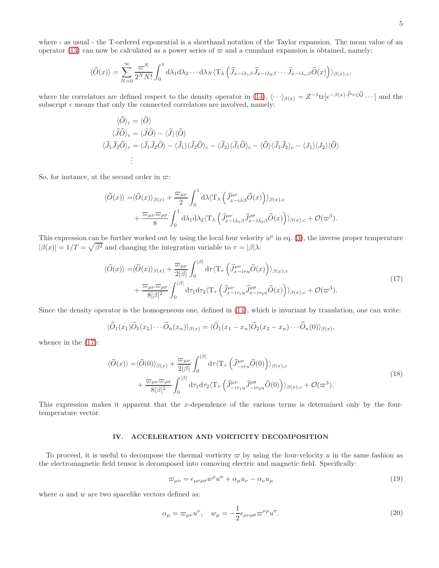where - as usual - the T-ordered exponential is a shorthand notation of the Taylor expansion. The mean value of an operator [\(13\)](#page-3-0) can now be calculated as a power series of  $\varpi$  and a cumulant expansion is obtained, namely:

$$
\langle \widehat{O}(x) \rangle = \sum_{N=0}^{\infty} \frac{\varpi^N}{2^N N!} \int_0^1 d\lambda_1 d\lambda_2 \cdots d\lambda_N \langle \mathcal{T}_{\lambda} \left( \widehat{J}_{x-i\lambda_1 \beta} \widehat{J}_{x-i\lambda_2 \beta} \cdots \widehat{J}_{x-i\lambda_n \beta} \widehat{O}(x) \right) \rangle_{\beta(x),c},
$$

where the correlators are defined respect to the density operator in  $(14)$ ,  $\langle \cdots \rangle_{\beta(x)} = Z^{-1} \text{tr}[e^{-\beta(x) \cdot \widehat{P} + \zeta \widehat{Q}} \cdots]$  and the subscript  $c$  means that only the connected correlators are involved, namely:

$$
\langle \hat{O} \rangle_c = \langle \hat{O} \rangle
$$
  
\n
$$
\langle \hat{J}\hat{O} \rangle_c = \langle \hat{J}\hat{O} \rangle - \langle \hat{J} \rangle \langle \hat{O} \rangle
$$
  
\n
$$
\langle \hat{J}_1 \hat{J}_2 \hat{O} \rangle_c = \langle \hat{J}_1 \hat{J}_2 \hat{O} \rangle - \langle \hat{J}_1 \rangle \langle \hat{J}_2 \hat{O} \rangle_c - \langle \hat{J}_2 \rangle \langle \hat{J}_1 \hat{O} \rangle_c - \langle \hat{O} \rangle \langle \hat{J}_1 \hat{J}_2 \rangle_c - \langle J_1 \rangle \langle J_2 \rangle \langle \hat{O} \rangle
$$
  
\n
$$
\vdots
$$

So, for instance, at the second order in  $\varpi$ :

$$
\langle \hat{O}(x) \rangle = \langle \hat{O}(x) \rangle_{\beta(x)} + \frac{\varpi_{\mu\nu}}{2} \int_0^1 d\lambda \langle \mathcal{T}_\lambda \left( \hat{J}^{\mu\nu}_{x-i\lambda\beta} \hat{O}(x) \right) \rangle_{\beta(x),c} + \frac{\varpi_{\mu\nu} \varpi_{\rho\sigma}}{8} \int_0^1 d\lambda_1 d\lambda_2 \langle \mathcal{T}_\lambda \left( \hat{J}^{\mu\nu}_{x-i\lambda_1\beta} \hat{J}^{\rho\sigma}_{x-i\lambda_2\beta} \hat{O}(x) \right) \rangle_{\beta(x),c} + \mathcal{O}(\varpi^3).
$$

This expression can be further worked out by using the local four velocity  $u^{\mu}$  in eq. [\(3\)](#page-1-3), the inverse proper temperature  $|\beta(x)| = 1/T = \sqrt{\beta^2}$  and changing the integration variable to  $\tau = |\beta|\lambda$ :

<span id="page-4-0"></span>
$$
\langle \hat{O}(x) \rangle = \langle \hat{O}(x) \rangle_{\beta(x)} + \frac{\varpi_{\mu\nu}}{2|\beta|} \int_0^{|\beta|} d\tau \langle \mathbf{T}_{\tau} \left( \hat{J}_{x-i\tau u}^{\mu\nu} \hat{O}(x) \right) \rangle_{\beta(x),c} + \frac{\varpi_{\mu\nu} \varpi_{\rho\sigma}}{8|\beta|^2} \int_0^{|\beta|} d\tau_1 d\tau_2 \langle \mathbf{T}_{\tau} \left( \hat{J}_{x-i\tau_1 u}^{\mu\nu} \hat{J}_{x-i\tau_2 u}^{\rho\sigma} \hat{O}(x) \right) \rangle_{\beta(x),c} + \mathcal{O}(\varpi^3).
$$
(17)

Since the density operator is the homogeneous one, defined in [\(14\)](#page-3-3), which is invariant by translation, one can write:

$$
\langle \widehat{O}_1(x_1)\widehat{O}_1(x_2)\cdots\widehat{O}_n(x_n)\rangle_{\beta(x)} = \langle \widehat{O}_1(x_1-x_n)\widehat{O}_2(x_2-x_n)\cdots\widehat{O}_n(0)\rangle_{\beta(x)},
$$

whence in the [\(17\)](#page-4-0):

<span id="page-4-2"></span>
$$
\langle \hat{O}(x) \rangle = \langle \hat{O}(0) \rangle_{\beta(x)} + \frac{\varpi_{\mu\nu}}{2|\beta|} \int_0^{|\beta|} d\tau \langle \mathbf{T}_{\tau} \left( \hat{J}^{\mu\nu}_{-i\tau u} \hat{O}(0) \right) \rangle_{\beta(x),c} + \frac{\varpi_{\mu\nu} \varpi_{\rho\sigma}}{8|\beta|^2} \int_0^{|\beta|} d\tau_1 d\tau_2 \langle \mathbf{T}_{\tau} \left( \hat{J}^{\mu\nu}_{-i\tau_1 u} \hat{J}^{\rho\sigma}_{-i\tau_2 u} \hat{O}(0) \right) \rangle_{\beta(x),c} + \mathcal{O}(\varpi^3).
$$
 (18)

This expression makes it apparent that the x-dependence of the various terms is determined only by the fourtemperature vector.

# <span id="page-4-4"></span>IV. ACCELERATION AND VORTICITY DECOMPOSITION

To proceed, it is useful to decompose the thermal vorticity  $\varpi$  by using the four-velocity u in the same fashion as the electromagnetic field tensor is decomposed into comoving electric and magnetic field. Specifically:

<span id="page-4-3"></span><span id="page-4-1"></span>
$$
\varpi_{\mu\nu} = \epsilon_{\mu\nu\rho\sigma} w^{\rho} u^{\sigma} + \alpha_{\mu} u_{\nu} - \alpha_{\nu} u_{\mu} \tag{19}
$$

where  $\alpha$  and  $w$  are two spacelike vectors defined as:

$$
\alpha_{\mu} = \varpi_{\mu\nu} u^{\nu}, \quad w_{\mu} = -\frac{1}{2} \epsilon_{\mu\nu\rho\sigma} \varpi^{\nu\rho} u^{\sigma}.
$$
\n(20)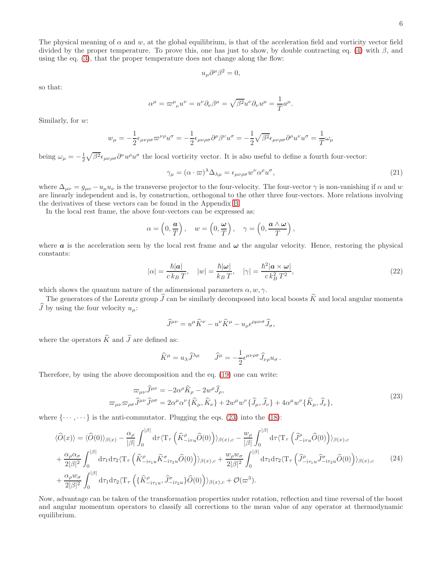The physical meaning of  $\alpha$  and w, at the global equilibrium, is that of the acceleration field and vorticity vector field divided by the proper temperature. To prove this, one has just to show, by double contracting eq. [\(4\)](#page-1-1) with  $\beta$ , and using the eq. [\(3\)](#page-1-3), that the proper temperature does not change along the flow:

$$
u_{\mu}\partial^{\mu}\beta^2=0,
$$

so that:

$$
\alpha^{\mu} = \varpi^{\mu}{}_{\nu} u^{\nu} = u^{\nu} \partial_{\nu} \beta^{\mu} = \sqrt{\beta^2} u^{\nu} \partial_{\nu} u^{\mu} = \frac{1}{T} a^{\mu}.
$$

Similarly, for w:

$$
w_{\mu} = -\frac{1}{2} \epsilon_{\mu\nu\rho\sigma} \varpi^{\nu\rho} u^{\sigma} = -\frac{1}{2} \epsilon_{\mu\nu\rho\sigma} \partial^{\rho} \beta^{\nu} u^{\sigma} = -\frac{1}{2} \sqrt{\beta^2} \epsilon_{\mu\nu\rho\sigma} \partial^{\rho} u^{\nu} u^{\sigma} = \frac{1}{T} \omega_{\mu}
$$

being  $\omega_{\mu} = -\frac{1}{2} \sqrt{\beta^2} \epsilon_{\mu\nu\rho\sigma} \partial^{\nu} u^{\rho} u^{\sigma}$  the local vorticity vector. It is also useful to define a fourth four-vector:

$$
\gamma_{\mu} = (\alpha \cdot \varpi)^{\lambda} \Delta_{\lambda \mu} = \epsilon_{\mu \nu \rho \sigma} w^{\nu} \alpha^{\rho} u^{\sigma}, \tag{21}
$$

<span id="page-5-2"></span>,

where  $\Delta_{\mu\nu} = g_{\mu\nu} - u_{\mu}u_{\nu}$  is the transverse projector to the four-velocity. The four-vector  $\gamma$  is non-vanishing if  $\alpha$  and w are linearly independent and is, by construction, orthogonal to the other three four-vectors. More relations involving the derivatives of these vectors can be found in the Appendix [B.](#page-27-0)

In the local rest frame, the above four-vectors can be expressed as:

$$
\alpha = \left(0, \frac{a}{T}\right), \quad w = \left(0, \frac{\omega}{T}\right), \quad \gamma = \left(0, \frac{a \wedge \omega}{T}\right)
$$

<span id="page-5-3"></span>where  $\alpha$  is the acceleration seen by the local rest frame and  $\omega$  the angular velocity. Hence, restoring the physical constants:

$$
|\alpha| = \frac{\hbar |\mathbf{a}|}{c k_B T}, \quad |w| = \frac{\hbar |\omega|}{k_B T}, \quad |\gamma| = \frac{\hbar^2 |\mathbf{a} \times \omega|}{c k_B^2 T^2},\tag{22}
$$

which shows the quantum nature of the adimensional parameters  $\alpha, w, \gamma$ .

The generators of the Lorentz group  $\hat{J}$  can be similarly decomposed into local boosts  $\hat{K}$  and local angular momenta  $\widehat{J}$  by using the four velocity  $u_{\mu}$ :

$$
\widehat{J}^{\mu\nu} = u^\mu \widehat{K}^\nu - u^\nu \widehat{K}^\mu - u_\rho \epsilon^{\rho\mu\nu\sigma} \widehat{J}_\sigma,
$$

where the operators  $\widehat{K}$  and  $\widehat{J}$  are defined as:

<span id="page-5-1"></span><span id="page-5-0"></span>
$$
\widehat{K}^{\mu} = u_{\lambda} \widehat{J}^{\lambda \mu} \qquad \widehat{J}^{\mu} = -\frac{1}{2} \epsilon^{\mu \nu \rho \sigma} \widehat{J}_{\nu \rho} u_{\sigma}.
$$

Therefore, by using the above decomposition and the eq. [\(19\)](#page-4-1) one can write:

$$
\varpi_{\mu\nu}\widehat{J}^{\mu\nu} = -2\alpha^{\rho}\widehat{K}_{\rho} - 2w^{\rho}\widehat{J}_{\rho},
$$
\n
$$
\varpi_{\mu\nu}\varpi_{\rho\sigma}\widehat{J}^{\mu\nu}\widehat{J}^{\rho\sigma} = 2\alpha^{\mu}\alpha^{\nu}\{\widehat{K}_{\mu},\widehat{K}_{\nu}\} + 2w^{\mu}w^{\nu}\{\widehat{J}_{\mu},\widehat{J}_{\nu}\} + 4\alpha^{\mu}w^{\nu}\{\widehat{K}_{\mu},\widehat{J}_{\nu}\},
$$
\n(23)

where  $\{\cdots,\cdots\}$  is the anti-commutator. Plugging the eqs. [\(23\)](#page-5-0) into the [\(18\)](#page-4-2):

$$
\langle \hat{O}(x) \rangle = \langle \hat{O}(0) \rangle_{\beta(x)} - \frac{\alpha_{\rho}}{|\beta|} \int_{0}^{|\beta|} d\tau \langle \mathbf{T}_{\tau} \left( \hat{K}_{-i\tau u}^{\rho} \hat{O}(0) \right) \rangle_{\beta(x),c} - \frac{w_{\rho}}{|\beta|} \int_{0}^{|\beta|} d\tau \langle \mathbf{T}_{\tau} \left( \hat{J}_{-i\tau u}^{\rho} \hat{O}(0) \right) \rangle_{\beta(x),c} + \frac{\alpha_{\rho} \alpha_{\sigma}}{2|\beta|^{2}} \int_{0}^{|\beta|} d\tau_{1} d\tau_{2} \langle \mathbf{T}_{\tau} \left( \hat{K}_{-i\tau u}^{\rho} \hat{K}_{-i\tau u}^{\sigma} \hat{O}(0) \right) \rangle_{\beta(x),c} + \frac{w_{\rho} w_{\sigma}}{2|\beta|^{2}} \int_{0}^{|\beta|} d\tau_{1} d\tau_{2} \langle \mathbf{T}_{\tau} \left( \hat{J}_{-i\tau u}^{\rho} \hat{J}_{-i\tau u}^{\sigma} \hat{O}(0) \right) \rangle_{\beta(x),c} + \frac{\alpha_{\rho} w_{\sigma}}{2|\beta|^{2}} \int_{0}^{|\beta|} d\tau_{1} d\tau_{2} \langle \mathbf{T}_{\tau} \left( \{\hat{K}_{-i\tau u}^{\rho}, \hat{J}_{-i\tau u}^{\sigma} \} \hat{O}(0) \right) \rangle_{\beta(x),c} + \mathcal{O}(\varpi^{3}).
$$
\n(24)

Now, advantage can be taken of the transformation properties under rotation, reflection and time reversal of the boost and angular momentum operators to classify all corrections to the mean value of any operator at thermodynamic equilibrium.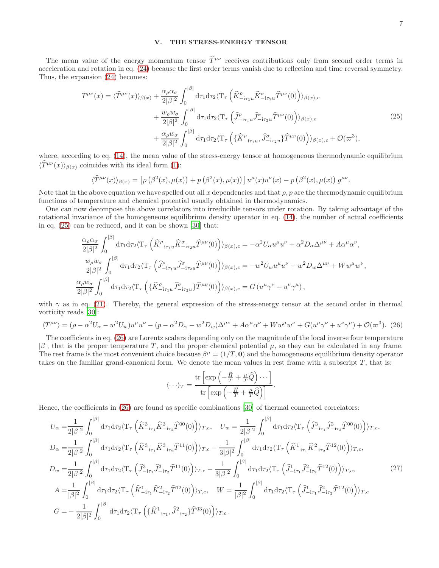### <span id="page-6-0"></span>V. THE STRESS-ENERGY TENSOR

The mean value of the energy momentum tensor  $\hat{T}^{\mu\nu}$  receives contributions only from second order terms in acceleration and rotation in eq. [\(24\)](#page-5-1) because the first order terms vanish due to reflection and time reversal symmetry. Thus, the expansion [\(24\)](#page-5-1) becomes:

$$
T^{\mu\nu}(x) = \langle \widehat{T}^{\mu\nu}(x) \rangle_{\beta(x)} + \frac{\alpha_{\rho}\alpha_{\sigma}}{2|\beta|^2} \int_0^{|\beta|} d\tau_1 d\tau_2 \langle \mathbf{T}_{\tau} \left( \widehat{K}^{\rho}_{-i\tau_1 u} \widehat{K}^{\sigma}_{-i\tau_2 u} \widehat{T}^{\mu\nu}(0) \right) \rangle_{\beta(x),c} + \frac{w_{\rho}w_{\sigma}}{2|\beta|^2} \int_0^{|\beta|} d\tau_1 d\tau_2 \langle \mathbf{T}_{\tau} \left( \widehat{J}^{\rho}_{-i\tau_1 u} \widehat{J}^{\sigma}_{-i\tau_2 u} \widehat{T}^{\mu\nu}(0) \right) \rangle_{\beta(x),c} + \frac{\alpha_{\rho}w_{\sigma}}{2|\beta|^2} \int_0^{|\beta|} d\tau_1 d\tau_2 \langle \mathbf{T}_{\tau} \left( \{\widehat{K}^{\rho}_{-i\tau_1 u}, \widehat{J}^{\sigma}_{-i\tau_2 u}\} \widehat{T}^{\mu\nu}(0) \right) \rangle_{\beta(x),c} + \mathcal{O}(\varpi^3),
$$
(25)

where, according to eq.  $(14)$ , the mean value of the stress-energy tensor at homogeneous thermodynamic equilibrium  $\langle \hat{T}^{\mu\nu}(x) \rangle_{\beta(x)}$  coincides with its ideal form [\(1\)](#page-0-0):

$$
\langle \widehat{T}^{\mu\nu}(x) \rangle_{\beta(x)} = \left[ \rho \left( \beta^2(x), \mu(x) \right) + p \left( \beta^2(x), \mu(x) \right) \right] u^{\mu}(x) u^{\nu}(x) - p \left( \beta^2(x), \mu(x) \right) g^{\mu\nu}.
$$

Note that in the above equation we have spelled out all x dependencies and that  $\rho$ , p are the thermodynamic equilibrium functions of temperature and chemical potential usually obtained in thermodynamics.

One can now decompose the above correlators into irreducible tensors under rotation. By taking advantage of the rotational invariance of the homogeneous equilibrium density operator in eq. [\(14\)](#page-3-3), the number of actual coefficients in eq. [\(25\)](#page-6-0) can be reduced, and it can be shown [\[30](#page-31-20)] that:

$$
\label{eq:2.1} \begin{split} &\frac{\alpha_\rho\alpha_\sigma}{2|\beta|^2}\int_0^{|\beta|} \mathrm{d}\tau_1\mathrm{d}\tau_2\langle\mathrm{T}_\tau\left(\widehat{K}^\rho_{-{\rm i}\tau_1 u}\widehat{K}^\sigma_{-{\rm i}\tau_2 u}\widehat{T}^{\mu\nu}(0)\right)\rangle_{\beta(x),c}=-\alpha^2U_\alpha u^\mu u^\nu+\alpha^2D_\alpha\Delta^{\mu\nu}+A\alpha^\mu\alpha^\nu,\\ &\frac{w_\rho w_\sigma}{2|\beta|^2}\int_0^{|\beta|} \mathrm{d}\tau_1\mathrm{d}\tau_2\langle\mathrm{T}_\tau\left(\widehat{J}^\rho_{-{\rm i}\tau_1 u}\widehat{J}^\sigma_{-{\rm i}\tau_2 u}\widehat{T}^{\mu\nu}(0)\right)\rangle_{\beta(x),c}=-w^2U_w u^\mu u^\nu+w^2D_w\Delta^{\mu\nu}+Ww^\mu w^\nu,\\ &\frac{\alpha_\rho w_\sigma}{2|\beta|^2}\int_0^{|\beta|} \mathrm{d}\tau_1\mathrm{d}\tau_2\langle\mathrm{T}_\tau\left(\{\widehat{K}^\rho_{-{\rm i}\tau_1 u}\widehat{J}^\sigma_{-{\rm i}\tau_2 u}\}\widehat{T}^{\mu\nu}(0)\right)\rangle_{\beta(x),c}=G\left(u^\mu\gamma^\nu+u^\nu\gamma^\mu\right), \end{split}
$$

with  $\gamma$  as in eq. [\(21\)](#page-5-2). Thereby, the general expression of the stress-energy tensor at the second order in thermal vorticity reads [\[30\]](#page-31-20):

<span id="page-6-1"></span>
$$
\langle T^{\mu\nu}\rangle = (\rho - \alpha^2 U_\alpha - w^2 U_w)u^\mu u^\nu - (p - \alpha^2 D_\alpha - w^2 D_w)\Delta^{\mu\nu} + A\alpha^\mu \alpha^\nu + W w^\mu w^\nu + G(u^\mu \gamma^\nu + u^\nu \gamma^\mu) + \mathcal{O}(\varpi^3). \tag{26}
$$

The coefficients in eq. [\(26\)](#page-6-1) are Lorentz scalars depending only on the magnitude of the local inverse four temperature  $|\beta|$ , that is the proper temperature T, and the proper chemical potential  $\mu$ , so they can be calculated in any frame. The rest frame is the most convenient choice because  $\beta^{\mu} = (1/T, 0)$  and the homogeneous equilibrium density operator takes on the familiar grand-canonical form. We denote the mean values in rest frame with a subscript  $T$ , that is:

<span id="page-6-2"></span>
$$
\langle \cdots \rangle_T = \frac{\text{tr}\left[\exp\left(-\frac{\hat{H}}{T} + \frac{\mu}{T}\hat{Q}\right) \cdots\right]}{\text{tr}\left[\exp\left(-\frac{\hat{H}}{T} + \frac{\mu}{T}\hat{Q}\right)\right]}.
$$

Hence, the coefficients in [\(26\)](#page-6-1) are found as specific combinations [\[30\]](#page-31-20) of thermal connected correlators:

$$
U_{\alpha} = \frac{1}{2|\beta|^2} \int_0^{|\beta|} d\tau_1 d\tau_2 \langle T_{\tau} \left( \hat{K}_{-i\tau_1}^3 \hat{K}_{-i\tau_2}^3 \hat{T}^{00}(0) \right) \rangle_{T,c}, \quad U_{w} = \frac{1}{2|\beta|^2} \int_0^{|\beta|} d\tau_1 d\tau_2 \langle T_{\tau} \left( \hat{J}_{-i\tau_1}^3 \hat{J}_{-i\tau_2}^3 \hat{T}^{00}(0) \right) \rangle_{T,c},
$$
  
\n
$$
D_{\alpha} = \frac{1}{2|\beta|^2} \int_0^{|\beta|} d\tau_1 d\tau_2 \langle T_{\tau} \left( \hat{K}_{-i\tau_1}^3 \hat{K}_{-i\tau_2}^3 \hat{T}^{11}(0) \right) \rangle_{T,c} - \frac{1}{3|\beta|^2} \int_0^{|\beta|} d\tau_1 d\tau_2 \langle T_{\tau} \left( \hat{K}_{-i\tau_1}^1 \hat{K}_{-i\tau_2}^2 \hat{T}^{12}(0) \right) \rangle_{T,c},
$$
  
\n
$$
D_{w} = \frac{1}{2|\beta|^2} \int_0^{|\beta|} d\tau_1 d\tau_2 \langle T_{\tau} \left( \hat{J}_{-i\tau_1}^3 \hat{J}_{-i\tau_2}^3 \hat{T}^{11}(0) \right) \rangle_{T,c} - \frac{1}{3|\beta|^2} \int_0^{|\beta|} d\tau_1 d\tau_2 \langle T_{\tau} \left( \hat{J}_{-i\tau_1}^1 \hat{J}_{-i\tau_2}^2 \hat{T}^{12}(0) \right) \rangle_{T,c},
$$
  
\n
$$
A = \frac{1}{|\beta|^2} \int_0^{|\beta|} d\tau_1 d\tau_2 \langle T_{\tau} \left( \hat{K}_{-i\tau_1}^1 \hat{K}_{-i\tau_2}^2 \hat{T}^{12}(0) \right) \rangle_{T,c}, \quad W = \frac{1}{|\beta|^2} \int_0^{|\beta|} d\tau_1 d\tau_2 \langle T_{\tau} \left( \hat{J}_{-i\tau_1}^1 \hat{J}_{-i\tau_2}^2 \hat{T}^{12}(0) \right) \rangle_{
$$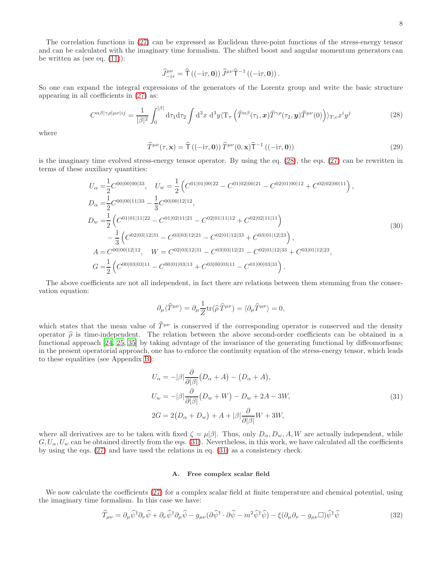The correlation functions in [\(27\)](#page-6-2) can be expressed as Euclidean three-point functions of the stress-energy tensor and can be calculated with the imaginary time formalism. The shifted boost and angular momentum generators can be written as (see eq.  $(11)$ ):

<span id="page-7-0"></span>
$$
\widehat{J}^{\mu\nu}_{-i\tau} = \widehat{\mathsf{T}}\left(\left(-\mathrm{i}\tau, \mathbf{0}\right)\right) \widehat{J}^{\mu\nu} \widehat{\mathsf{T}}^{-1}\left(\left(-\mathrm{i}\tau, \mathbf{0}\right)\right).
$$

So one can expand the integral expressions of the generators of the Lorentz group and write the basic structure appearing in all coefficients in [\(27\)](#page-6-2) as:

$$
C^{\alpha\beta|\gamma\rho|\mu\nu|ij} = \frac{1}{|\beta|^2} \int_0^{|\beta|} d\tau_1 d\tau_2 \int d^3x \ d^3y \langle \mathbf{T}_\tau \left( \widehat{T}^{\alpha\beta}(\tau_1, \mathbf{x}) \widehat{T}^{\gamma\rho}(\tau_2, \mathbf{y}) \widehat{T}^{\mu\nu}(0) \right) \rangle_{T,c} x^i y^j \tag{28}
$$

<span id="page-7-2"></span>where

<span id="page-7-4"></span>
$$
\widehat{T}^{\mu\nu}(\tau, \mathbf{x}) = \widehat{T} ((-i\tau, \mathbf{0})) \widehat{T}^{\mu\nu}(0, \mathbf{x}) \widehat{T}^{-1} ((-i\tau, \mathbf{0}))
$$
\n(29)

is the imaginary time evolved stress-energy tensor operator. By using the eq. [\(28\)](#page-7-0), the eqs. [\(27\)](#page-6-2) can be rewritten in terms of these auxiliary quantities:

$$
U_{\alpha} = \frac{1}{2}C^{00|00|00|33}, \quad U_{w} = \frac{1}{2}\left(C^{01|01|00|22} - C^{01|02|00|21} - C^{02|01|00|12} + C^{02|02|00|11}\right),
$$
  
\n
$$
D_{\alpha} = \frac{1}{2}C^{00|00|11|33} - \frac{1}{3}C^{00|00|12|12},
$$
  
\n
$$
D_{w} = \frac{1}{2}\left(C^{01|01|11|22} - C^{01|02|11|21} - C^{02|01|11|2} + C^{02|02|11|11}\right)
$$
  
\n
$$
- \frac{1}{3}\left(C^{02|03|12|31} - C^{03|03|12|21} - C^{02|01|12|33} + C^{03|01|12|23}\right),
$$
  
\n
$$
A = C^{00|00|12|12}, \quad W = C^{02|03|12|31} - C^{03|03|12|21} - C^{02|01|12|33} + C^{03|01|12|23},
$$
  
\n
$$
G = \frac{1}{2}\left(C^{00|03|03|11} - C^{00|01|03|13} + C^{03|00|03|11} - C^{01|00|03|31}\right).
$$
  
\n(30)

The above coefficients are not all independent, in fact there are relations between them stemming from the conservation equation:

$$
\partial_{\mu}\langle \widehat{T}^{\mu\nu}\rangle=\partial_{\mu}\frac{1}{Z}\text{tr}(\widehat{\rho}\,\widehat{T}^{\mu\nu})=\langle \partial_{\mu}\widehat{T}^{\mu\nu}\rangle=0,
$$

which states that the mean value of  $\hat{T}^{\mu\nu}$  is conserved if the corresponding operator is conserved and the density operator  $\hat{\rho}$  is time-independent. The relation between the above second-order coefficients can be obtained in a functional approach [\[24,](#page-31-11) [25,](#page-31-12) [35\]](#page-31-24) by taking advntage of the invariance of the generating functional by diffeomorfisms; in the present operatorial approach, one has to enforce the continuity equation of the stress-energy tensor, which leads to these equalities (see Appendix [B\)](#page-27-0):

<span id="page-7-1"></span>
$$
U_{\alpha} = -|\beta| \frac{\partial}{\partial |\beta|} (D_{\alpha} + A) - (D_{\alpha} + A),
$$
  
\n
$$
U_w = -|\beta| \frac{\partial}{\partial |\beta|} (D_w + W) - D_w + 2A - 3W,
$$
  
\n
$$
2G = 2(D_{\alpha} + D_w) + A + |\beta| \frac{\partial}{\partial |\beta|} W + 3W,
$$
\n(31)

where all derivatives are to be taken with fixed  $\zeta = \mu |\beta|$ . Thus, only  $D_{\alpha}, D_{w}, A, W$  are actually independent, while  $G, U_{\alpha}, U_{w}$  can be obtained directly from the eqs. [\(31\)](#page-7-1). Nevertheless, in this work, we have calculated all the coefficients by using the eqs. [\(27\)](#page-6-2) and have used the relations in eq. [\(31\)](#page-7-1) as a consistency check.

# <span id="page-7-3"></span>A. Free complex scalar field

We now calculate the coefficients [\(27\)](#page-6-2) for a complex scalar field at finite temperature and chemical potential, using the imaginary time formalism. In this case we have:

$$
\widehat{T}_{\mu\nu} = \partial_{\mu}\widehat{\psi}^{\dagger}\partial_{\nu}\widehat{\psi} + \partial_{\nu}\widehat{\psi}^{\dagger}\partial_{\mu}\widehat{\psi} - g_{\mu\nu}(\partial\widehat{\psi}^{\dagger}\cdot\partial\widehat{\psi} - m^2\widehat{\psi}^{\dagger}\widehat{\psi}) - \xi(\partial_{\mu}\partial_{\nu} - g_{\mu\nu}\Box)\widehat{\psi}^{\dagger}\widehat{\psi}
$$
\n(32)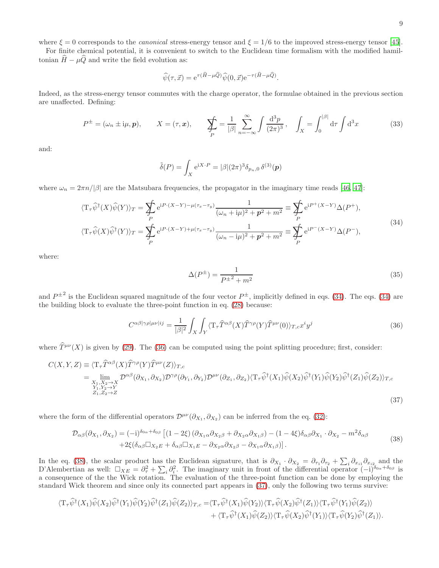where  $\xi = 0$  corresponds to the *canonical* stress-energy tensor and  $\xi = 1/6$  to the improved stress-energy tensor [\[45\]](#page-31-33).

For finite chemical potential, it is convenient to switch to the Euclidean time formalism with the modified hamiltonian  $\widehat{H} - \mu \widehat{Q}$  and write the field evolution as:

$$
\widehat{\psi}(\tau, \vec{x}) = e^{\tau(\widehat{H} - \mu \widehat{Q})} \widehat{\psi}(0, \vec{x}) e^{-\tau(\widehat{H} - \mu \widehat{Q})}.
$$

Indeed, as the stress-energy tensor commutes with the charge operator, the formulae obtained in the previous section are unaffected. Defining:

<span id="page-8-5"></span>
$$
P^{\pm} = (\omega_n \pm i\mu, \mathbf{p}), \qquad X = (\tau, \mathbf{x}), \qquad \sum_{P} \frac{1}{|\beta|} \sum_{n=-\infty}^{\infty} \int \frac{d^3 p}{(2\pi)^3}, \quad \int_{X} = \int_{0}^{|\beta|} d\tau \int d^3 x \tag{33}
$$

and:

$$
\tilde{\delta}(P) = \int_X e^{iX \cdot P} = |\beta|(2\pi)^3 \delta_{p_n,0} \,\delta^{(3)}(p)
$$

where  $\omega_n = 2\pi n/|\beta|$  are the Matsubara frequencies, the propagator in the imaginary time reads [\[46,](#page-31-34) [47\]](#page-31-35):

$$
\langle \mathbf{T}_{\tau}\hat{\psi}^{\dagger}(X)\hat{\psi}(Y)\rangle_{T} = \sum_{P} e^{iP\cdot(X-Y)-\mu(\tau_{x}-\tau_{y})} \frac{1}{(\omega_{n}+i\mu)^{2}+p^{2}+m^{2}} \equiv \sum_{P} e^{iP^{+}(X-Y)}\Delta(P^{+}),
$$
  

$$
\langle \mathbf{T}_{\tau}\hat{\psi}(X)\hat{\psi}^{\dagger}(Y)\rangle_{T} = \sum_{P} e^{iP\cdot(X-Y)+\mu(\tau_{x}-\tau_{y})} \frac{1}{(\omega_{n}-i\mu)^{2}+p^{2}+m^{2}} \equiv \sum_{P} e^{iP^{-}(X-Y)}\Delta(P^{-}),
$$
\n
$$
(34)
$$

<span id="page-8-4"></span>where:

<span id="page-8-3"></span><span id="page-8-2"></span><span id="page-8-1"></span><span id="page-8-0"></span>
$$
\Delta(P^{\pm}) = \frac{1}{P^{\pm 2} + m^2} \tag{35}
$$

and  $P^{\pm 2}$  is the Euclidean squared magnitude of the four vector  $P^{\pm}$ , implicitly defined in eqs. [\(34\)](#page-8-0). The eqs. (34) are the building block to evaluate the three-point function in eq. [\(28\)](#page-7-0) because:

$$
C^{\alpha\beta|\gamma\rho|\mu\nu|ij} = \frac{1}{|\beta|^2} \int_X \int_Y \langle \mathbf{T}_\tau \hat{T}^{\alpha\beta}(X) \hat{T}^{\gamma\rho}(Y) \hat{T}^{\mu\nu}(0) \rangle_{T,c} x^i y^j \tag{36}
$$

where  $\hat{T}^{\mu\nu}(X)$  is given by [\(29\)](#page-7-2). The [\(36\)](#page-8-1) can be computed using the point splitting procedure; first, consider:

$$
C(X, Y, Z) \equiv \langle T_{\tau} \hat{T}^{\alpha\beta}(X) \hat{T}^{\gamma\rho}(Y) \hat{T}^{\mu\nu}(Z) \rangle_{T,c}
$$
  
\n
$$
= \lim_{\substack{X_1, X_2 \to Y \\ Y_1, Y_2 \to Y}} \mathcal{D}^{\alpha\beta}(\partial_{X_1}, \partial_{X_2}) \mathcal{D}^{\gamma\rho}(\partial_{Y_1}, \partial_{Y_2}) \mathcal{D}^{\mu\nu}(\partial_{Z_1}, \partial_{Z_2}) \langle T_{\tau} \hat{\psi}^{\dagger}(X_1) \hat{\psi}(X_2) \hat{\psi}^{\dagger}(Y_1) \hat{\psi}(Y_2) \hat{\psi}^{\dagger}(Z_1) \hat{\psi}(Z_2) \rangle_{T,c}
$$
  
\n
$$
Z_1, Z_2 \to Z
$$
\n(37)

where the form of the differential operators  $\mathcal{D}^{\mu\nu}(\partial_{X_1}, \partial_{X_2})$  can be inferred from the eq. [\(32\)](#page-7-3):

$$
\mathcal{D}_{\alpha\beta}(\partial_{X_1}, \partial_{X_2}) = (-i)^{\delta_{0\alpha} + \delta_{0\beta}} \left[ (1 - 2\xi) \left( \partial_{X_1 \alpha} \partial_{X_2 \beta} + \partial_{X_2 \alpha} \partial_{X_1 \beta} \right) - (1 - 4\xi) \delta_{\alpha\beta} \partial_{X_1} \cdot \partial_{X_2} - m^2 \delta_{\alpha\beta} \right. \\
\left. + 2\xi (\delta_{\alpha\beta} \Box_{X_2 E} + \delta_{\alpha\beta} \Box_{X_1 E} - \partial_{X_2 \alpha} \partial_{X_2 \beta} - \partial_{X_1 \alpha} \partial_{X_1 \beta} ) \right].
$$
\n(38)

In the eq. [\(38\)](#page-8-2), the scalar product has the Euclidean signature, that is  $\partial_{X_1} \cdot \partial_{X_2} = \partial_{\tau_1} \partial_{\tau_2} + \sum_i \partial_{x_{i1}} \partial_{x_{i2}}$  and the D'Alembertian as well:  $\Box_{XE} = \partial_{\tau}^2 + \sum_i \partial_i^2$ . The imaginary unit in front of the differential operator  $(-i)^{\delta_{0\alpha}+\delta_{0\beta}}$  is a consequence of the the Wick rotation. The evaluation of the three-point function can be done by employing the standard Wick theorem and since only its connected part appears in [\(37\)](#page-8-3), only the following two terms survive:

$$
\langle T_{\tau}\hat{\psi}^{\dagger}(X_{1})\hat{\psi}(X_{2})\hat{\psi}^{\dagger}(Y_{1})\hat{\psi}(Y_{2})\hat{\psi}^{\dagger}(Z_{1})\hat{\psi}(Z_{2})\rangle_{T,c} = \langle T_{\tau}\hat{\psi}^{\dagger}(X_{1})\hat{\psi}(Y_{2})\rangle\langle T_{\tau}\hat{\psi}(X_{2})\hat{\psi}^{\dagger}(Z_{1})\rangle\langle T_{\tau}\hat{\psi}^{\dagger}(Y_{1})\hat{\psi}(Z_{2})\rangle + \langle T_{\tau}\hat{\psi}^{\dagger}(X_{1})\hat{\psi}(Z_{2})\rangle\langle T_{\tau}\hat{\psi}(X_{2})\hat{\psi}^{\dagger}(Y_{1})\rangle\langle T_{\tau}\hat{\psi}(Y_{2})\hat{\psi}^{\dagger}(Z_{1})\rangle.
$$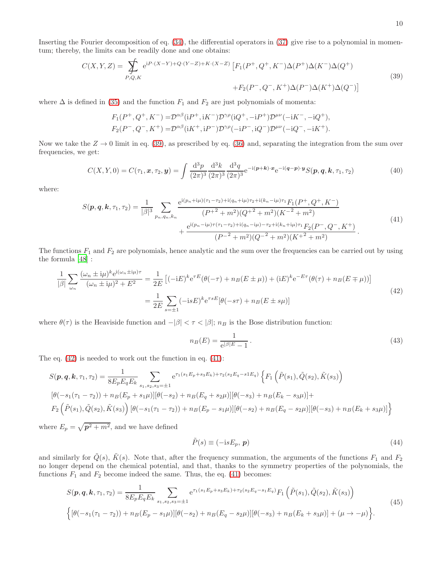Inserting the Fourier decomposition of eq. [\(34\)](#page-8-0), the differential operators in [\(37\)](#page-8-3) give rise to a polynomial in momentum; thereby, the limits can be readily done and one obtains:

$$
C(X,Y,Z) = \sum_{P,Q,K} e^{iP\cdot(X-Y)+Q\cdot(Y-Z)+K\cdot(X-Z)} \left[ F_1(P^+,Q^+,K^-)\Delta(P^+)\Delta(K^-)\Delta(Q^+) \right]
$$
\n
$$
+ F_2(P^-,Q^-,K^+)\Delta(P^-)\Delta(K^+)\Delta(Q^-)]
$$
\n(39)

where  $\Delta$  is defined in [\(35\)](#page-8-4) and the function  $F_1$  and  $F_2$  are just polynomials of momenta:

<span id="page-9-0"></span>
$$
F_1(P^+, Q^+, K^-) = \mathcal{D}^{\alpha\beta} (iP^+, iK^-) \mathcal{D}^{\gamma\rho} (iQ^+, -iP^+) \mathcal{D}^{\mu\nu} (-iK^-, -iQ^+),
$$
  
\n
$$
F_2(P^-, Q^-, K^+) = \mathcal{D}^{\alpha\beta} (iK^+, iP^-) \mathcal{D}^{\gamma\rho} (-iP^-, iQ^-) \mathcal{D}^{\mu\nu} (-iQ^-, -iK^+).
$$

Now we take the  $Z \to 0$  limit in eq. [\(39\)](#page-9-0), as prescribed by eq. [\(36\)](#page-8-1) and, separating the integration from the sum over frequencies, we get:

<span id="page-9-3"></span>
$$
C(X,Y,0) = C(\tau_1,\mathbf{x},\tau_2,\mathbf{y}) = \int \frac{\mathrm{d}^3 p}{(2\pi)^3} \frac{\mathrm{d}^3 k}{(2\pi)^3} \frac{\mathrm{d}^3 q}{(2\pi)^3} e^{-i(\mathbf{p}+\mathbf{k})\cdot\mathbf{x}} e^{-i(\mathbf{q}-\mathbf{p})\cdot\mathbf{y}} S(\mathbf{p},\mathbf{q},\mathbf{k},\tau_1,\tau_2)
$$
(40)

where:

<span id="page-9-2"></span>
$$
S(p,q,k,\tau_1,\tau_2) = \frac{1}{|\beta|^3} \sum_{p_n,q_n,k_n} \frac{e^{i(p_n+i\mu)(\tau_1-\tau_2)+i(q_n+i\mu)\tau_2+i(k_n-i\mu)\tau_1} F_1(P^+,Q^+,K^-)}{(P^{+2}+m^2)(Q^{+2}+m^2)(K^{-2}+m^2)} + \frac{e^{i(p_n-i\mu)\tau(\tau_1-\tau_2)+i(q_n-i\mu)-\tau_2+i(k_n+i\mu)\tau_1} F_2(P^-,Q^-,K^+)}{(P^{-2}+m^2)(Q^{-2}+m^2)(K^{+2}+m^2)}.
$$
\n
$$
(41)
$$

The functions  $F_1$  and  $F_2$  are polynomials, hence analytic and the sum over the frequencies can be carried out by using the formula [\[48\]](#page-31-36) :

<span id="page-9-1"></span>
$$
\frac{1}{|\beta|} \sum_{\omega_n} \frac{(\omega_n \pm i\mu)^k e^{i(\omega_n \pm i\mu)\tau}}{(\omega_n \pm i\mu)^2 + E^2} = \frac{1}{2E} \left[ (-iE)^k e^{\tau E} (\theta(-\tau) + n_B(E \pm \mu)) + (iE)^k e^{-E\tau} (\theta(\tau) + n_B(E \mp \mu)) \right]
$$
\n
$$
= \frac{1}{2E} \sum_{s=\pm 1} (-i s E)^k e^{\tau s E} [\theta(-s\tau) + n_B(E \pm s\mu)]
$$
\n(42)

where  $\theta(\tau)$  is the Heaviside function and  $-|\beta| < \tau < |\beta|$ ;  $n_B$  is the Bose distribution function:

$$
n_B(E) = \frac{1}{e^{|\beta|E} - 1} \,. \tag{43}
$$

The eq.  $(42)$  is needed to work out the function in eq.  $(41)$ :

$$
S(\mathbf{p}, \mathbf{q}, \mathbf{k}, \tau_1, \tau_2) = \frac{1}{8E_pE_qE_k} \sum_{s_1, s_2, s_3 = \pm 1} e^{\tau_1(s_1E_p + s_3E_k) + \tau_2(s_2E_q - s1E_q)} \left\{ F_1 \left( \tilde{P}(s_1), \tilde{Q}(s_2), \tilde{K}(s_3) \right) \right\}
$$
  
\n
$$
[\theta(-s_1(\tau_1 - \tau_2)) + n_B(E_p + s_1\mu)][\theta(-s_2) + n_B(E_q + s_2\mu)][\theta(-s_3) + n_B(E_k - s_3\mu)] +
$$
  
\n
$$
F_2 \left( \tilde{P}(s_1), \tilde{Q}(s_2), \tilde{K}(s_3) \right) [\theta(-s_1(\tau_1 - \tau_2)) + n_B(E_p - s_1\mu)][\theta(-s_2) + n_B(E_q - s_2\mu)][\theta(-s_3) + n_B(E_k + s_3\mu)] \right\}
$$

where  $E_p = \sqrt{p^2 + m^2}$ , and we have defined

<span id="page-9-5"></span><span id="page-9-4"></span>
$$
\tilde{P}(s) \equiv (-isE_p, p) \tag{44}
$$

and similarly for  $\tilde{Q}(s)$ ,  $\tilde{K}(s)$ . Note that, after the frequency summation, the arguments of the functions  $F_1$  and  $F_2$ no longer depend on the chemical potential, and that, thanks to the symmetry properties of the polynomials, the functions  $F_1$  and  $F_2$  become indeed the same. Thus, the eq. [\(41\)](#page-9-2) becomes:

$$
S(\mathbf{p}, \mathbf{q}, \mathbf{k}, \tau_1, \tau_2) = \frac{1}{8E_pE_qE_k} \sum_{s_1, s_2, s_3 = \pm 1} e^{\tau_1(s_1E_p + s_3E_k) + \tau_2(s_2E_q - s_1E_q)} F_1(\tilde{P}(s_1), \tilde{Q}(s_2), \tilde{K}(s_3))
$$
  

$$
\left\{ \left[ \theta(-s_1(\tau_1 - \tau_2)) + n_B(E_p - s_1\mu) \right] \left[ \theta(-s_2) + n_B(E_q - s_2\mu) \right] \left[ \theta(-s_3) + n_B(E_k + s_3\mu) \right] + (\mu \to -\mu) \right\}.
$$
\n
$$
(45)
$$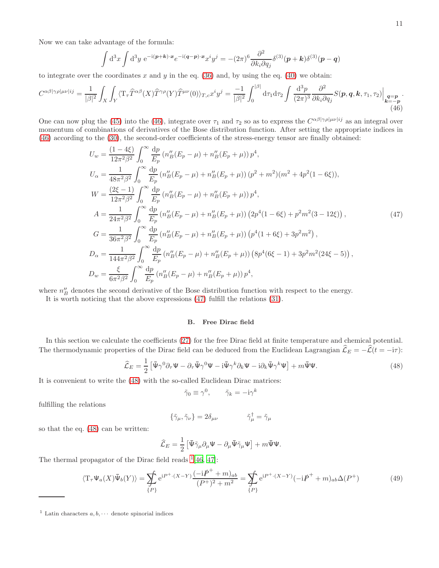Now we can take advantage of the formula:

<span id="page-10-0"></span>
$$
\int d^3x \int d^3y \ e^{-i(\boldsymbol{p}+\boldsymbol{k})\cdot\boldsymbol{x}} e^{-i(\boldsymbol{q}-\boldsymbol{p})\cdot\boldsymbol{x}} x^i y^j = -(2\pi)^6 \frac{\partial^2}{\partial k_i \partial q_j} \delta^{(3)}(\boldsymbol{p}+\boldsymbol{k}) \delta^{(3)}(\boldsymbol{p}-\boldsymbol{q})
$$

to integrate over the coordinates x and y in the eq.  $(36)$  and, by using the eq.  $(40)$  we obtain:

$$
C^{\alpha\beta|\gamma\rho|\mu\nu|ij} = \frac{1}{|\beta|^2} \int_X \int_Y \langle \mathbf{T}_\tau \hat{T}^{\alpha\beta}(X) \hat{T}^{\gamma\rho}(Y) \hat{T}^{\mu\nu}(0) \rangle_{T,c} x^i y^j = \frac{-1}{|\beta|^2} \int_0^{|\beta|} d\tau_1 d\tau_2 \int \frac{d^3 p}{(2\pi)^3} \frac{\partial^2}{\partial k_i \partial q_j} S(\mathbf{p}, \mathbf{q}, \mathbf{k}, \tau_1, \tau_2) \Big|_{\substack{\mathbf{q} = \mathbf{p} \\ \mathbf{k} = -\mathbf{p} \\ (46)}
$$

One can now plug the [\(45\)](#page-9-4) into the [\(46\)](#page-10-0), integrate over  $\tau_1$  and  $\tau_2$  so as to express the  $C^{\alpha\beta|\gamma\rho|\mu\nu|ij}$  as an integral over momentum of combinations of derivatives of the Bose distribution function. After setting the appropriate indices in [\(46\)](#page-10-0) according to the [\(30\)](#page-7-4), the second-order coefficients of the stress-energy tensor are finally obtained:

$$
U_w = \frac{(1-4\xi)}{12\pi^2\beta^2} \int_0^\infty \frac{dp}{E_p} \left(n_B''(E_p - \mu) + n_B''(E_p + \mu)\right) p^4,
$$
  
\n
$$
U_\alpha = \frac{1}{48\pi^2\beta^2} \int_0^\infty \frac{dp}{E_p} \left(n_B''(E_p - \mu) + n_B''(E_p + \mu)\right) (p^2 + m^2)(m^2 + 4p^2(1 - 6\xi)),
$$
  
\n
$$
W = \frac{(2\xi - 1)}{12\pi^2\beta^2} \int_0^\infty \frac{dp}{E_p} \left(n_B''(E_p - \mu) + n_B''(E_p + \mu)\right) p^4,
$$
  
\n
$$
A = \frac{1}{24\pi^2\beta^2} \int_0^\infty \frac{dp}{E_p} \left(n_B''(E_p - \mu) + n_B''(E_p + \mu)\right) (2p^4(1 - 6\xi) + p^2m^2(3 - 12\xi)),
$$
  
\n
$$
G = \frac{1}{36\pi^2\beta^2} \int_0^\infty \frac{dp}{E_p} \left(n_B''(E_p - \mu) + n_B''(E_p + \mu)\right) (p^4(1 + 6\xi) + 3p^2m^2),
$$
  
\n
$$
D_\alpha = \frac{1}{144\pi^2\beta^2} \int_0^\infty \frac{dp}{E_p} \left(n_B''(E_p - \mu) + n_B''(E_p + \mu)\right) (8p^4(6\xi - 1) + 3p^2m^2(24\xi - 5)),
$$
  
\n
$$
D_w = \frac{\xi}{6\pi^2\beta^2} \int_0^\infty \frac{dp}{E_p} \left(n_B''(E_p - \mu) + n_B''(E_p + \mu)\right) p^4,
$$

where  $n_B''$  denotes the second derivative of the Bose distribution function with respect to the energy.

It is worth noticing that the above expressions [\(47\)](#page-10-1) fulfill the relations [\(31\)](#page-7-1).

# <span id="page-10-2"></span><span id="page-10-1"></span>B. Free Dirac field

In this section we calculate the coefficients [\(27\)](#page-6-2) for the free Dirac field at finite temperature and chemical potential. The thermodynamic properties of the Dirac field can be deduced from the Euclidean Lagrangian  $\hat{\mathcal{L}}_E = -\hat{\mathcal{L}}(t = -i\tau)$ :

$$
\widehat{\mathcal{L}}_E = \frac{1}{2} \left[ \bar{\Psi} \gamma^0 \partial_\tau \Psi - \partial_\tau \bar{\Psi} \gamma^0 \Psi - i \bar{\Psi} \gamma^k \partial_k \Psi - i \partial_k \bar{\Psi} \gamma^k \Psi \right] + m \bar{\Psi} \Psi. \tag{48}
$$

It is convenient to write the [\(48\)](#page-10-2) with the so-called Euclidean Dirac matrices:

$$
\tilde{\gamma}_0 \equiv \gamma^0, \qquad \tilde{\gamma}_k = -i\gamma^k
$$

fulfilling the relations

$$
\{\tilde{\gamma}_{\mu}, \tilde{\gamma}_{\nu}\} = 2\delta_{\mu\nu} \qquad \qquad \tilde{\gamma}_{\mu}^{\dagger} = \tilde{\gamma}_{\mu}
$$

so that the eq. [\(48\)](#page-10-2) can be written:

<span id="page-10-4"></span>
$$
\widehat{\mathcal{L}}_E = \frac{1}{2} \left[ \bar{\Psi} \tilde{\gamma}_{\mu} \partial_{\mu} \Psi - \partial_{\mu} \bar{\Psi} \tilde{\gamma}_{\mu} \Psi \right] + m \bar{\Psi} \Psi.
$$

The thermal propagator of the Dirac field reads  $(46, 47]$  $(46, 47]$  $(46, 47]$ :

$$
\langle T_{\tau}\Psi_{a}(X)\bar{\Psi}_{b}(Y)\rangle = \sum_{\{P\}} e^{iP^{+}\cdot(X-Y)} \frac{(-i\rlap{/}P^{+} + m)_{ab}}{(P^{+})^{2} + m^{2}} = \sum_{\{P\}} e^{iP^{+}\cdot(X-Y)} (-i\rlap{/}P^{+} + m)_{ab}\Delta(P^{+})
$$
(49)

<span id="page-10-3"></span><sup>&</sup>lt;sup>1</sup> Latin characters  $a, b, \cdots$  denote spinorial indices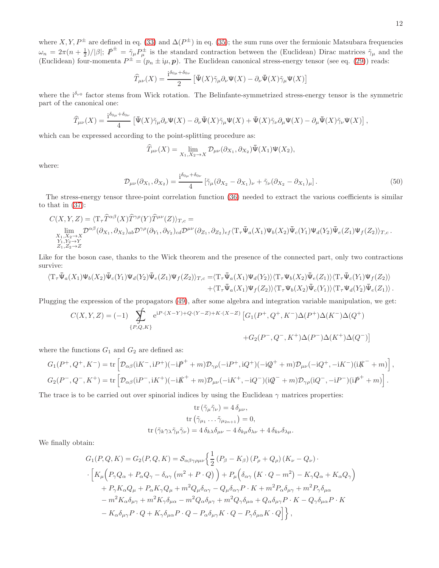where  $X, Y, P^{\pm}$  are defined in eq. [\(33\)](#page-8-5) and  $\Delta(P^{\pm})$  in eq. [\(35\)](#page-8-4); the sum runs over the fermionic Matsubara frequencies  $\omega_n = 2\pi(n+\frac{1}{2})/|\beta|;$   $\vec{P}^{\pm} = \tilde{\gamma}_{\mu}P^{\pm}_{\mu}$  is the standard contraction between the (Euclidean) Dirac matrices  $\tilde{\gamma}_{\mu}$  and the (Euclidean) four-momenta  $P^{\pm} = (p_n \pm i\mu, p)$ . The Euclidean canonical stress-energy tensor (see eq. [\(29\)](#page-7-2)) reads:

$$
\widehat{T}_{\mu\nu}(X)=\frac{\mathrm{i}^{\delta_{0\mu}+\delta_{0\nu}}}{2}\left[\bar{\Psi}(X)\tilde{\gamma}_{\mu}\partial_{\nu}\Psi(X)-\partial_{\nu}\bar{\Psi}(X)\tilde{\gamma}_{\mu}\Psi(X)\right]
$$

where the  $i^{\delta_{\nu 0}}$  factor stems from Wick rotation. The Belinfante-symmetrized stress-energy tensor is the symmetric part of the canonical one:

$$
\widehat{T}_{\mu\nu}(X) = \frac{\mathrm{i}^{\delta_{0\mu}+\delta_{0\nu}}}{4} \left[ \bar{\Psi}(X)\tilde{\gamma}_{\mu}\partial_{\nu}\Psi(X) - \partial_{\nu}\bar{\Psi}(X)\tilde{\gamma}_{\mu}\Psi(X) + \bar{\Psi}(X)\tilde{\gamma}_{\nu}\partial_{\mu}\Psi(X) - \partial_{\mu}\bar{\Psi}(X)\tilde{\gamma}_{\nu}\Psi(X) \right],
$$

which can be expressed according to the point-splitting procedure as:

$$
\widehat{T}_{\mu\nu}(X) = \lim_{X_1, X_2 \to X} \mathcal{D}_{\mu\nu}(\partial_{X_1}, \partial_{X_2}) \overline{\Psi}(X_1) \Psi(X_2),
$$

<span id="page-11-0"></span>where:

$$
\mathcal{D}_{\mu\nu}(\partial_{X_1}, \partial_{X_2}) = \frac{\mathrm{i}^{\delta_{0\mu} + \delta_{0\nu}}}{4} \left[ \tilde{\gamma}_{\mu} (\partial_{X_2} - \partial_{X_1})_{\nu} + \tilde{\gamma}_{\nu} (\partial_{X_2} - \partial_{X_1})_{\mu} \right]. \tag{50}
$$

The stress-energy tensor three-point correlation function [\(36\)](#page-8-1) needed to extract the various coefficients is similar to that in [\(37\)](#page-8-3):

$$
C(X, Y, Z) = \langle T_{\tau} \hat{T}^{\alpha\beta}(X) \hat{T}^{\gamma\rho}(Y) \hat{T}^{\mu\nu}(Z) \rangle_{T,c} =
$$
  
\n
$$
\lim_{\substack{X_1, X_2 \to X \\ Y_1, Y_2 \to Y}} \mathcal{D}^{\alpha\beta}(\partial_{X_1}, \partial_{X_2})_{ab} \mathcal{D}^{\gamma\rho}(\partial_{Y_1}, \partial_{Y_2})_{cd} \mathcal{D}^{\mu\nu}(\partial_{Z_1}, \partial_{Z_2})_{ef} \langle T_{\tau} \bar{\Psi}_a(X_1) \Psi_b(X_2) \bar{\Psi}_c(Y_1) \Psi_d(Y_2) \bar{\Psi}_e(Z_1) \Psi_f(Z_2) \rangle_{T,c}.
$$

Like for the boson case, thanks to the Wick theorem and the presence of the connected part, only two contractions survive:

$$
\begin{aligned} \langle T_{\tau}\bar{\Psi}_a(X_1)\Psi_b(X_2)\bar{\Psi}_c(Y_1)\Psi_d(Y_2)\bar{\Psi}_e(Z_1)\Psi_f(Z_2)\rangle_{T,c}=&\langle T_{\tau}\bar{\Psi}_a(X_1)\Psi_d(Y_2)\rangle\langle T_{\tau}\Psi_b(X_2)\bar{\Psi}_e(Z_1)\rangle\langle T_{\tau}\bar{\Psi}_c(Y_1)\Psi_f(Z_2)\rangle\\ &+\langle T_{\tau}\bar{\Psi}_a(X_1)\Psi_f(Z_2)\rangle\langle T_{\tau}\Psi_b(X_2)\bar{\Psi}_c(Y_1)\rangle\langle T_{\tau}\Psi_d(Y_2)\bar{\Psi}_e(Z_1)\rangle\,. \end{aligned}
$$

Plugging the expression of the propagators [\(49\)](#page-10-4), after some algebra and integration variable manipulation, we get:

$$
C(X,Y,Z) = (-1) \sum_{\{P,Q,K\}} e^{iP\cdot(X-Y)+Q\cdot(Y-Z)+K\cdot(X-Z)} \left[ G_1(P^+,Q^+,K^-)\Delta(P^+)\Delta(K^-)\Delta(Q^+) \right. \\ \left. + G_2(P^-,Q^-,K^+)\Delta(P^-)\Delta(K^+)\Delta(Q^-) \right]
$$

where the functions  $G_1$  and  $G_2$  are defined as:

$$
G_1(P^+, Q^+, K^-) = \text{tr}\left[\mathcal{D}_{\alpha\beta}(\text{i}K^-, \text{i}P^+)(-\text{i}\cancel{P}^+ + m)\mathcal{D}_{\gamma\rho}(-\text{i}P^+, \text{i}Q^+)(-\text{i}\cancel{Q}^+ + m)\mathcal{D}_{\mu\nu}(-\text{i}Q^+, -\text{i}K^-)(\text{i}\cancel{K}^- + m)\right],
$$
  
\n
$$
G_2(P^-, Q^-, K^+) = \text{tr}\left[\mathcal{D}_{\alpha\beta}(\text{i}P^-, \text{i}K^+)(-\text{i}\cancel{K}^+ + m)\mathcal{D}_{\mu\nu}(-\text{i}K^+, -\text{i}Q^-)(\text{i}\cancel{Q}^- + m)\mathcal{D}_{\gamma\rho}(\text{i}Q^-, -\text{i}P^-)(\text{i}\cancel{P}^+ + m)\right].
$$

The trace is to be carried out over spinorial indices by using the Euclidean  $\gamma$  matrices properties:

$$
\operatorname{tr} (\tilde{\gamma}_{\mu} \tilde{\gamma}_{\nu}) = 4 \, \delta_{\mu\nu},
$$

$$
\operatorname{tr} (\tilde{\gamma}_{\mu 1} \dots \tilde{\gamma}_{\mu_{2n+1}}) = 0,
$$

$$
\operatorname{tr} (\tilde{\gamma}_{k} \gamma_{\lambda} \tilde{\gamma}_{\mu} \tilde{\gamma}_{\nu}) = 4 \, \delta_{k\lambda} \delta_{\mu\nu} - 4 \, \delta_{k\mu} \delta_{\lambda\nu} + 4 \, \delta_{k\nu} \delta_{\lambda\mu}.
$$

We finally obtain:

$$
G_{1}(P,Q,K) = G_{2}(P,Q,K) = S_{\alpha\beta\gamma\rho\mu\nu} \left\{ \frac{1}{2} \left( P_{\beta} - K_{\beta} \right) \left( P_{\rho} + Q_{\rho} \right) \left( K_{\nu} - Q_{\nu} \right) \right. \cdot \left[ K_{\mu} \left( P_{\gamma} Q_{\alpha} + P_{\alpha} Q_{\gamma} - \delta_{\alpha\gamma} \left( m^{2} + P \cdot Q \right) \right) + P_{\mu} \left( \delta_{\alpha\gamma} \left( K \cdot Q - m^{2} \right) - K_{\gamma} Q_{\alpha} + K_{\alpha} Q_{\gamma} \right) \right. \right. \left. + P_{\gamma} K_{\alpha} Q_{\mu} + P_{\alpha} K_{\gamma} Q_{\mu} + m^{2} Q_{\mu} \delta_{\alpha\gamma} - Q_{\mu} \delta_{\alpha\gamma} P \cdot K + m^{2} P_{\alpha} \delta_{\mu\gamma} + m^{2} P_{\gamma} \delta_{\mu\alpha} \right. \left. - m^{2} K_{\alpha} \delta_{\mu\gamma} + m^{2} K_{\gamma} \delta_{\mu\alpha} - m^{2} Q_{\alpha} \delta_{\mu\gamma} + m^{2} Q_{\gamma} \delta_{\mu\alpha} + Q_{\alpha} \delta_{\mu\gamma} P \cdot K - Q_{\gamma} \delta_{\mu\alpha} P \cdot K \right. \left. - K_{\alpha} \delta_{\mu\gamma} P \cdot Q + K_{\gamma} \delta_{\mu\alpha} P \cdot Q - P_{\alpha} \delta_{\mu\gamma} K \cdot Q - P_{\gamma} \delta_{\mu\alpha} K \cdot Q \right] \right\},
$$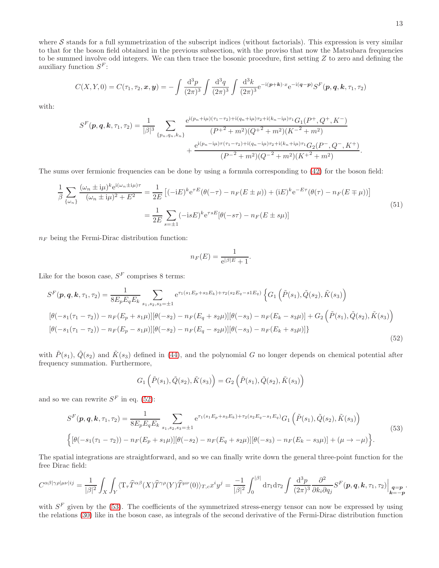where  $S$  stands for a full symmetrization of the subscript indices (without factorials). This expression is very similar to that for the boson field obtained in the previous subsection, with the proviso that now the Matsubara frequencies to be summed involve odd integers. We can then trace the bosonic procedure, first setting  $Z$  to zero and defining the auxiliary function  $S^F$ :

$$
C(X,Y,0) = C(\tau_1, \tau_2, \mathbf{x}, \mathbf{y}) = -\int \frac{\mathrm{d}^3 p}{(2\pi)^3} \int \frac{\mathrm{d}^3 q}{(2\pi)^3} \int \frac{\mathrm{d}^3 k}{(2\pi)^3} e^{-i(\mathbf{p}+\mathbf{k})\cdot\mathbf{x}} e^{-i(\mathbf{q}-\mathbf{p})} S^F(\mathbf{p}, \mathbf{q}, \mathbf{k}, \tau_1, \tau_2)
$$

with:

$$
S^{F}(p,q,k,\tau_{1},\tau_{2}) = \frac{1}{|\beta|^{3}} \sum_{\{p_{n},q_{n},k_{n}\}} \frac{e^{i(p_{n}+i\mu)(\tau_{1}-\tau_{2})+i(q_{n}+i\mu)\tau_{2}+i(k_{n}-i\mu)\tau_{1}}G_{1}(P^{+},Q^{+},K^{-})}{(P^{+2}+m^{2})(Q^{+2}+m^{2})(K^{-2}+m^{2})} + \frac{e^{i(p_{n}-i\mu)\tau(\tau_{1}-\tau_{2})+i(q_{n}-i\mu)\tau_{2}+i(k_{n}+i\mu)\tau_{1}}G_{2}(P^{-},Q^{-},K^{+})}{(P^{-2}+m^{2})(Q^{-2}+m^{2})(K^{+2}+m^{2})}.
$$

The sums over fermionic frequencies can be done by using a formula corresponding to [\(42\)](#page-9-1) for the boson field:

$$
\frac{1}{\beta} \sum_{\{\omega_n\}} \frac{(\omega_n \pm i\mu)^k e^{i(\omega_n \pm i\mu)\tau}}{(\omega_n \pm i\mu)^2 + E^2} = \frac{1}{2E} \left[ (-iE)^k e^{\tau E} (\theta(-\tau) - n_F(E \pm \mu)) + (iE)^k e^{-E\tau} (\theta(\tau) - n_F(E \mp \mu)) \right]
$$
\n
$$
= \frac{1}{2E} \sum_{s=\pm 1} (-i s E)^k e^{\tau s E} [\theta(-s\tau) - n_F(E \pm s\mu)]
$$
\n(51)

 $n_F$  being the Fermi-Dirac distribution function:

<span id="page-12-2"></span><span id="page-12-0"></span>
$$
n_F(E) = \frac{1}{e^{|\beta|E} + 1}.
$$

Like for the boson case,  $S<sup>F</sup>$  comprises 8 terms:

$$
S^{F}(\mathbf{p}, \mathbf{q}, \mathbf{k}, \tau_{1}, \tau_{2}) = \frac{1}{8E_{p}E_{q}E_{k}} \sum_{s_{1}, s_{2}, s_{3}=\pm 1} e^{\tau_{1}(s_{1}E_{p}+s_{3}E_{k})+\tau_{2}(s_{2}E_{q}-s1E_{q})} \left\{ G_{1} \left( \tilde{P}(s_{1}), \tilde{Q}(s_{2}), \tilde{K}(s_{3}) \right) \right\}
$$

$$
[\theta(-s_{1}(\tau_{1}-\tau_{2})) - n_{F}(E_{p}+s_{1}\mu)][\theta(-s_{2}) - n_{F}(E_{q}+s_{2}\mu)][\theta(-s_{3}) - n_{F}(E_{k}-s_{3}\mu)] + G_{2} \left( \tilde{P}(s_{1}), \tilde{Q}(s_{2}), \tilde{K}(s_{3}) \right)
$$

$$
[\theta(-s_{1}(\tau_{1}-\tau_{2})) - n_{F}(E_{p}-s_{1}\mu)][\theta(-s_{2}) - n_{F}(E_{q}-s_{2}\mu)][\theta(-s_{3}) - n_{F}(E_{k}+s_{3}\mu)] \}
$$
(52)

with  $\tilde{P}(s_1), \tilde{Q}(s_2)$  and  $\tilde{K}(s_3)$  defined in [\(44\)](#page-9-5), and the polynomial G no longer depends on chemical potential after frequency summation. Furthermore,

<span id="page-12-1"></span>
$$
G_1\left( \tilde{P}(s_1), \tilde{Q}(s_2), \tilde{K}(s_3) \right) = G_2\left( \tilde{P}(s_1), \tilde{Q}(s_2), \tilde{K}(s_3) \right)
$$

and so we can rewrite  $S<sup>F</sup>$  in eq. [\(52\)](#page-12-0):

$$
S^{F}(\boldsymbol{p}, \boldsymbol{q}, \boldsymbol{k}, \tau_{1}, \tau_{2}) = \frac{1}{8E_{p}E_{q}E_{k}} \sum_{s_{1}, s_{2}, s_{3} = \pm 1} e^{\tau_{1}(s_{1}E_{p} + s_{3}E_{k}) + \tau_{2}(s_{2}E_{q} - s_{1}E_{q})} G_{1}(\tilde{P}(s_{1}), \tilde{Q}(s_{2}), \tilde{K}(s_{3}))
$$
  

$$
\left\{ \left[ \theta(-s_{1}(\tau_{1} - \tau_{2})) - n_{F}(E_{p} + s_{1}\mu) \right] \left[ \theta(-s_{2}) - n_{F}(E_{q} + s_{2}\mu) \right] \left[ \theta(-s_{3}) - n_{F}(E_{k} - s_{3}\mu) \right] + (\mu \to -\mu) \right\}.
$$
  
(53)

The spatial integrations are straightforward, and so we can finally write down the general three-point function for the free Dirac field:

$$
C^{\alpha\beta|\gamma\rho|\mu\nu|ij} = \frac{1}{|\beta|^2} \int_X \int_Y \langle \mathbf{T}_\tau \widehat{T}^{\alpha\beta}(X) \widehat{T}^{\gamma\rho}(Y) \widehat{T}^{\mu\nu}(0) \rangle_{T,c} x^i y^j = \frac{-1}{|\beta|^2} \int_0^{|\beta|} d\tau_1 d\tau_2 \int \frac{d^3 p}{(2\pi)^3} \frac{\partial^2}{\partial k_i \partial q_j} S^F(\boldsymbol{p}, \boldsymbol{q}, \boldsymbol{k}, \tau_1, \tau_2) \Big|_{\substack{\boldsymbol{q} = \boldsymbol{p} \\ \boldsymbol{k} = -\boldsymbol{p}}}.
$$

with  $S<sup>F</sup>$  given by the [\(53\)](#page-12-1). The coefficients of the symmetrized stress-energy tensor can now be expressed by using the relations [\(30\)](#page-7-4) like in the boson case, as integrals of the second derivative of the Fermi-Dirac distribution function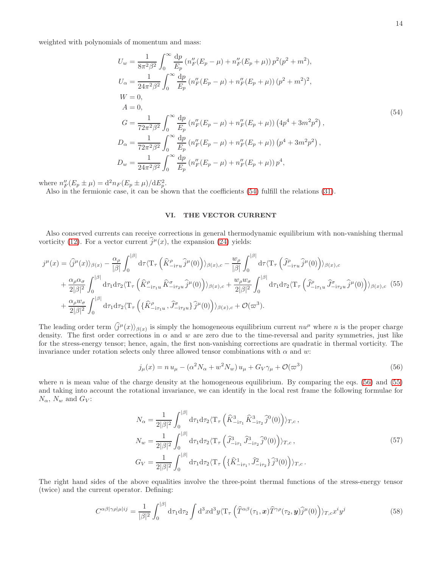weighted with polynomials of momentum and mass:

<span id="page-13-0"></span>
$$
U_w = \frac{1}{8\pi^2 \beta^2} \int_0^\infty \frac{dp}{E_p} \left( n_F''(E_p - \mu) + n_F''(E_p + \mu) \right) p^2(p^2 + m^2),
$$
  
\n
$$
U_\alpha = \frac{1}{24\pi^2 \beta^2} \int_0^\infty \frac{dp}{E_p} \left( n_F''(E_p - \mu) + n_F''(E_p + \mu) \right) (p^2 + m^2)^2,
$$
  
\n
$$
W = 0,
$$
  
\n
$$
A = 0,
$$
  
\n
$$
A = 0,
$$
  
\n
$$
G = \frac{1}{72\pi^2 \beta^2} \int_0^\infty \frac{dp}{E_p} \left( n_F''(E_p - \mu) + n_F''(E_p + \mu) \right) \left( 4p^4 + 3m^2p^2 \right),
$$
  
\n
$$
D_\alpha = \frac{1}{72\pi^2 \beta^2} \int_0^\infty \frac{dp}{E_p} \left( n_F''(E_p - \mu) + n_F''(E_p + \mu) \right) \left( p^4 + 3m^2p^2 \right),
$$
  
\n
$$
D_w = \frac{1}{24\pi^2 \beta^2} \int_0^\infty \frac{dp}{E_p} \left( n_F''(E_p - \mu) + n_F''(E_p + \mu) \right) p^4,
$$

where  $n_F''(E_p \pm \mu) = d^2 n_F(E_p \pm \mu)/dE_p^2$ .

Also in the fermionic case, it can be shown that the coefficients [\(54\)](#page-13-0) fulfill the relations [\(31\)](#page-7-1).

# <span id="page-13-2"></span>VI. THE VECTOR CURRENT

Also conserved currents can receive corrections in general thermodynamic equilibrium with non-vanishing thermal vorticity [\(12\)](#page-3-4). For a vector current  $\hat{j}^{\mu}(x)$ , the expansion [\(24\)](#page-5-1) yields:

$$
j^{\mu}(x) = \langle \hat{j}^{\mu}(x) \rangle_{\beta(x)} - \frac{\alpha_{\rho}}{|\beta|} \int_{0}^{|\beta|} d\tau \langle \mathbf{T}_{\tau} \left( \hat{K}^{\rho}_{-i\tau u} \hat{j}^{\mu}(0) \right) \rangle_{\beta(x),c} - \frac{w_{\rho}}{|\beta|} \int_{0}^{|\beta|} d\tau \langle \mathbf{T}_{\tau} \left( \hat{J}^{\rho}_{-i\tau u} \hat{j}^{\mu}(0) \right) \rangle_{\beta(x),c} + \frac{\alpha_{\rho} \alpha_{\sigma}}{2|\beta|^{2}} \int_{0}^{|\beta|} d\tau_{1} d\tau_{2} \langle \mathbf{T}_{\tau} \left( \hat{K}^{\rho}_{-i\tau u} \hat{K}^{\sigma}_{-i\tau u} \hat{j}^{\mu}(0) \right) \rangle_{\beta(x),c} + \frac{w_{\rho} w_{\sigma}}{2|\beta|^{2}} \int_{0}^{|\beta|} d\tau_{1} d\tau_{2} \langle \mathbf{T}_{\tau} \left( \hat{J}^{\rho}_{-i\tau u} \hat{J}^{\sigma}_{-i\tau u} \hat{j}^{\mu}(0) \right) \rangle_{\beta(x),c} (55)+ \frac{\alpha_{\rho} w_{\sigma}}{2|\beta|^{2}} \int_{0}^{|\beta|} d\tau_{1} d\tau_{2} \langle \mathbf{T}_{\tau} \left( \{ \hat{K}^{\rho}_{-i\tau u} \hat{J}^{\sigma}_{-i\tau u} \hat{j}^{\mu}(0) \right) \rangle_{\beta(x),c} + \mathcal{O}(\varpi^{3}).
$$

The leading order term  $\langle \hat{j}^{\mu}(x) \rangle_{\beta(x)}$  is simply the homogeneous equilibrium current  $n u^{\mu}$  where n is the proper charge density. The first order corrections in  $\alpha$  and w are zero due to the time-reversal and parity symmetries, just like for the stress-energy tensor; hence, again, the first non-vanishing corrections are quadratic in thermal vorticity. The invariance under rotation selects only three allowed tensor combinations with  $\alpha$  and w:

<span id="page-13-1"></span>
$$
j_{\mu}(x) = n u_{\mu} - (\alpha^2 N_{\alpha} + w^2 N_{w}) u_{\mu} + G_V \gamma_{\mu} + \mathcal{O}(\varpi^3)
$$
\n(56)

where n is mean value of the charge density at the homogeneous equilibrium. By comparing the eqs. [\(56\)](#page-13-1) and [\(55\)](#page-13-2) and taking into account the rotational invariance, we can identify in the local rest frame the following formulae for  $N_{\alpha}$ ,  $N_{w}$  and  $G_V$ :

<span id="page-13-3"></span>
$$
N_{\alpha} = \frac{1}{2|\beta|^2} \int_0^{|\beta|} d\tau_1 d\tau_2 \langle \mathbf{T}_{\tau} \left( \hat{K}_{-i\tau_1}^3 \hat{K}_{-i\tau_2}^3 \hat{j}^0(0) \right) \rangle_{T,c} ,
$$
  
\n
$$
N_w = \frac{1}{2|\beta|^2} \int_0^{|\beta|} d\tau_1 d\tau_2 \langle \mathbf{T}_{\tau} \left( \hat{J}_{-i\tau_1}^3 \hat{J}_{-i\tau_2}^3 \hat{j}^0(0) \right) \rangle_{T,c} ,
$$
  
\n
$$
G_V = \frac{1}{2|\beta|^2} \int_0^{|\beta|} d\tau_1 d\tau_2 \langle \mathbf{T}_{\tau} \left( \{ \hat{K}_{-i\tau_1}^1, \hat{J}_{-i\tau_2}^2 \} \hat{j}^3(0) \right) \rangle_{T,c} .
$$
\n(57)

The right hand sides of the above equalities involve the three-point thermal functions of the stress-energy tensor (twice) and the current operator. Defining:

<span id="page-13-4"></span>
$$
C^{\alpha\beta|\gamma\rho|\mu|ij} = \frac{1}{|\beta|^2} \int_0^{|\beta|} d\tau_1 d\tau_2 \int d^3x d^3y \langle T_\tau \left(\hat{T}^{\alpha\beta}(\tau_1, x) \hat{T}^{\gamma\rho}(\tau_2, y) \hat{j}^\mu(0) \right) \rangle_{T,c} x^i y^j \tag{58}
$$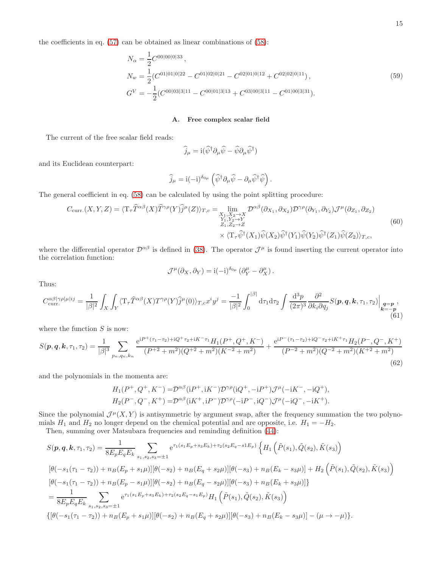the coefficients in eq. [\(57\)](#page-13-3) can be obtained as linear combinations of [\(58\)](#page-13-4):

$$
N_{\alpha} = \frac{1}{2} C^{00|00|0|33},
$$
  
\n
$$
N_{w} = \frac{1}{2} (C^{01|01|0|22} - C^{01|02|0|21} - C^{02|01|0|12} + C^{02|02|0|11}),
$$
  
\n
$$
G^{V} = -\frac{1}{2} (C^{00|03|3|11} - C^{00|01|3|13} + C^{03|00|3|11} - C^{01|00|3|31}).
$$
\n(59)

# <span id="page-14-1"></span>A. Free complex scalar field

The current of the free scalar field reads:

$$
\widehat{j}_{\mu} = \mathrm{i}(\widehat{\psi}^{\dagger} \partial_{\mu} \widehat{\psi} - \widehat{\psi} \partial_{\mu} \widehat{\psi}^{\dagger})
$$

and its Euclidean counterpart:

$$
\widehat{j}_{\mu} = i(-i)^{\delta_{0\mu}} \left( \widehat{\psi}^{\dagger} \partial_{\mu} \widehat{\psi} - \partial_{\mu} \widehat{\psi}^{\dagger} \widehat{\psi} \right).
$$

The general coefficient in eq. [\(58\)](#page-13-4) can be calculated by using the point splitting procedure:

$$
C_{\text{curr.}}(X, Y, Z) = \langle T_{\tau} \hat{T}^{\alpha\beta}(X) \hat{T}^{\gamma\rho}(Y) \hat{j}^{\mu}(Z) \rangle_{T,c} = \lim_{\substack{X_1, X_2 \to X \\ Y_1, Y_2 \to Y \\ Z_1, Z_2 \to Z}} \mathcal{D}^{\alpha\beta}(\partial_{X_1}, \partial_{X_2}) \mathcal{D}^{\gamma\rho}(\partial_{Y_1}, \partial_{Y_2}) \mathcal{J}^{\mu}(\partial_{Z_1}, \partial_{Z_2})
$$
  

$$
\times \langle T_{\tau} \hat{\psi}^{\dagger}(X_1) \hat{\psi}(X_2) \hat{\psi}^{\dagger}(Y_1) \hat{\psi}(Y_2) \hat{\psi}^{\dagger}(Z_1) \hat{\psi}(Z_2) \rangle_{T,c},
$$
(60)

where the differential operator  $\mathcal{D}^{\alpha\beta}$  is defined in [\(38\)](#page-8-2). The operator  $\mathcal{J}^{\mu}$  is found inserting the current operator into the correlation function:

$$
\mathcal{J}^{\mu}(\partial_X, \partial_Y) = i(-i)^{\delta_{0\mu}} (\partial_Y^{\mu} - \partial_X^{\mu}).
$$

Thus:

<span id="page-14-0"></span>
$$
C_{\text{curr.}}^{\alpha\beta|\gamma\rho|\mu|ij} = \frac{1}{|\beta|^2} \int_X \int_Y \langle \mathbf{T}_\tau \hat{T}^{\alpha\beta}(X) T^{\gamma\rho}(Y) \hat{j}^\mu(0) \rangle_{T,c} x^i y^j = \frac{-1}{|\beta|^2} \int_0^{|\beta|} d\tau_1 d\tau_2 \int \frac{d^3 p}{(2\pi)^3} \frac{\partial^2}{\partial k_i \partial q_j} S(\mathbf{p}, \mathbf{q}, \mathbf{k}, \tau_1, \tau_2) \Big|_{\substack{\mathbf{q} = \mathbf{p} \\ \mathbf{k} = -\mathbf{p}}} , \tag{61}
$$

where the function  $S$  is now:

$$
S(\mathbf{p}, \mathbf{q}, \mathbf{k}, \tau_1, \tau_2) = \frac{1}{|\beta|^3} \sum_{p_n, q_n, k_n} \frac{e^{i P^+(\tau_1 - \tau_2) + i Q^+\tau_2 + i K^-\tau_1} H_1(P^+, Q^+, K^-)}{(P^+{}^2 + m^2)(Q^+{}^2 + m^2)(K^-{}^2 + m^2)} + \frac{e^{i P^-(\tau_1 - \tau_2) + i Q^-\tau_2 + i K^+\tau_1} H_2(P^-, Q^-, K^+)}{(P^-{}^2 + m^2)(Q^-{}^2 + m^2)(K^+{}^2 + m^2)}
$$
\n
$$
(62)
$$

and the polynomials in the momenta are:

<span id="page-14-2"></span>
$$
H_1(P^+, Q^+, K^-) = \mathcal{D}^{\alpha\beta}(\mathrm{i}P^+, \mathrm{i}K^-) \mathcal{D}^{\gamma\rho}(\mathrm{i}Q^+, -\mathrm{i}P^+) \mathcal{J}^\mu(-\mathrm{i}K^-, -\mathrm{i}Q^+),
$$
  

$$
H_2(P^-, Q^-, K^+) = \mathcal{D}^{\alpha\beta}(\mathrm{i}K^+, \mathrm{i}P^-) \mathcal{D}^{\gamma\rho}(-\mathrm{i}P^-, \mathrm{i}Q^-) \mathcal{J}^\mu(-\mathrm{i}Q^-, -\mathrm{i}K^+).
$$

Since the polynomial  $\mathcal{J}^{\mu}(X, Y)$  is antisymmetric by argument swap, after the frequency summation the two polynomials  $H_1$  and  $H_2$  no longer depend on the chemical potential and are opposite, i.e.  $H_1 = -H_2$ .

Then, summing over Matsubara frequencies and reminding definition [\(44\)](#page-9-5):

$$
S(\mathbf{p}, \mathbf{q}, \mathbf{k}, \tau_1, \tau_2) = \frac{1}{8E_pE_qE_k} \sum_{s_1, s_2, s_3 = \pm 1} e^{\tau_1(s_1E_p + s_3E_k) + \tau_2(s_2E_q - s_1E_p)} \left\{ H_1\left(\tilde{P}(s_1), \tilde{Q}(s_2), \tilde{K}(s_3)\right) \right\}
$$
  
\n
$$
[\theta(-s_1(\tau_1 - \tau_2)) + n_B(E_p + s_1\mu)][\theta(-s_2) + n_B(E_q + s_2\mu)][\theta(-s_3) + n_B(E_k - s_3\mu)] + H_2\left(\tilde{P}(s_1), \tilde{Q}(s_2), \tilde{K}(s_3)\right)
$$
  
\n
$$
[\theta(-s_1(\tau_1 - \tau_2)) + n_B(E_p - s_1\mu)][\theta(-s_2) + n_B(E_q - s_2\mu)][\theta(-s_3) + n_B(E_k + s_3\mu)]\}
$$
  
\n
$$
= \frac{1}{8E_pE_qE_k} \sum_{s_1, s_2, s_3 = \pm 1} e^{\tau_1(s_1E_p + s_3E_k) + \tau_2(s_2E_q - s_1E_p)} H_1\left(\tilde{P}(s_1), \tilde{Q}(s_2), \tilde{K}(s_3)\right)
$$
  
\n
$$
\{[\theta(-s_1(\tau_1 - \tau_2)) + n_B(E_p + s_1\mu)][\theta(-s_2) + n_B(E_q + s_2\mu)][\theta(-s_3) + n_B(E_k - s_3\mu)] - (\mu \to -\mu)\}.
$$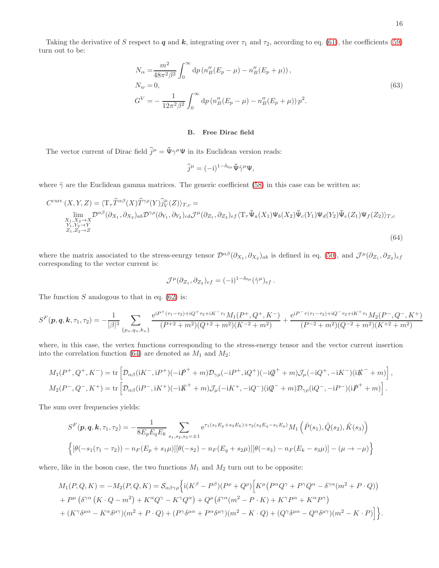Taking the derivative of S respect to q and k, integrating over  $\tau_1$  and  $\tau_2$ , according to eq. [\(61\)](#page-14-0), the coefficients [\(59\)](#page-14-1) turn out to be:

<span id="page-15-1"></span>
$$
N_{\alpha} = \frac{m^2}{48\pi^2 \beta^2} \int_0^{\infty} dp \left( n''_B (E_p - \mu) - n''_B (E_p + \mu) \right),
$$
  
\n
$$
N_w = 0,
$$
  
\n
$$
G^V = -\frac{1}{12\pi^2 \beta^2} \int_0^{\infty} dp \left( n''_B (E_p - \mu) - n''_B (E_p + \mu) \right) p^2.
$$
\n(63)

#### B. Free Dirac field

The vector current of Dirac field  $\hat{j}^{\mu} = \bar{\Psi} \gamma^{\mu} \Psi$  in its Euclidean version reads:

<span id="page-15-0"></span>
$$
\widehat{j}^{\mu}=(-i)^{1-\delta_{0\mu}}\bar{\Psi}\tilde{\gamma}^{\mu}\Psi,
$$

where  $\tilde{\gamma}$  are the Euclidean gamma matrices. The generic coefficient [\(58\)](#page-13-4) in this case can be written as:

$$
C^{\text{curr.}}(X, Y, Z) = \langle T_{\tau} \hat{T}^{\alpha\beta}(X) \hat{T}^{\gamma\rho}(Y) \hat{j}^{\mu}_{V}(Z) \rangle_{T,c} =
$$
  
\n
$$
\lim_{\substack{X_1, X_2 \to X \\ Y_1, Y_2 \to Y}} \mathcal{D}^{\alpha\beta}(\partial_{X_1}, \partial_{X_2})_{ab} \mathcal{D}^{\gamma\rho}(\partial_{Y_1}, \partial_{Y_2})_{cd} \mathcal{J}^{\mu}(\partial_{Z_1}, \partial_{Z_2})_{ef} \langle T_{\tau} \bar{\Psi}_a(X_1) \Psi_b(X_2) \bar{\Psi}_c(Y_1) \Psi_d(Y_2) \bar{\Psi}_e(Z_1) \Psi_f(Z_2) \rangle_{T,c}
$$
  
\n
$$
\hat{\Psi}_1, \hat{Y}_2 \to Y
$$
\n
$$
\hat{Z}_1, \hat{Z}_2 \to Z
$$
\n(64)

where the matrix associated to the stress-eenrgy tensor  $\mathcal{D}^{\alpha\beta}(\partial_{X_1}, \partial_{X_2})_{ab}$  is defined in eq. [\(50\)](#page-11-0), and  $\mathcal{J}^{\mu}(\partial_{Z_1}, \partial_{Z_2})_{ef}$ corresponding to the vector current is:

$$
\mathcal{J}^{\mu}(\partial z_1, \partial z_2)_{ef} = (-i)^{1-\delta_{0\mu}} (\tilde{\gamma}^{\mu})_{ef}.
$$

The function  $S$  analogous to that in eq. [\(62\)](#page-14-2) is:

$$
S^{F}(p,q,k,\tau_{1},\tau_{2}) = -\frac{1}{|\beta|^{3}} \sum_{\{p_{n},q_{n},k_{n}\}} \frac{e^{iP^{+}(\tau_{1}-\tau_{2})+iQ^{+}\tau_{2}+iK^{-}\tau_{1}}M_{1}(P^{+},Q^{+},K^{-})}{(P^{+2}+m^{2})(Q^{+2}+m^{2})(K^{-2}+m^{2})} + \frac{e^{iP^{-}\tau(\tau_{1}-\tau_{2})+iQ^{-}\tau_{2}+iK^{+}\tau_{1}}M_{2}(P^{-},Q^{-},K^{+})}{(P^{-2}+m^{2})(Q^{-2}+m^{2})(K^{+2}+m^{2})}
$$

where, in this case, the vertex functions corresponding to the stress-energy tensor and the vector current insertion into the correlation function [\(64\)](#page-15-0) are denoted as  $M_1$  and  $M_2$ :

$$
M_1(P^+, Q^+, K^-) = \text{tr}\left[\mathcal{D}_{\alpha\beta}(iK^-, iP^+)(-i\rlap{/}P^+ + m)\mathcal{D}_{\gamma\rho}(-iP^+, iQ^+)(-i\rlap{/}P^+ + m)\mathcal{J}_\mu(-iQ^+, -iK^-)(iK^- + m)\right],
$$
  
\n
$$
M_2(P^-, Q^-, K^+) = \text{tr}\left[\mathcal{D}_{\alpha\beta}(iP^-, iK^+)(-iK^+ + m)\mathcal{J}_\mu(-iK^+, -iQ^-)(iQ^- + m)\mathcal{D}_{\gamma\rho}(iQ^-, -iP^-)(iP^+ + m)\right].
$$

The sum over frequencies yields:

$$
S^{F}(\mathbf{p}, \mathbf{q}, \mathbf{k}, \tau_{1}, \tau_{2}) = -\frac{1}{8E_{p}E_{q}E_{k}} \sum_{s_{1}, s_{2}, s_{3}=\pm 1} e^{\tau_{1}(s_{1}E_{p}+s_{3}E_{k})+\tau_{2}(s_{2}E_{q}-s_{1}E_{p})} M_{1}(\tilde{P}(s_{1}), \tilde{Q}(s_{2}), \tilde{K}(s_{3}))
$$

$$
\left\{ [\theta(-s_{1}(\tau_{1}-\tau_{2})) - n_{F}(E_{p}+s_{1}\mu)][\theta(-s_{2}) - n_{F}(E_{q}+s_{2}\mu)][\theta(-s_{3}) - n_{F}(E_{k}-s_{3}\mu)] - (\mu \to -\mu) \right\}
$$

where, like in the boson case, the two functions  $M_1$  and  $M_2$  turn out to be opposite:

$$
M_1(P,Q,K) = -M_2(P,Q,K) = \mathcal{S}_{\alpha\beta\gamma\rho} \Big\{ i(K^\beta - P^\beta)(P^\rho + Q^\rho) \Big[ K^\mu (P^\alpha Q^\gamma + P^\gamma Q^\alpha - \delta^{\gamma\alpha}(m^2 + P \cdot Q))
$$
  
+  $P^\mu (\delta^{\gamma\alpha} (K \cdot Q - m^2) + K^\alpha Q^\gamma - K^\gamma Q^\alpha) + Q^\mu (\delta^{\gamma\alpha}(m^2 - P \cdot K) + K^\gamma P^\alpha + K^\alpha P^\gamma)$   
+  $(K^\gamma \delta^{\mu\alpha} - K^\alpha \delta^{\mu\gamma})(m^2 + P \cdot Q) + (P^\gamma \delta^{\mu\alpha} + P^\alpha \delta^{\mu\gamma})(m^2 - K \cdot Q) + (Q^\gamma \delta^{\mu\alpha} - Q^\alpha \delta^{\mu\gamma})(m^2 - K \cdot P) \Big] \Big\}.$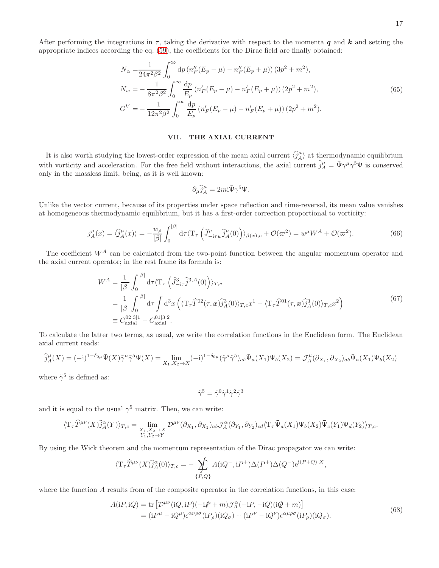After performing the integrations in  $\tau$ , taking the derivative with respect to the momenta q and k and setting the appropriate indices according the eq. [\(59\)](#page-14-1), the coefficients for the Dirac field are finally obtained:

$$
N_{\alpha} = \frac{1}{24\pi^{2}\beta^{2}} \int_{0}^{\infty} dp \left( n_{F}''(E_{p} - \mu) - n_{F}''(E_{p} + \mu) \right) (3p^{2} + m^{2}),
$$
  
\n
$$
N_{w} = -\frac{1}{8\pi^{2}\beta^{2}} \int_{0}^{\infty} \frac{dp}{E_{p}} \left( n_{F}'(E_{p} - \mu) - n_{F}'(E_{p} + \mu) \right) (2p^{2} + m^{2}),
$$
  
\n
$$
G^{V} = -\frac{1}{12\pi^{2}\beta^{2}} \int_{0}^{\infty} \frac{dp}{E_{p}} \left( n_{F}'(E_{p} - \mu) - n_{F}'(E_{p} + \mu) \right) (2p^{2} + m^{2}).
$$
\n(65)

#### <span id="page-16-3"></span>VII. THE AXIAL CURRENT

It is also worth studying the lowest-order expression of the mean axial current  $\langle \hat{j}_A^\mu \rangle$  at thermodynamic equilibrium with vorticity and acceleration. For the free field without interactions, the axial current  $\hat{j}_A^\mu = \bar{\Psi} \gamma^\mu \gamma^5 \Psi$  is conserved only in the massless limit, being, as it is well known:

<span id="page-16-2"></span><span id="page-16-1"></span>
$$
\partial_\mu \widehat{j}_A^\mu = 2 m {\rm i} \bar\Psi \gamma^5 \Psi.
$$

Unlike the vector current, because of its properties under space reflection and time-reversal, its mean value vanishes at homogeneous thermodynamic equilibrium, but it has a first-order correction proportional to vorticity:

$$
j_A^{\mu}(x) = \langle \hat{j}_A^{\mu}(x) \rangle = -\frac{w_\rho}{|\beta|} \int_0^{|\beta|} d\tau \langle \mathcal{T}_{\tau} \left( \hat{J}_{-i\tau u}^{\rho} \hat{j}_A^{\mu}(0) \right) \rangle_{\beta(x),c} + \mathcal{O}(\varpi^2) = w^{\mu} W^A + \mathcal{O}(\varpi^2). \tag{66}
$$

The coefficient  $W^A$  can be calculated from the two-point function between the angular momentum operator and the axial current operator; in the rest frame its formula is:

$$
W^{A} = \frac{1}{|\beta|} \int_{0}^{|\beta|} d\tau \langle T_{\tau} \left( \hat{J}_{-i\tau}^{3} \hat{J}^{3,A}(0) \right) \rangle_{T,c}
$$
  
\n
$$
= \frac{1}{|\beta|} \int_{0}^{|\beta|} d\tau \int_{0}^{1} d^{3}x \left( \langle T_{\tau} \hat{T}^{02}(\tau, x) \hat{j}^{3}_{A}(0) \rangle_{T,c} x^{1} - \langle T_{\tau} \hat{T}^{01}(\tau, x) \hat{j}^{3}_{A}(0) \rangle_{T,c} x^{2} \right)
$$
  
\n
$$
\equiv C_{\text{axial}}^{02|3|1} - C_{\text{axial}}^{01|3|2}.
$$
\n(67)

To calculate the latter two terms, as usual, we write the correlation functions in the Euclidean form. The Euclidean axial current reads:

$$
\widehat{j}_A^{\mu}(X) = (-i)^{1-\delta_{0\mu}} \bar{\Psi}(X)\tilde{\gamma}^{\mu}\tilde{\gamma}^5 \Psi(X) = \lim_{X_1, X_2 \to X} (-i)^{1-\delta_{0\mu}} (\tilde{\gamma}^{\mu}\tilde{\gamma}^5)_{ab} \bar{\Psi}_a(X_1)\Psi_b(X_2) = \mathcal{J}_A^{\mu}(\partial_{X_1}, \partial_{X_2})_{ab} \bar{\Psi}_a(X_1)\Psi_b(X_2)
$$

where  $\tilde{\gamma}^5$  is defined as:

<span id="page-16-0"></span>
$$
\tilde{\gamma}^5=\tilde{\gamma}^0\tilde{\gamma}^1\tilde{\gamma}^2\tilde{\gamma}^3
$$

and it is equal to the usual  $\gamma^5$  matrix. Then, we can write:

$$
\langle T_{\tau}\widehat{T}^{\mu\nu}(X)\widehat{j}_{A}^{\alpha}(Y)\rangle_{T,c} = \lim_{\substack{X_1, X_2 \to X \\ Y_1, Y_2 \to Y}} \mathcal{D}^{\mu\nu}(\partial_{X_1}, \partial_{X_2})_{ab} \mathcal{J}_{A}^{\alpha}(\partial_{Y_1}, \partial_{Y_2})_{cd} \langle T_{\tau}\overline{\Psi}_a(X_1)\Psi_b(X_2)\overline{\Psi}_c(Y_1)\Psi_d(Y_2)\rangle_{T,c}.
$$

By using the Wick theorem and the momentum representation of the Dirac propagator we can write:

$$
\langle {\rm T}_{\tau}\widehat{T}^{\mu\nu}(X)\widehat{j}_{A}^{\alpha}(0)\rangle_{T,c}=-\sum_{\{P,Q\}}A({\rm i}Q^{-},{\rm i}P^{+})\Delta(P^{+})\Delta(Q^{-}){\rm e}^{{\rm i}(P+Q)\cdot X},
$$

where the function A results from of the composite operator in the correlation functions, in this case:

$$
A(iP, iQ) = \text{tr}\left[D^{\mu\nu}(iQ, iP)(-iP + m)\mathcal{J}_A^{\alpha}(-iP, -iQ)(iQ + m)\right]
$$
  
=  $(iP^{\mu} - iQ^{\mu})\epsilon^{\alpha\nu\rho\sigma}(iP_{\rho})(iQ_{\sigma}) + (iP^{\nu} - iQ^{\nu})\epsilon^{\alpha\mu\rho\sigma}(iP_{\rho})(iQ_{\sigma}).$  (68)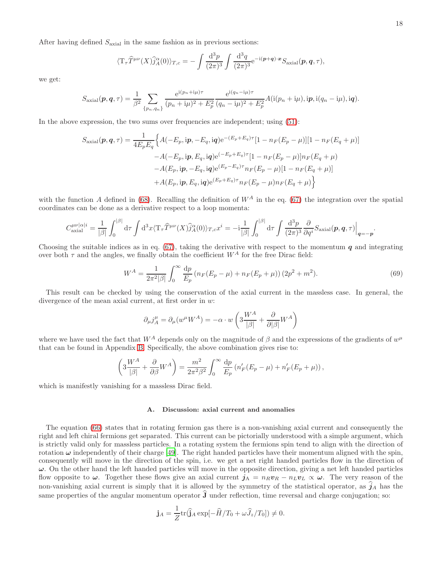After having defined  $S_{\text{axial}}$  in the same fashion as in previous sections:

$$
\langle T_{\tau}\widehat{T}^{\mu\nu}(X)\widehat{j}_{A}^{\alpha}(0)\rangle_{T,c} = -\int \frac{\mathrm{d}^{3}p}{(2\pi)^{3}}\int \frac{\mathrm{d}^{3}q}{(2\pi)^{3}} e^{-\mathrm{i}(\boldsymbol{p}+\boldsymbol{q})\cdot\boldsymbol{x}} S_{\text{axial}}(\boldsymbol{p},\boldsymbol{q},\tau),
$$

we get:

$$
S_{\text{axial}}(\boldsymbol{p}, \boldsymbol{q}, \tau) = \frac{1}{\beta^2} \sum_{\{p_n, q_n\}} \frac{e^{i(p_n + i\mu)\tau}}{(p_n + i\mu)^2 + E_p^2} \frac{e^{i(q_n - i\mu)\tau}}{(q_n - i\mu)^2 + E_p^2} A(i(p_n + i\mu), i\boldsymbol{p}, i(q_n - i\mu), i\boldsymbol{q}).
$$

In the above expression, the two sums over frequencies are independent; using [\(51\)](#page-12-2):

$$
S_{\text{axial}}(\boldsymbol{p}, \boldsymbol{q}, \tau) = \frac{1}{4E_pE_q} \Big\{ A(-E_p, i\boldsymbol{p}, -E_q, i\boldsymbol{q}) e^{-(E_p + E_q)\tau} [1 - n_F(E_p - \mu)][1 - n_F(E_q + \mu)] - A(-E_p, i\boldsymbol{p}, E_q, i\boldsymbol{q}) e^{(-E_p + E_q)\tau} [1 - n_F(E_p - \mu)] n_F(E_q + \mu) - A(E_p, i\boldsymbol{p}, -E_q, i\boldsymbol{q}) e^{(E_p - E_q)\tau} n_F(E_p - \mu)[1 - n_F(E_q + \mu)] + A(E_p, i\boldsymbol{p}, E_q, i\boldsymbol{q}) e^{(E_p + E_q)\tau} n_F(E_p - \mu) n_F(E_q + \mu) \Big\}
$$

with the function A defined in [\(68\)](#page-16-0). Recalling the definition of  $W^A$  in the eq. [\(67\)](#page-16-1) the integration over the spatial coordinates can be done as a derivative respect to a loop momenta:

$$
C_{\text{axial}}^{\mu\nu|\alpha|i} = \frac{1}{|\beta|} \int_0^{|\beta|} d\tau \int d^3x \langle \mathbf{T}_\tau \hat{T}^{\mu\nu}(X) \hat{j}_A^\alpha(0) \rangle_{T,c} x^i = -i \frac{1}{|\beta|} \int_0^{|\beta|} d\tau \int \frac{d^3p}{(2\pi)^3} \frac{\partial}{\partial q^i} S_{\text{axial}}(\mathbf{p}, \mathbf{q}, \tau) \Big|_{\mathbf{q} = -\mathbf{p}}.
$$

Choosing the suitable indices as in eq. [\(67\)](#page-16-1), taking the derivative with respect to the momentum  $q$  and integrating over both  $\tau$  and the angles, we finally obtain the coefficient  $W^A$  for the free Dirac field:

$$
W^{A} = \frac{1}{2\pi^{2}|\beta|} \int_{0}^{\infty} \frac{dp}{E_{p}} \left( n_{F}(E_{p} - \mu) + n_{F}(E_{p} + \mu) \right) (2p^{2} + m^{2}). \tag{69}
$$

This result can be checked by using the conservation of the axial current in the massless case. In general, the divergence of the mean axial current, at first order in w:

<span id="page-17-0"></span>
$$
\partial_{\mu} j_A^{\mu} = \partial_{\mu} (w^{\mu} W^A) = -\alpha \cdot w \left( 3 \frac{W^A}{|\beta|} + \frac{\partial}{\partial |\beta|} W^A \right)
$$

where we have used the fact that  $W^A$  depends only on the magnitude of  $\beta$  and the expressions of the gradients of  $w^{\mu}$ that can be found in Appendix [B.](#page-27-0) Specifically, the above combination gives rise to:

$$
\left(3\frac{W^A}{|\beta|} + \frac{\partial}{\partial \beta}W^A\right) = \frac{m^2}{2\pi^2\beta^2} \int_0^\infty \frac{\mathrm{d}p}{E_p} \left(n'_F(E_p - \mu) + n'_F(E_p + \mu)\right),
$$

which is manifestly vanishing for a massless Dirac field.

# A. Discussion: axial current and anomalies

The equation [\(66\)](#page-16-2) states that in rotating fermion gas there is a non-vanishing axial current and consequently the right and left chiral fermions get separated. This current can be pictorially understood with a simple argument, which is strictly valid only for massless particles. In a rotating system the fermions spin tend to align with the direction of rotation  $\omega$  independently of their charge [\[49\]](#page-31-37). The right handed particles have their momentum aligned with the spin, consequently will move in the direction of the spin, i.e. we get a net right handed particles flow in the direction of  $\omega$ . On the other hand the left handed particles will move in the opposite direction, giving a net left handed particles flow opposite to  $\omega$ . Together these flows give an axial current  $j_A = n_R v_R - n_L v_L \propto \omega$ . The very reason of the non-vanishing axial current is simply that it is allowed by the symmetry of the statistical operator, as  $\hat{j}_A$  has the same properties of the angular momentum operator  $\hat{\mathbf{J}}$  under reflection, time reversal and charge conjugation; so:

$$
\mathbf{j}_A = \frac{1}{Z} \text{tr}(\hat{\mathbf{j}}_A \exp[-\hat{H}/T_0 + \omega \hat{J}_z/T_0]) \neq 0.
$$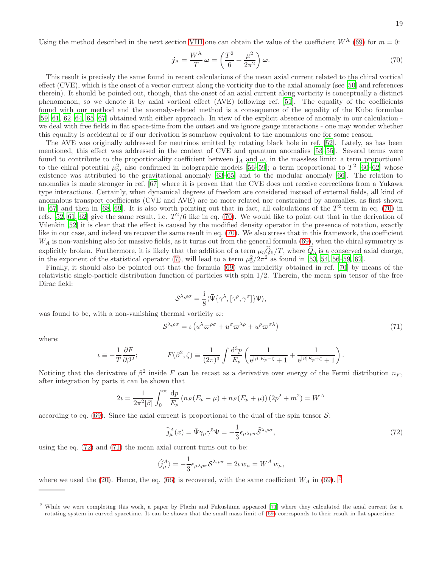<span id="page-18-0"></span>
$$
\dot{\jmath}_{A} = \frac{W^{A}}{T} \omega = \left(\frac{T^{2}}{6} + \frac{\mu^{2}}{2\pi^{2}}\right) \omega.
$$
\n(70)

This result is precisely the same found in recent calculations of the mean axial current related to the chiral vortical effect (CVE), which is the onset of a vector current along the vorticity due to the axial anomaly (see [\[50\]](#page-31-38) and references therein). It should be pointed out, though, that the onset of an axial current along vorticity is conceptually a distinct phenomenon, so we denote it by axial vortical effect (AVE) following ref. [\[51](#page-31-39)]. The equality of the coefficients found with our method and the anomaly-related method is a consequence of the equality of the Kubo formulae [\[59,](#page-32-0) [61,](#page-32-1) [62,](#page-32-2) [64,](#page-32-3) [65,](#page-32-4) [67\]](#page-32-5) obtained with either approach. In view of the explicit absence of anomaly in our calculation we deal with free fields in flat space-time from the outset and we ignore gauge interactions - one may wonder whether this equality is accidental or if our derivation is somehow equivalent to the anomalous one for some reason.

The AVE was originally addressed for neutrinos emitted by rotating black hole in ref. [\[52](#page-31-40)]. Lately, as has been mentioned, this effect was addressed in the context of CVE and quantum anomalies [\[53](#page-32-6)[–55\]](#page-32-7). Several terms were found to contribute to the proportionality coefficient between  $j_A$  and  $\omega$ , in the massless limit: a term proportional to the chiral potential  $\mu_5^2$ , also confirmed in holographic models [\[56](#page-32-8)[–59\]](#page-32-0); a term proportional to  $T^2$  [\[60](#page-32-9)[–62](#page-32-2)] whose existence was attributed to the gravitational anomaly [\[63](#page-32-10)[–65\]](#page-32-4) and to the modular anomaly [\[66\]](#page-32-11). The relation to anomalies is made stronger in ref. [\[67\]](#page-32-5) where it is proven that the CVE does not receive corrections from a Yukawa type interactions. Certainly, when dynamical degrees of freedom are considered instead of external fields, all kind of anomalous transport coefficients (CVE and AVE) are no more related nor constrained by anomalies, as first shown in [\[67\]](#page-32-5) and then in [\[68,](#page-32-12) [69](#page-32-13)]. It is also worth pointing out that in fact, all calculations of the  $T^2$  term in eq. [\(70\)](#page-18-0) in refs. [\[52](#page-31-40), [61,](#page-32-1) [62\]](#page-32-2) give the same result, i.e.  $T^2/6$  like in eq. [\(70\)](#page-18-0). We would like to point out that in the derivation of Vilenkin [\[52\]](#page-31-40) it is clear that the effect is caused by the modified density operator in the presence of rotation, exactly like in our case, and indeed we recover the same result in eq. [\(70\)](#page-18-0). We also stress that in this framework, the coefficient  $W_A$  is non-vanishing also for massive fields, as it turns out from the general formula [\(69\)](#page-17-0), when the chiral symmetry is explicitly broken. Furthermore, it is likely that the addition of a term  $\mu_5\hat{Q}_5/T$ , where  $\hat{Q}_5$  is a conserved axial charge, in the exponent of the statistical operator [\(7\)](#page-2-0), will lead to a term  $\mu_5^2/2\pi^2$  as found in [\[53,](#page-32-6) [54,](#page-32-14) [56](#page-32-8)[–59,](#page-32-0) [62\]](#page-32-2).

Finally, it should also be pointed out that the formula [\(69\)](#page-17-0) was implicitly obtained in ref. [\[70\]](#page-32-15) by means of the relativistic single-particle distribution function of particles with spin 1/2. Therein, the mean spin tensor of the free Dirac field:

<span id="page-18-2"></span>
$$
\mathcal{S}^{\lambda,\rho\sigma} = \frac{\mathrm{i}}{8} \langle \bar{\Psi} \{ \gamma^{\lambda}, [\gamma^{\rho}, \gamma^{\sigma}] \} \Psi \rangle,
$$

was found to be, with a non-vanishing thermal vorticity  $\varpi$ :

$$
S^{\lambda,\rho\sigma} = \iota \left( u^{\lambda} \varpi^{\rho\sigma} + u^{\sigma} \varpi^{\lambda\rho} + u^{\rho} \varpi^{\sigma\lambda} \right) \tag{71}
$$

where:

$$
\iota \equiv -\frac{1}{T} \frac{\partial F}{\partial \beta^2}; \qquad \qquad F(\beta^2,\zeta) \equiv \frac{1}{(2\pi)^3} \int \frac{\mathrm{d}^3 p}{E_p} \left( \frac{1}{\mathrm{e}^{|\beta|E_p-\zeta}+1} + \frac{1}{\mathrm{e}^{|\beta|E_p+\zeta}+1} \right).
$$

Noticing that the derivative of  $\beta^2$  inside F can be recast as a derivative over energy of the Fermi distribution  $n_F$ , after integration by parts it can be shown that

$$
2\iota = \frac{1}{2\pi^2|\beta|} \int_0^\infty \frac{dp}{E_p} \left( n_F(E_p - \mu) + n_F(E_p + \mu) \right) (2p^2 + m^2) = W^A
$$

according to eq.  $(69)$ . Since the axial current is proportional to the dual of the spin tensor  $\mathcal{S}$ :

<span id="page-18-1"></span>
$$
\widehat{j}_{\mu}^{A}(x) = \bar{\Psi}\gamma_{\mu}\gamma^{5}\Psi = -\frac{1}{3}\epsilon_{\mu\lambda\rho\sigma}\widehat{S}^{\lambda,\rho\sigma},\tag{72}
$$

using the eq. [\(72\)](#page-18-1) and [\(71\)](#page-18-2) the mean axial current turns out to be:

$$
\langle \hat{j}_{\mu}^{A} \rangle = -\frac{1}{3} \epsilon_{\mu\lambda\rho\sigma} S^{\lambda,\rho\sigma} = 2\iota w_{\mu} = W^{A} w_{\mu},
$$

where we used the [\(20\)](#page-4-3). Hence, the eq. [\(66\)](#page-16-2) is recovered, with the same coefficient  $W_A$  in [\(69\)](#page-17-0). <sup>[2](#page-18-3)</sup>

<span id="page-18-3"></span><sup>2</sup> While we were completing this work, a paper by Flachi and Fukushima appeared [\[71](#page-32-16)] where they calculated the axial current for a rotating system in curved spacetime. It can be shown that the small mass limit of  $(69)$  corresponds to their result in flat spacetime.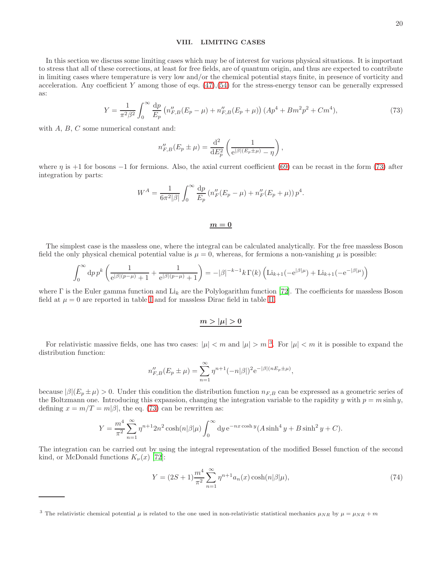# <span id="page-19-0"></span>VIII. LIMITING CASES

<span id="page-19-1"></span>In this section we discuss some limiting cases which may be of interest for various physical situations. It is important to stress that all of these corrections, at least for free fields, are of quantum origin, and thus are expected to contribute in limiting cases where temperature is very low and/or the chemical potential stays finite, in presence of vorticity and acceleration. Any coefficient Y among those of eqs.  $(47),(54)$  $(47),(54)$  for the stress-energy tensor can be generally expressed as:

$$
Y = \frac{1}{\pi^2 \beta^2} \int_0^\infty \frac{dp}{E_p} \left( n_{F,B}''(E_p - \mu) + n_{F,B}''(E_p + \mu) \right) (Ap^4 + Bm^2p^2 + Cm^4),\tag{73}
$$

with A, B, C some numerical constant and:

$$
n_{F,B}''(E_p \pm \mu) = \frac{d^2}{dE_p^2} \left( \frac{1}{e^{|\beta|(E_p \pm \mu)} - \eta} \right),
$$

where  $\eta$  is +1 for bosons -1 for fermions. Also, the axial current coefficient [\(69\)](#page-17-0) can be recast in the form [\(73\)](#page-19-1) after integration by parts:

$$
W^{A} = \frac{1}{6\pi^{2}|\beta|} \int_{0}^{\infty} \frac{dp}{E_{p}} (n''_{F}(E_{p} - \mu) + n''_{F}(E_{p} + \mu)) p^{4}.
$$

$$
\underline{m=0}
$$

The simplest case is the massless one, where the integral can be calculated analytically. For the free massless Boson field the only physical chemical potential value is  $\mu = 0$ , whereas, for fermions a non-vanishing  $\mu$  is possible:

$$
\int_0^\infty {\rm d}p\, p^k \left( \frac{1}{\mathrm{e}^{|\beta|(p-\mu)}+1} + \frac{1}{\mathrm{e}^{|\beta|(p-\mu)}+1} \right) = -|\beta|^{-k-1} k \, \Gamma(k) \left( \mathrm{Li}_{k+1}(-\mathrm{e}^{|\beta|\mu}) + \mathrm{Li}_{k+1}(-\mathrm{e}^{-|\beta|\mu}) \right)
$$

where  $\Gamma$  is the Euler gamma function and Li<sub>k</sub> are the Polylogarithm function [\[72\]](#page-32-17). The coefficients for massless Boson field at  $\mu = 0$  are reported in table [I](#page-20-0) and for massless Dirac field in table [II.](#page-21-0)

$$
m>|\mu|>0
$$

For relativistic massive fields, one has two cases:  $|\mu| < m$  and  $|\mu| > m^3$  $|\mu| > m^3$ . For  $|\mu| < m$  it is possible to expand the distribution function:

$$
n_{F,B}^{"}(E_p \pm \mu) = \sum_{n=1}^{\infty} \eta^{n+1} (-n|\beta|)^2 e^{-|\beta|(nE_p \pm \mu)},
$$

because  $|\beta|(E_p \pm \mu) > 0$ . Under this condition the distribution function  $n_{F,B}$  can be expressed as a geometric series of the Boltzmann one. Introducing this expansion, changing the integration variable to the rapidity y with  $p = m \sinh y$ , defining  $x = m/T = m|\beta|$ , the eq. [\(73\)](#page-19-1) can be rewritten as:

$$
Y = \frac{m^4}{\pi^2} \sum_{n=1}^{\infty} \eta^{n+1} 2n^2 \cosh(n|\beta|\mu) \int_0^{\infty} dy e^{-nx \cosh y} (A \sinh^4 y + B \sinh^2 y + C).
$$

The integration can be carried out by using the integral representation of the modified Bessel function of the second kind, or McDonald functions  $K_{\nu}(x)$  [\[72\]](#page-32-17):

<span id="page-19-3"></span>
$$
Y = (2S+1)\frac{m^4}{\pi^2} \sum_{n=1}^{\infty} \eta^{n+1} a_n(x) \cosh(n|\beta|\mu), \tag{74}
$$

<span id="page-19-2"></span><sup>&</sup>lt;sup>3</sup> The relativistic chemical potential  $\mu$  is related to the one used in non-relativistic statistical mechanics  $\mu_{NR}$  by  $\mu = \mu_{NR} + m$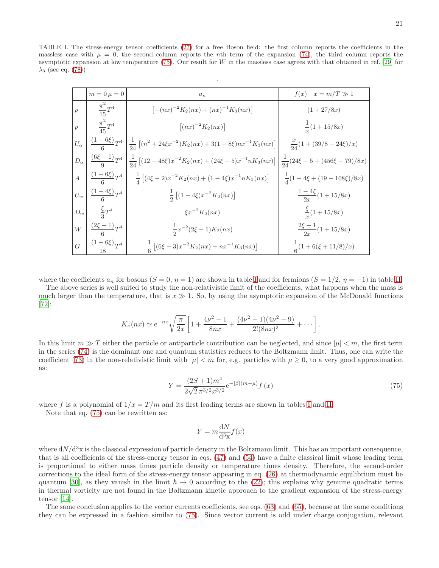<span id="page-20-0"></span>TABLE I. The stress-energy tensor coefficients [\(27\)](#page-6-2) for a free Boson field: the first column reports the coefficients in the massless case with  $\mu = 0$ , the second column reports the *n*th term of the expansion [\(74\)](#page-19-3), the third column reports the asymptotic expansion at low temperature [\(75\)](#page-20-1). Our result for W in the massless case agrees with that obtained in ref. [\[29](#page-31-18)] for  $\lambda_3$  (see eq. [\(78\)](#page-24-0))

.

| $m=0 \mu=0$                                      | $a_n$                                                                                                                                                   | $f(x)$ $x = m/T \gg 1$                 |
|--------------------------------------------------|---------------------------------------------------------------------------------------------------------------------------------------------------------|----------------------------------------|
| $\left  \rho \right  = \frac{\pi^2}{15} T^4$     | $[-(nx)^{-2}K_2(nx) + (nx)^{-1}K_3(nx)]$                                                                                                                | $(1 + 27/8x)$                          |
| $p \frac{\pi^2}{45}T^4$                          | $[(nx)^{-2}K_2(nx)]$                                                                                                                                    | $\frac{1}{x}(1+15/8x)$                 |
|                                                  | $U_{\alpha} \left[ \frac{(1-6\xi)}{6} T^4 \left[ \frac{1}{24} \left[ (n^2 + 24\xi x^{-2}) K_2(nx) + 3(1-8\xi) n x^{-1} K_3(nx) \right] \right] \right]$ | $\frac{x}{24}(1+(39/8-24\xi)/x)$       |
|                                                  | $ D_{\alpha}  \frac{(6\xi-1)}{9}T^4  _{\frac{1}{24}} [(12-48\xi)x^{-2}K_2(nx) + (24\xi-5)x^{-1}nK_3(nx)]$                                               | $\frac{1}{24}(24\xi-5+(456\xi-79)/8x)$ |
|                                                  | $A \left[ \frac{(1-6\xi)}{6} T^4 \right] \left[ (4\xi - 2)x^{-2} K_2(nx) + (1-4\xi)x^{-1} n K_3(nx) \right]$                                            | $\frac{1}{4}(1-4\xi+(19-108\xi)/8x)$   |
| $U_w \left[ \frac{(1-4\xi)}{\kappa} T^4 \right]$ | $\frac{1}{2} [(1-4\xi)x^{-2}K_2(nx)]$                                                                                                                   | $\frac{1-4\xi}{2x}(1+15/8x)$           |
| $D_w$ $\frac{\xi}{2}T^4$                         | $\xi x^{-2} K_2(nx)$                                                                                                                                    | $\frac{\xi}{x}(1+15/8x)$               |
| $W \mid \frac{(2\xi-1)}{6}T^4$                   | $\frac{1}{2}x^{-2}(2\xi-1)K_2(nx)$                                                                                                                      | $\frac{2\xi-1}{2x}(1+15/8x)$           |
| $G \left[ \frac{(1+6\xi)}{10} T^4 \right]$       | $\frac{1}{6} \left[ (6\xi - 3)x^{-2} K_2(nx) + nx^{-1} K_3(nx) \right]$                                                                                 | $\frac{1}{6}(1+6(\xi+11/8)/x)$         |

where the coefficients  $a_n$  for bosons  $(S = 0, \eta = 1)$  are shown in table [I](#page-20-0) and for fermions  $(S = 1/2, \eta = -1)$  in table [II.](#page-21-0)

The above series is well suited to study the non-relativistic limit of the coefficients, what happens when the mass is much larger than the temperature, that is  $x \gg 1$ . So, by using the asymptotic expansion of the McDonald functions [\[72\]](#page-32-17):

$$
K_{\nu}(nx) \simeq e^{-nx} \sqrt{\frac{\pi}{2x}} \left[ 1 + \frac{4\nu^2 - 1}{8nx} + \frac{(4\nu^2 - 1)(4\nu^2 - 9)}{2!(8nx)^2} + \cdots \right].
$$

<span id="page-20-1"></span>In this limit  $m \gg T$  either the particle or antiparticle contribution can be neglected, and since  $|\mu| < m$ , the first term in the series [\(74\)](#page-19-3) is the dominant one and quantum statistics reduces to the Boltzmann limit. Thus, one can write the coefficient [\(73\)](#page-19-1) in the non-relativistic limit with  $|\mu| < m$  for, e.g. particles with  $\mu > 0$ , to a very good approximation as:

$$
Y = \frac{(2S+1)m^4}{2\sqrt{2}\pi^{3/2}x^{3/2}}e^{-|\beta|(m-\mu)}f(x)
$$
\n(75)

where f is a polynomial of  $1/x = T/m$  and its first leading terms are shown in tables [I](#page-20-0) and [II.](#page-21-0)

Note that eq. [\(75\)](#page-20-1) can be rewritten as:

$$
Y = m \frac{\mathrm{d}N}{\mathrm{d}^3 \mathbf{x}} f(x)
$$

where  $dN/d^3x$  is the classical expression of particle density in the Boltzmann limit. This has an important consequence, that is all coefficients of the stress-energy tensor in eqs. [\(47\)](#page-10-1) and [\(54\)](#page-13-0) have a finite classical limit whose leading term is proportional to either mass times particle density or temperature times density. Therefore, the second-order corrections to the ideal form of the stress-energy tensor appearing in eq. [\(26\)](#page-6-1) at thermodynamic equilibrium must be quantum [\[30\]](#page-31-20), as they vanish in the limit  $\hbar \to 0$  according to the [\(22\)](#page-5-3); this explains why genuine quadratic terms in thermal vorticity are not found in the Boltzmann kinetic approach to the gradient expansion of the stress-energy tensor [\[14\]](#page-31-3).

The same conclusion applies to the vector currents coefficients, see eqs. [\(63\)](#page-15-1) and [\(65\)](#page-16-3), because at the same conditions they can be expressed in a fashion similar to [\(75\)](#page-20-1). Since vector current is odd under charge conjugation, relevant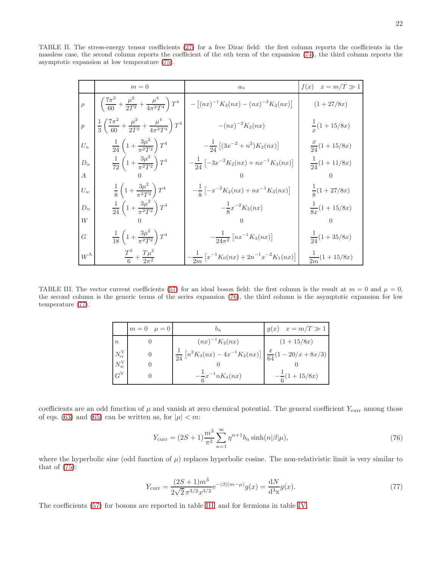TABLE II. The stress-energy tensor coefficients [\(27\)](#page-6-2) for a free Dirac field: the first column reports the coefficients in the massless case, the second column reports the coefficient of the nth term of the expansion [\(74\)](#page-19-3), the third column reports the asymptotic expansion at low temperature [\(75\)](#page-20-1).

<span id="page-21-0"></span>

|                | $m=0$                                                                                             | $a_n$                                                          | f(x)<br>$x = m/T \gg 1$ |
|----------------|---------------------------------------------------------------------------------------------------|----------------------------------------------------------------|-------------------------|
|                | $\rho \quad \left( \frac{7\pi^2}{60} + \frac{\mu^2}{2T^2} + \frac{\mu^4}{4\pi^2 T^4} \right) T^4$ | $-[(nx)^{-1}K_3(nx) - (nx)^{-2}K_2(nx)]$                       | $(1 + 27/8x)$           |
| $\overline{p}$ | $\frac{1}{3}\left(\frac{7\pi^2}{60}+\frac{\mu^2}{2T^2}+\frac{\mu^4}{4\pi^2T^4}\right)T^4$         | $-(nx)^{-2}K_2(nx)$                                            | $\frac{1}{x}(1+15/8x)$  |
| $U_{\alpha}$   | $\frac{1}{24}\left(1+\frac{3\mu^2}{\pi^2T^2}\right)T^4$                                           | $-\frac{1}{24}\left[ (3x^{-2}+n^2)K_2(nx) \right]$             | $\frac{x}{24}(1+15/8x)$ |
| $D_{\alpha}$   | $\frac{1}{72}\left(1+\frac{3\mu^2}{\pi^2T^2}\right)T^4$                                           | $-\frac{1}{24}\left[-3x^{-2}K_2(nx)+nx^{-1}K_3(nx)\right]$     | $\frac{1}{24}(1+11/8x)$ |
| $\overline{A}$ |                                                                                                   |                                                                |                         |
| $U_w$          | $\frac{1}{8}\left(1+\frac{3\mu^2}{\pi^2T^2}\right)T^4$                                            | $-\frac{1}{8}\left[-x^{-2}K_2(nx)+nx^{-1}K_3(nx)\right]$       | $\frac{1}{8}(1+27/8x)$  |
| $D_w$          | $rac{1}{24}\left(1+\frac{3\mu^2}{\pi^2T^2}\right)T^4$                                             | $-\frac{1}{8}x^{-2}K_2(nx)$                                    | $\frac{1}{8x}(1+15/8x)$ |
| W              |                                                                                                   |                                                                |                         |
| G              | $\frac{1}{18}\left(1+\frac{3\mu^2}{\pi^2T^2}\right)T^4$                                           | $-\frac{1}{24\pi^2}\left[nx^{-1}K_3(nx)\right]$                | $\frac{1}{24}(1+35/8x)$ |
| $W^{\rm A}$    | $rac{T^3}{6} + \frac{T\mu^2}{2\pi^2}$                                                             | $-\frac{1}{2m}\left[x^{-1}K_0(nx)+2n^{-1}x^{-2}K_1(nx)\right]$ | $\frac{1}{2m}(1+15/8x)$ |

<span id="page-21-3"></span>TABLE III. The vector current coefficients [\(57\)](#page-13-3) for an ideal boson field: the first column is the result at  $m = 0$  and  $\mu = 0$ , the second column is the generic terms of the series expansion [\(76\)](#page-21-1), the third column is the asymptotic expansion for low temperature [\(77\)](#page-21-2).

|                      | $m=0$ $\mu=0$ | $v_n$                                                                                          | $g(x)$ $x = m/T \gg 1$  |
|----------------------|---------------|------------------------------------------------------------------------------------------------|-------------------------|
| $\boldsymbol{n}$     |               | $(nx)^{-1}K_2(nx)$                                                                             | $(1+15/8x)$             |
| $N_{\alpha}^{\rm V}$ |               | $\frac{1}{24}\left[n^2K_3(nx) - 4x^{-1}K_2(nx)\right]\left \frac{x}{64}(1-20/x + 8x/3)\right $ |                         |
| $N_w^{\rm V}$        |               |                                                                                                |                         |
| $G^V$                |               | $-\frac{1}{e}x^{-1}nK_3(nx)$                                                                   | $-\frac{1}{6}(1+15/8x)$ |

coefficients are an odd function of  $\mu$  and vanish at zero chemical potential. The general coefficient  $Y_{\text{curr}}$  among those of eqs. [\(63\)](#page-15-1) and [\(65\)](#page-16-3) can be written as, for  $|\mu| < m$ :

<span id="page-21-1"></span>
$$
Y_{\text{curr}} = (2S + 1)\frac{m^3}{\pi^2} \sum_{n=1}^{\infty} \eta^{n+1} b_n \sinh(n|\beta|\mu), \tag{76}
$$

<span id="page-21-2"></span>where the hyperbolic sine (odd function of  $\mu$ ) replaces hyperbolic cosine. The non-relativistic limit is very similar to that of  $(75)$ :

$$
Y_{\text{curr}} = \frac{(2S+1)m^3}{2\sqrt{2}\pi^{3/2}x^{3/2}}e^{-|\beta|(m-\mu)}g(x) = \frac{dN}{d^3x}g(x). \tag{77}
$$

The coefficients [\(57\)](#page-13-3) for bosons are reported in table [III,](#page-21-3) and for fermions in table [IV.](#page-22-0)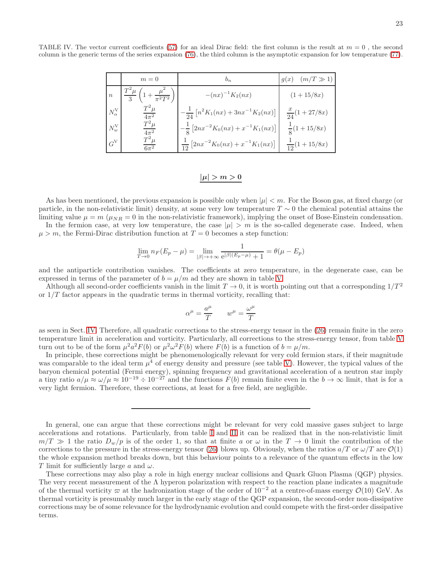23

<span id="page-22-0"></span>TABLE IV. The vector current coefficients [\(57\)](#page-13-3) for an ideal Dirac field: the first column is the result at  $m = 0$ , the second column is the generic terms of the series expansion [\(76\)](#page-21-1), the third column is the asymptotic expansion for low temperature [\(77\)](#page-21-2).

|                      | $m=0$                                                 | $b_n$                                                       | $g(x)$ $(m/T \gg 1)$    |
|----------------------|-------------------------------------------------------|-------------------------------------------------------------|-------------------------|
| $\boldsymbol{n}$     | $T^2\mu$<br>$\frac{\mu}{\pi^2 T^2}$<br>$\overline{3}$ | $-(nx)^{-1}K_2(nx)$                                         | $(1+15/8x)$             |
| $N_{\alpha}^{\rm V}$ | $T^2\mu$<br>$4\pi^2$                                  | $\frac{1}{24} [n^2 K_1(nx) + 3nx^{-1} K_2(nx)]$             | $\frac{x}{24}(1+27/8x)$ |
| $N^{\mathrm{V}}_w$   | $T^2\mu$<br>$4\pi^2$                                  | $-\frac{1}{8}\left[2nx^{-2}K_0(nx) + x^{-1}K_1(nx)\right]$  | $\frac{1}{8}(1+15/8x)$  |
| $G^V$                | $T^2\mu$<br>$6\pi^2$                                  | $\frac{1}{12} \left[2nx^{-2}K_0(nx) + x^{-1}K_1(nx)\right]$ | $\frac{1}{12}(1+15/8x)$ |

# $|\mu| > m > 0$

As has been mentioned, the previous expansion is possible only when  $|\mu| < m$ . For the Boson gas, at fixed charge (or particle, in the non-relativistic limit) density, at some very low temperature  $T \sim 0$  the chemical potential attains the limiting value  $\mu = m$  ( $\mu_{NR} = 0$  in the non-relativistic framework), implying the onset of Bose-Einstein condensation.

In the fermion case, at very low temperature, the case  $|\mu| > m$  is the so-called degenerate case. Indeed, when  $\mu > m$ , the Fermi-Dirac distribution function at  $T = 0$  becomes a step function:

$$
\lim_{T \to 0} n_F(E_p - \mu) = \lim_{|\beta| \to +\infty} \frac{1}{e^{|\beta|(E_p - \mu)} + 1} = \theta(\mu - E_p)
$$

and the antiparticle contribution vanishes. The coefficients at zero temperature, in the degenerate case, can be expressed in terms of the parameter of  $b = \mu/m$  ad they are shown in table [V.](#page-23-0)

Although all second-order coefficients vanish in the limit  $T \to 0$ , it is worth pointing out that a corresponding  $1/T^2$ or  $1/T$  factor appears in the quadratic terms in thermal vorticity, recalling that:

$$
\alpha^{\mu} = \frac{a^{\mu}}{T} \qquad w^{\mu} = \frac{\omega^{\mu}}{T}
$$

as seen in Sect. [IV.](#page-4-4) Therefore, all quadratic corrections to the stress-energy tensor in the [\(26\)](#page-6-1) remain finite in the zero temperature limit in acceleration and vorticity. Particularly, all corrections to the stress-energy tensor, from table [V](#page-23-0) turn out to be of the form  $\mu^2 a^2 F(b)$  or  $\mu^2 \omega^2 F(b)$  where  $F(b)$  is a function of  $b = \mu/m$ .

In principle, these corrections might be phenomenologically relevant for very cold fermion stars, if their magnitude was comparable to the ideal term  $\mu^4$  of energy density and pressure (see table [V\)](#page-23-0). However, the typical values of the baryon chemical potential (Fermi energy), spinning frequency and gravitational acceleration of a neutron star imply a tiny ratio  $a/\mu \approx \omega/\mu \approx 10^{-19} \div 10^{-27}$  and the functions  $F(b)$  remain finite even in the  $b \to \infty$  limit, that is for a very light fermion. Therefore, these corrections, at least for a free field, are negligible.

In general, one can argue that these corrections might be relevant for very cold massive gases subject to large accelerations and rotations. Particularly, from table [I](#page-20-0) and [II](#page-21-0) it can be realized that in the non-relativistic limit  $m/T \gg 1$  the ratio  $D_w/p$  is of the order 1, so that at finite a or  $\omega$  in the  $T \to 0$  limit the contribution of the corrections to the pressure in the stress-energy tensor [\(26\)](#page-6-1) blows up. Obviously, when the ratios  $a/T$  or  $\omega/T$  are  $\mathcal{O}(1)$ the whole expansion method breaks down, but this behaviour points to a relevance of the quantum effects in the low T limit for sufficiently large a and  $\omega$ .

These corrections may also play a role in high energy nuclear collisions and Quark Gluon Plasma (QGP) physics. The very recent measurement of the  $\Lambda$  hyperon polarization with respect to the reaction plane indicates a magnitude of the thermal vorticity  $\varpi$  at the hadronization stage of the order of 10<sup>-2</sup> at a centre-of-mass energy  $\mathcal{O}(10)$  GeV. As thermal vorticity is presumably much larger in the early stage of the QGP expansion, the second-order non-dissipative corrections may be of some relevance for the hydrodynamic evolution and could compete with the first-order dissipative terms.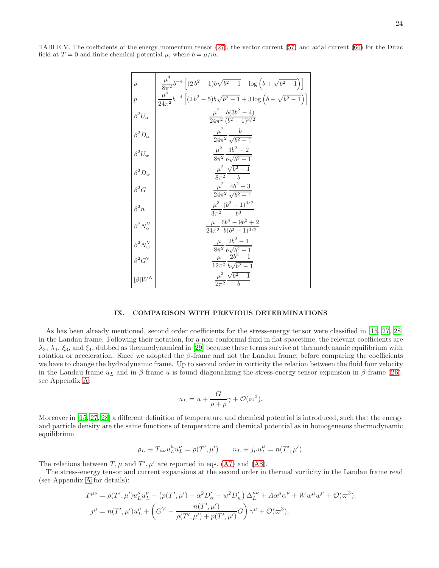<span id="page-23-0"></span>TABLE V. The coefficients of the energy momentum tensor [\(27\)](#page-6-2), the vector current [\(57\)](#page-13-3) and axial current [\(66\)](#page-16-2) for the Dirac field at  $T = 0$  and finite chemical potential  $\mu$ , where  $b = \mu/m$ .

| $\rho$                                                                                                                                                                          | $\frac{\mu^2}{8\pi^2}b^{-4}\left[ (2b^2-1)b\sqrt{b^2-1}-\log\left( b+\sqrt{b^2-1}\right)\right]$   |
|---------------------------------------------------------------------------------------------------------------------------------------------------------------------------------|----------------------------------------------------------------------------------------------------|
| $\overline{p}$                                                                                                                                                                  | $\frac{\mu^4}{24\pi^2}b^{-4}\left[ (2b^2-5)b\sqrt{b^2-1}+3\log\left( b+\sqrt{b^2-1}\right)\right]$ |
| $\beta^2 U_\alpha$                                                                                                                                                              | $\frac{\mu^2}{24\pi^2} \frac{b(3b^2-4)}{(b^2-1)^{3/2}}$                                            |
| . $\int \frac{d^2 D_{\alpha}}{d\alpha}$                                                                                                                                         | $\frac{\mu^2}{24\pi^2}\frac{b}{\sqrt{b^2-1}}$                                                      |
|                                                                                                                                                                                 | $\frac{\mu^2}{8\pi^2} \frac{3b^2 - 2}{b\sqrt{b^2 - 1}}$                                            |
|                                                                                                                                                                                 | $\frac{\mu^2}{8\pi^2}\frac{\sqrt{b^2-1}}{b}$                                                       |
|                                                                                                                                                                                 | $\frac{\mu^2}{24\pi^2} \frac{4b^2-3}{\sqrt{b^2-1}}$                                                |
|                                                                                                                                                                                 |                                                                                                    |
|                                                                                                                                                                                 | $\frac{\mu^3}{3\pi^2}\frac{(b^2-1)^{3/2}}{b^3}$                                                    |
|                                                                                                                                                                                 | $\frac{\mu}{24\pi^2}\frac{6b^4-9b^2+2}{b(b^2-1)^{3/2}}$                                            |
|                                                                                                                                                                                 | $\frac{\mu}{8\pi^2}\frac{2b^2-1}{b\sqrt{b^2-1}}$                                                   |
| $\begin{vmatrix} \beta^2 U_w & & \\ \beta^2 D_w & & \\ \beta^2 G & & \\ \beta^2 n & & \\ \beta^2 n & & \\ \beta^2 N_w^V & & \\ \beta^2 G^V & & \\ \beta  W^A & & \end{vmatrix}$ | $\frac{\mu}{12\pi^2}\frac{\nu\check{b}^2-1}{b\sqrt{b^2-1}}$                                        |
|                                                                                                                                                                                 | $\mu^2$ $\sqrt{b^2 - 1}$<br>$2\pi^2$ b                                                             |

# IX. COMPARISON WITH PREVIOUS DETERMINATIONS

As has been already mentioned, second order coefficients for the stress-energy tensor were classified in [\[15](#page-31-4), [27](#page-31-14), [28](#page-31-15)] in the Landau frame. Following their notation, for a non-conformal fluid in flat spacetime, the relevant coefficients are  $\lambda_3, \lambda_4, \xi_3$ , and  $\xi_4$ , dubbed as thermodynamical in [\[29](#page-31-18)] because these terms survive at thermodynamic equilibrium with rotation or acceleration. Since we adopted the  $\beta$ -frame and not the Landau frame, before comparing the coefficients we have to change the hydrodynamic frame. Up to second order in vorticity the relation between the fluid four velocity in the Landau frame  $u<sub>L</sub>$  and in β-frame u is found diagonalizing the stress-energy tensor expansion in β-frame [\(26\)](#page-6-1), see Appendix [A:](#page-25-0)

$$
u_L = u + \frac{G}{\rho + p}\gamma + \mathcal{O}(\varpi^3).
$$

Moreover in [\[15,](#page-31-4) [27](#page-31-14), [28](#page-31-15)] a different definition of temperature and chemical potential is introduced, such that the energy and particle density are the same functions of temperature and chemical potential as in homogeneous thermodynamic equilibrium

$$
\rho_L \equiv T_{\mu\nu} u_L^{\mu} u_L^{\nu} = \rho(T', \mu') \qquad n_L \equiv j_{\mu} u_L^{\mu} = n(T', \mu').
$$

The relations between  $T, \mu$  and  $T', \mu'$  are reported in eqs. [\(A7\)](#page-26-0) and [\(A8\)](#page-26-1).

The stress-energy tensor and current expansions at the second order in thermal vorticity in the Landau frame read (see Appendix [A](#page-25-0) for details):

$$
T^{\mu\nu} = \rho(T', \mu') u_L^{\mu} u_L^{\nu} - (p(T', \mu') - \alpha^2 D_{\alpha}' - w^2 D_{w}') \Delta_L^{\mu\nu} + A \alpha^{\mu} \alpha^{\nu} + W w^{\mu} w^{\nu} + \mathcal{O}(\varpi^3),
$$
  

$$
j^{\mu} = n(T', \mu') u_L^{\mu} + \left( G^{V} - \frac{n(T', \mu')}{\rho(T', \mu') + p(T', \mu')} G \right) \gamma^{\mu} + \mathcal{O}(\varpi^3),
$$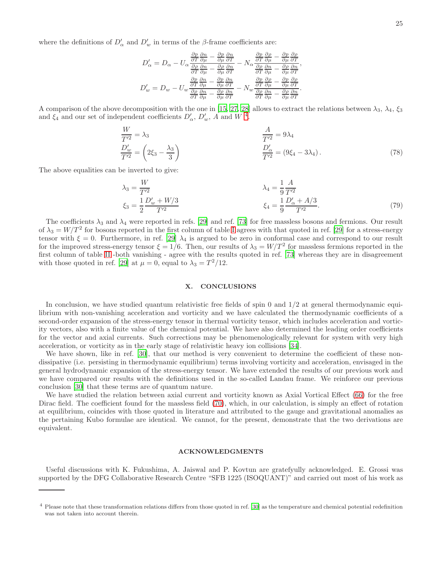$$
D'_{\alpha} = D_{\alpha} - U_{\alpha} \frac{\frac{\partial p}{\partial T} \frac{\partial n}{\partial \mu} - \frac{\partial p}{\partial \mu} \frac{\partial n}{\partial T}}{\frac{\partial p}{\partial \mu} \frac{\partial n}{\partial \mu} - \frac{\partial \rho}{\partial \mu} \frac{\partial p}{\partial T}} - N_{\alpha} \frac{\frac{\partial p}{\partial T} \frac{\partial \rho}{\partial \mu} - \frac{\partial p}{\partial \mu} \frac{\partial n}{\partial T}}{\frac{\partial p}{\partial \mu} \frac{\partial n}{\partial \mu} - \frac{\partial p}{\partial \mu} \frac{\partial n}{\partial T}}
$$

$$
D'_{w} = D_{w} - U_{w} \frac{\frac{\partial p}{\partial T} \frac{\partial n}{\partial \mu} - \frac{\partial p}{\partial \mu} \frac{\partial n}{\partial T}}{\frac{\partial p}{\partial T} \frac{\partial n}{\partial \mu} - \frac{\partial p}{\partial \mu} \frac{\partial n}{\partial T}} - N_{w} \frac{\frac{\partial p}{\partial T} \frac{\partial p}{\partial \mu} - \frac{\partial p}{\partial \mu} \frac{\partial n}{\partial T}}
$$

A comparison of the above decomposition with the one in [\[15,](#page-31-4) [27,](#page-31-14) [28\]](#page-31-15) allows to extract the relations between  $\lambda_3$ ,  $\lambda_4$ ,  $\xi_3$ and  $\xi_4$  $\xi_4$  and our set of independent coefficients  $D'_\n\alpha$ ,  $D'_w$ , A and W<sup>4</sup>.

$$
\frac{W}{T'^2} = \lambda_3
$$
\n
$$
\frac{D'_w}{T'^2} = \left(2\xi_3 - \frac{\lambda_3}{3}\right)
$$
\n
$$
\frac{D'_w}{T'^2} = \left(9\xi_4 - 3\lambda_4\right).
$$
\n(78)

,

<span id="page-24-0"></span>.

The above equalities can be inverted to give:

$$
\lambda_3 = \frac{W}{T^2} \qquad \qquad \lambda_4 = \frac{1}{9} \frac{A}{T^2} \n\xi_3 = \frac{1}{2} \frac{D_w' + W/3}{T^2} \qquad \qquad \xi_4 = \frac{1}{9} \frac{D_\alpha' + A/3}{T^2}.
$$
\n(79)

The coefficients  $\lambda_3$  and  $\lambda_4$  were reported in refs. [\[29](#page-31-18)] and ref. [\[73](#page-32-18)] for free massless bosons and fermions. Our result of  $\lambda_3 = W/T^2$  for bosons reported in the first column of table [I](#page-20-0) agrees with that quoted in ref. [\[29\]](#page-31-18) for a stress-energy tensor with  $\xi = 0$ . Furthermore, in ref. [\[29\]](#page-31-18)  $\lambda_4$  is argued to be zero in conformal case and correspond to our result for the improved stress-energy tensor  $\xi = 1/6$ . Then, our results of  $\lambda_3 = W/T^2$  for massless fermions reported in the first column of table [II](#page-21-0) -both vanishing - agree with the results quoted in ref. [\[73\]](#page-32-18) whereas they are in disagreement with those quoted in ref. [\[29\]](#page-31-18) at  $\mu = 0$ , equal to  $\lambda_3 = T^2/12$ .

# X. CONCLUSIONS

In conclusion, we have studied quantum relativistic free fields of spin 0 and  $1/2$  at general thermodynamic equilibrium with non-vanishing acceleration and vorticity and we have calculated the thermodynamic coefficients of a second-order expansion of the stress-energy tensor in thermal vorticity tensor, which includes acceleration and vorticity vectors, also with a finite value of the chemical potential. We have also determined the leading order coefficients for the vector and axial currents. Such corrections may be phenomenologically relevant for system with very high acceleration, or vorticity as in the early stage of relativistic heavy ion collisions [\[34](#page-31-23)].

We have shown, like in ref. [\[30\]](#page-31-20), that our method is very convenient to determine the coefficient of these nondissipative (i.e. persisting in thermodynamic equilibrium) terms involving vorticity and acceleration, envisaged in the general hydrodynamic expansion of the stress-energy tensor. We have extended the results of our previous work and we have compared our results with the definitions used in the so-called Landau frame. We reinforce our previous conclusion [\[30\]](#page-31-20) that these terms are of quantum nature.

We have studied the relation between axial current and vorticity known as Axial Vortical Effect [\(66\)](#page-16-2) for the free Dirac field. The coefficient found for the massless field [\(70\)](#page-18-0), which, in our calculation, is simply an effect of rotation at equilibrium, coincides with those quoted in literature and attributed to the gauge and gravitational anomalies as the pertaining Kubo formulae are identical. We cannot, for the present, demonstrate that the two derivations are equivalent.

#### ACKNOWLEDGMENTS

Useful discussions with K. Fukushima, A. Jaiswal and P. Kovtun are gratefyully acknowledged. E. Grossi was supported by the DFG Collaborative Research Centre "SFB 1225 (ISOQUANT)" and carried out most of his work as

<span id="page-24-1"></span><sup>4</sup> Please note that these transformation relations differs from those quoted in ref. [\[30\]](#page-31-20) as the temperature and chemical potential redefinition was not taken into account therein.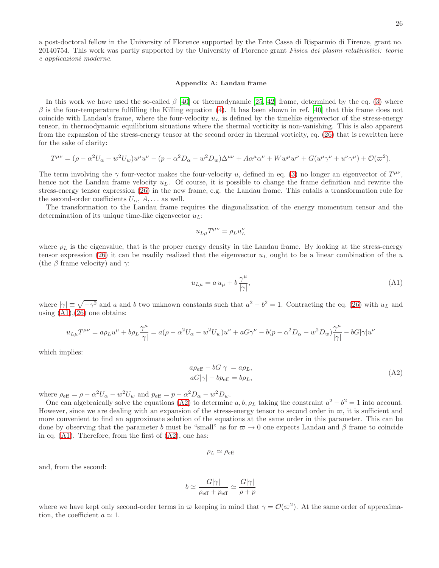a post-doctoral fellow in the University of Florence supported by the Ente Cassa di Risparmio di Firenze, grant no. 20140754. This work was partly supported by the University of Florence grant Fisica dei plasmi relativistici: teoria e applicazioni moderne.

#### <span id="page-25-0"></span>Appendix A: Landau frame

In this work we have used the so-called  $\beta$  [\[40](#page-31-29)] or thermodynamic [\[25](#page-31-12), [42\]](#page-31-30) frame, determined by the eq. [\(3\)](#page-1-3) where  $\beta$  is the four-temperature fulfilling the Killing equation [\(4\)](#page-1-1). It has been shown in ref. [\[40](#page-31-29)] that this frame does not coincide with Landau's frame, where the four-velocity  $u<sub>L</sub>$  is defined by the timelike eigenvector of the stress-energy tensor, in thermodynamic equilibrium situations where the thermal vorticity is non-vanishing. This is also apparent from the expansion of the stress-energy tensor at the second order in thermal vorticity, eq. [\(26\)](#page-6-1) that is rewritten here for the sake of clarity:

$$
T^{\mu\nu} = (\rho - \alpha^2 U_{\alpha} - w^2 U_{w}) u^{\mu} u^{\nu} - (p - \alpha^2 D_{\alpha} - w^2 D_{w}) \Delta^{\mu\nu} + A \alpha^{\mu} \alpha^{\nu} + W w^{\mu} w^{\nu} + G (u^{\mu} \gamma^{\nu} + u^{\nu} \gamma^{\mu}) + \mathcal{O}(\varpi^2).
$$

The term involving the  $\gamma$  four-vector makes the four-velocity u, defined in eq. [\(3\)](#page-1-3) no longer an eigenvector of  $T^{\mu\nu}$ , hence not the Landau frame velocity  $u_L$ . Of course, it is possible to change the frame definition and rewrite the stress-energy tensor expression [\(26\)](#page-6-1) in the new frame, e.g. the Landau frame. This entails a transformation rule for the second-order coefficients  $U_{\alpha}$ ,  $A$ , ... as well.

The transformation to the Landau frame requires the diagonalization of the energy momentum tensor and the determination of its unique time-like eigenvector  $u_L$ :

$$
u_{L\mu}T^{\mu\nu}=\rho_L u_L^\nu
$$

where  $\rho_L$  is the eigenvalue, that is the proper energy density in the Landau frame. By looking at the stress-energy tensor expression [\(26\)](#page-6-1) it can be readily realized that the eigenvector  $u<sub>L</sub>$  ought to be a linear combination of the u (the  $\beta$  frame velocity) and  $\gamma$ :

<span id="page-25-1"></span>
$$
u_{L\mu} = a u_{\mu} + b \frac{\gamma^{\mu}}{|\gamma|},\tag{A1}
$$

where  $|\gamma| \equiv \sqrt{-\gamma^2}$  and a and b two unknown constants such that  $a^2 - b^2 = 1$ . Contracting the eq. [\(26\)](#page-6-1) with  $u<sub>L</sub>$  and using  $(A1),(26)$  $(A1),(26)$  one obtains:

<span id="page-25-2"></span>
$$
u_{L\mu}T^{\mu\nu} = a\rho_L u^{\mu} + b\rho_L \frac{\gamma^{\mu}}{|\gamma|} = a(\rho - \alpha^2 U_{\alpha} - w^2 U_{w})u^{\nu} + aG\gamma^{\nu} - b(p - \alpha^2 D_{\alpha} - w^2 D_{w})\frac{\gamma^{\mu}}{|\gamma|} - bG|\gamma|u^{\nu}
$$

which implies:

$$
a\rho_{\text{eff}} - bG|\gamma| = a\rho_L,
$$
  
\n
$$
aG|\gamma| - bp_{\text{eff}} = b\rho_L,
$$
\n(A2)

where  $\rho_{\text{eff}} = \rho - \alpha^2 U_{\alpha} - w^2 U_{w}$  and  $p_{\text{eff}} = p - \alpha^2 D_{\alpha} - w^2 D_{w}$ .

One can algebraically solve the equations [\(A2\)](#page-25-2) to determine a, b,  $\rho_L$  taking the constraint  $a^2 - b^2 = 1$  into account. However, since we are dealing with an expansion of the stress-energy tensor to second order in  $\varpi$ , it is sufficient and more convenient to find an approximate solution of the equations at the same order in this parameter. This can be done by observing that the parameter b must be "small" as for  $\varpi \to 0$  one expects Landau and β frame to coincide in eq.  $(A1)$ . Therefore, from the first of  $(A2)$ , one has:

$$
\rho_L \simeq \rho_{\text{eff}}
$$

and, from the second:

$$
b \simeq \frac{G|\gamma|}{\rho_{\text{eff}} + p_{\text{eff}}} \simeq \frac{G|\gamma|}{\rho + p}
$$

where we have kept only second-order terms in  $\varpi$  keeping in mind that  $\gamma = \mathcal{O}(\varpi^2)$ . At the same order of approximation, the coefficient  $a \simeq 1$ .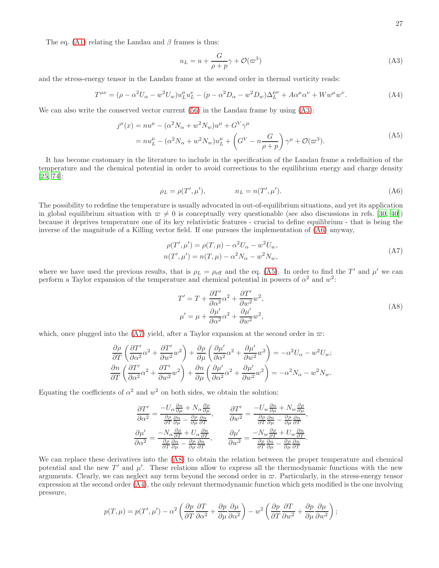The eq. [\(A1\)](#page-25-1) relating the Landau and  $\beta$  frames is thus:

<span id="page-26-5"></span><span id="page-26-4"></span><span id="page-26-2"></span>
$$
u_L = u + \frac{G}{\rho + p} \gamma + \mathcal{O}(\varpi^3)
$$
 (A3)

and the stress-energy tensor in the Landau frame at the second order in thermal vorticity reads:

$$
T^{\mu\nu} = (\rho - \alpha^2 U_\alpha - w^2 U_w) u_L^\mu u_L^\nu - (p - \alpha^2 D_\alpha - w^2 D_w) \Delta_L^{\mu\nu} + A \alpha^\mu \alpha^\nu + W w^\mu w^\nu. \tag{A4}
$$

We can also write the conserved vector current  $(56)$  in the Landau frame by using  $(A3)$ :

$$
j^{\mu}(x) = nu^{\mu} - (\alpha^{2} N_{\alpha} + w^{2} N_{w})u^{\mu} + G^{V} \gamma^{\mu}
$$
  
=  $nu_{L}^{\mu} - (\alpha^{2} N_{\alpha} + w^{2} N_{w})u_{L}^{\mu} + (G^{V} - n \frac{G}{\rho + p}) \gamma^{\mu} + \mathcal{O}(\varpi^{3}).$  (A5)

<span id="page-26-3"></span>It has become customary in the literature to include in the specification of the Landau frame a redefinition of the temperature and the chemical potential in order to avoid corrections to the equilibrium energy and charge density [\[25,](#page-31-12) [74\]](#page-32-19):

$$
\rho_L = \rho(T', \mu'), \qquad n_L = n(T', \mu'). \tag{A6}
$$

The possibility to redefine the temperature is usually advocated in out-of-equilibrium situations, and yet its application in global equilibrium situation with  $\varpi \neq 0$  is conceptually very questionable (see also discussions in refs. [\[30,](#page-31-20) [40\]](#page-31-29)) because it deprives temperature one of its key relativistic features - crucial to define equilibrium - that is being the inverse of the magnitude of a Killing vector field. If one pursues the implementation of [\(A6\)](#page-26-3) anyway,

$$
\rho(T', \mu') = \rho(T, \mu) - \alpha^2 U_{\alpha} - w^2 U_w,
$$
  
\n
$$
n(T', \mu') = n(T, \mu) - \alpha^2 N_{\alpha} - w^2 N_w,
$$
\n(A7)

where we have used the previous results, that is  $\rho_L = \rho_{\text{eff}}$  and the eq. [\(A5\)](#page-26-4). In order to find the T' and  $\mu'$  we can perform a Taylor expansion of the temperature and chemical potential in powers of  $\alpha^2$  and  $w^2$ .

<span id="page-26-1"></span><span id="page-26-0"></span>
$$
T' = T + \frac{\partial T'}{\partial \alpha^2} \alpha^2 + \frac{\partial T'}{\partial w^2} w^2,
$$
  

$$
\mu' = \mu + \frac{\partial \mu'}{\partial \alpha^2} \alpha^2 + \frac{\partial \mu'}{\partial w^2} w^2,
$$
 (A8)

which, once plugged into the [\(A7\)](#page-26-0) yield, after a Taylor expansion at the second order in  $\varpi$ :

$$
\frac{\partial \rho}{\partial T} \left( \frac{\partial T'}{\partial \alpha^2} \alpha^2 + \frac{\partial T'}{\partial w^2} w^2 \right) + \frac{\partial \rho}{\partial \mu} \left( \frac{\partial \mu'}{\partial \alpha^2} \alpha^2 + \frac{\partial \mu'}{\partial w^2} w^2 \right) = -\alpha^2 U_\alpha - w^2 U_w;
$$
  

$$
\frac{\partial n}{\partial T} \left( \frac{\partial T'}{\partial \alpha^2} \alpha^2 + \frac{\partial T'}{\partial w^2} w^2 \right) + \frac{\partial n}{\partial \mu} \left( \frac{\partial \mu'}{\partial \alpha^2} \alpha^2 + \frac{\partial \mu'}{\partial w^2} w^2 \right) = -\alpha^2 N_\alpha - w^2 N_w.
$$

Equating the coefficients of  $\alpha^2$  and  $w^2$  on both sides, we obtain the solution:

$$
\frac{\partial T'}{\partial \alpha^2} = \frac{-U_{\alpha} \frac{\partial n}{\partial \mu} + N_{\alpha} \frac{\partial \rho}{\partial \mu}}{\frac{\partial \rho}{\partial T} \frac{\partial n}{\partial \mu} - \frac{\partial \rho}{\partial \mu} \frac{\partial n}{\partial T}}, \qquad \frac{\partial T'}{\partial w^2} = \frac{-U_w \frac{\partial n}{\partial \mu} + N_w \frac{\partial \rho}{\partial \mu}}{\frac{\partial \rho}{\partial T} \frac{\partial n}{\partial \mu} - \frac{\partial \rho}{\partial \mu} \frac{\partial n}{\partial T}}, \n\frac{\partial \mu'}{\partial \alpha^2} = \frac{-N_{\alpha} \frac{\partial \rho}{\partial T} + U_{\alpha} \frac{\partial n}{\partial T}}{\frac{\partial \rho}{\partial T} \frac{\partial n}{\partial \mu} - \frac{\partial \rho}{\partial \mu} \frac{\partial n}{\partial T}}, \qquad \frac{\partial \mu'}{\partial w^2} = \frac{-N_w \frac{\partial \rho}{\partial T} + U_w \frac{\partial n}{\partial T}}{\frac{\partial \rho}{\partial T} \frac{\partial n}{\partial \mu} - \frac{\partial \rho}{\partial \mu} \frac{\partial n}{\partial T}}.
$$

We can replace these derivatives into the [\(A8\)](#page-26-1) to obtain the relation between the proper temperature and chemical potential and the new  $T'$  and  $\mu'$ . These relations allow to express all the thermodynamic functions with the new arguments. Clearly, we can neglect any term beyond the second order in  $\varpi$ . Particularly, in the stress-energy tensor expression at the second order [\(A4\)](#page-26-5), the only relevant thermodynamic function which gets modified is the one involving pressure,

$$
p(T,\mu) = p(T',\mu') - \alpha^2 \left( \frac{\partial p}{\partial T} \frac{\partial T}{\partial \alpha^2} + \frac{\partial p}{\partial \mu} \frac{\partial \mu}{\partial \alpha^2} \right) - w^2 \left( \frac{\partial p}{\partial T} \frac{\partial T}{\partial w^2} + \frac{\partial p}{\partial \mu} \frac{\partial \mu}{\partial w^2} \right);
$$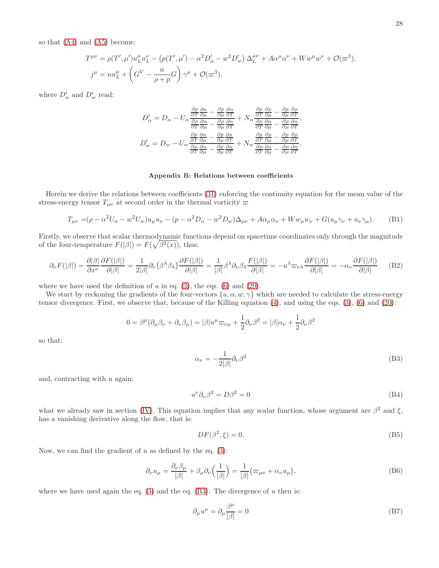so that [\(A4\)](#page-26-5) and [\(A5\)](#page-26-4) become:

$$
T^{\mu\nu} = \rho(T', \mu') u_L^{\mu} u_L^{\nu} - (p(T', \mu') - \alpha^2 D_{\alpha}' - w^2 D_{w}') \Delta_L^{\mu\nu} + A \alpha^{\mu} \alpha^{\nu} + W w^{\mu} w^{\nu} + \mathcal{O}(\varpi^3),
$$
  

$$
j^{\mu} = n u_L^{\mu} + \left(G^V - \frac{n}{\rho + p} G\right) \gamma^{\mu} + \mathcal{O}(\varpi^3),
$$

where  $D'_\alpha$  and  $D'_w$  read:

$$
D'_{\alpha} = D_{\alpha} - U_{\alpha} \frac{\frac{\partial p}{\partial T} \frac{\partial n}{\partial \mu} - \frac{\partial p}{\partial \mu} \frac{\partial n}{\partial T}}{\frac{\partial p}{\partial T} \frac{\partial n}{\partial \mu} - \frac{\partial \rho}{\partial \mu} \frac{\partial n}{\partial T}} + N_{\alpha} \frac{\frac{\partial p}{\partial T} \frac{\partial \rho}{\partial \mu} - \frac{\partial p}{\partial \mu} \frac{\partial \rho}{\partial T}}{\frac{\partial p}{\partial T} \frac{\partial n}{\partial \mu} - \frac{\partial \rho}{\partial \mu} \frac{\partial n}{\partial T}}
$$
  

$$
D'_{w} = D_{w} - U_{w} \frac{\frac{\partial p}{\partial T} \frac{\partial n}{\partial \mu} - \frac{\partial p}{\partial \mu} \frac{\partial n}{\partial T}}{\frac{\partial p}{\partial T} \frac{\partial n}{\partial \mu} - \frac{\partial p}{\partial \mu} \frac{\partial n}{\partial T}} + N_{w} \frac{\frac{\partial p}{\partial T} \frac{\partial \rho}{\partial \mu} - \frac{\partial p}{\partial \mu} \frac{\partial n}{\partial T}}{\frac{\partial p}{\partial T} \frac{\partial n}{\partial \mu} - \frac{\partial p}{\partial \mu} \frac{\partial n}{\partial T}}
$$

#### <span id="page-27-5"></span><span id="page-27-0"></span>Appendix B: Relations between coefficients

Herein we derive the relations between coefficients [\(31\)](#page-7-1) enforcing the continuity equation for the mean value of the stress-energy tensor  $T_{\mu\nu}$  at second order in the thermal vorticity  $\varpi$ 

$$
T_{\mu\nu} = (\rho - \alpha^2 U_{\alpha} - w^2 U_{w}) u_{\mu} u_{\nu} - (p - \alpha^2 D_{\alpha} - w^2 D_{w}) \Delta_{\mu\nu} + A \alpha_{\mu} \alpha_{\nu} + W w_{\mu} w_{\nu} + G(u_{\mu} \gamma_{\nu} + u_{\nu} \gamma_{\mu}).
$$
 (B1)

Firstly, we observe that scalar thermodynamic functions depend on spacetime coordinates only through the magnitude of the four-temperature  $F(|\beta|) = F(\sqrt{\beta^2(x)})$ , thus:

$$
\partial_{\nu} F(|\beta|) = \frac{\partial |\beta|}{\partial x^{\nu}} \frac{\partial F(|\beta|)}{\partial |\beta|} = \frac{1}{2|\beta|} \partial_{\nu} (\beta^{\lambda} \beta_{\lambda}) \frac{\partial F(|\beta|)}{\partial |\beta|} = \frac{1}{|\beta|} \beta^{\lambda} \partial_{\nu} \beta_{\lambda} \frac{F(|\beta|)}{\partial |\beta|} = -u^{\lambda} \varpi_{\nu \lambda} \frac{\partial F(|\beta|)}{\partial |\beta|} = -\alpha_{\nu} \frac{\partial F(|\beta|)}{\partial |\beta|} \tag{B2}
$$

where we have used the definition of  $u$  in eq. [\(3\)](#page-1-3), the eqs. [\(6\)](#page-2-4) and [\(20\)](#page-4-3).

We start by reckoning the gradients of the four-vectors  $\{u, \alpha, w, \gamma\}$  which are needed to calculate the stress-energy tensor divergence. First, we observe that, because of the Killing equation [\(4\)](#page-1-1), and using the eqs. [\(3\)](#page-1-3), [\(6\)](#page-2-4) and [\(20\)](#page-4-3):

$$
0 = \beta^{\mu}(\partial_{\mu}\beta_{\nu} + \partial_{\nu}\beta_{\mu}) = |\beta|u^{\mu}\varpi_{\nu\mu} + \frac{1}{2}\partial_{\nu}\beta^{2} = |\beta|\alpha_{\nu} + \frac{1}{2}\partial_{\nu}\beta^{2}
$$

<span id="page-27-1"></span>so that:

$$
\alpha_{\nu} = -\frac{1}{2|\beta|} \partial_{\nu} \beta^2 \tag{B3}
$$

,

<span id="page-27-4"></span>.

and, contracting with  $u$  again:

<span id="page-27-2"></span>
$$
u^{\nu}\partial_{\nu}\beta^2 = D\beta^2 = 0\tag{B4}
$$

what we already saw in section [\(IV\)](#page-4-4). This equation implies that any scalar function, whose argument are  $\beta^2$  and  $\xi$ , has a vanishing derivative along the flow, that is:

<span id="page-27-7"></span><span id="page-27-3"></span>
$$
DF(\beta^2, \xi) = 0. \tag{B5}
$$

Now, we can find the gradient of  $u$  as defined by the eq. [\(3\)](#page-1-3):

$$
\partial_{\nu} u_{\mu} = \frac{\partial_{\nu} \beta_{\mu}}{|\beta|} + \beta_{\mu} \partial_{\nu} \left(\frac{1}{|\beta|}\right) = \frac{1}{|\beta|} \left(\varpi_{\mu\nu} + \alpha_{\nu} u_{\mu}\right),\tag{B6}
$$

where we have used again the eq.  $(3)$  and the eq.  $(B3)$ . The divergence of u then is:

<span id="page-27-6"></span>
$$
\partial_{\mu}u^{\mu} = \partial_{\mu}\frac{\beta^{\mu}}{|\beta|} = 0
$$
\n(B7)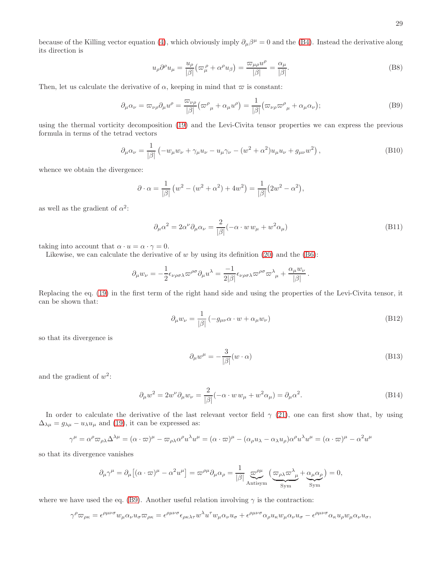<span id="page-28-5"></span>because of the Killing vector equation [\(4\)](#page-1-1), which obviously imply  $\partial_\mu\beta^\mu=0$  and the [\(B4\)](#page-27-2). Instead the derivative along its direction is

<span id="page-28-0"></span>
$$
u_{\rho}\partial^{\rho}u_{\mu} = \frac{u_{\rho}}{|\beta|} \left(\varpi^{\rho}_{\mu} + \alpha^{\rho}u_{\beta}\right) = \frac{\varpi_{\mu\rho}u^{\rho}}{|\beta|} = \frac{\alpha_{\mu}}{|\beta|}.
$$
 (B8)

Then, let us calculate the derivative of  $\alpha$ , keeping in mind that  $\varpi$  is constant:

$$
\partial_{\mu}\alpha_{\nu} = \varpi_{\nu\rho}\partial_{\mu}u^{\rho} = \frac{\varpi_{\nu\rho}}{|\beta|}(\varpi^{\rho}_{\mu} + \alpha_{\mu}u^{\rho}) = \frac{1}{|\beta|}(\varpi_{\nu\rho}\varpi^{\rho}_{\mu} + \alpha_{\mu}\alpha_{\nu});
$$
\n(B9)

using the thermal vorticity decomposition [\(19\)](#page-4-1) and the Levi-Civita tensor properties we can express the previous formula in terms of the tetrad vectors

<span id="page-28-3"></span>
$$
\partial_{\mu}\alpha_{\nu} = \frac{1}{|\beta|} \left( -w_{\mu}w_{\nu} + \gamma_{\mu}u_{\nu} - u_{\mu}\gamma_{\nu} - (w^2 + \alpha^2)u_{\mu}u_{\nu} + g_{\mu\nu}w^2 \right),
$$
\n(B10)

whence we obtain the divergence:

<span id="page-28-1"></span>
$$
\partial \cdot \alpha = \frac{1}{|\beta|} (w^2 - (w^2 + \alpha^2) + 4w^2) = \frac{1}{|\beta|} (2w^2 - \alpha^2),
$$

as well as the gradient of  $\alpha^2$ :

$$
\partial_{\mu}\alpha^{2} = 2\alpha^{\nu}\partial_{\mu}\alpha_{\nu} = \frac{2}{|\beta|}(-\alpha \cdot w w_{\mu} + w^{2}\alpha_{\mu})
$$
\n(B11)

taking into account that  $\alpha \cdot u = \alpha \cdot \gamma = 0$ .

Likewise, we can calculate the derivative of w by using its definition  $(20)$  and the  $(B6)$ :

<span id="page-28-4"></span>
$$
\partial_{\mu}w_{\nu} = -\frac{1}{2}\epsilon_{\nu\rho\sigma\lambda}\varpi^{\rho\sigma}\partial_{\mu}u^{\lambda} = -\frac{1}{2|\beta|}\epsilon_{\nu\rho\sigma\lambda}\varpi^{\rho\sigma}\varpi^{\lambda}_{\mu} + \frac{\alpha_{\mu}w_{\nu}}{|\beta|}.
$$

Replacing the eq. [\(19\)](#page-4-1) in the first term of the right hand side and using the properties of the Levi-Civita tensor, it can be shown that:

$$
\partial_{\mu} w_{\nu} = \frac{1}{|\beta|} \left( -g_{\mu\nu} \alpha \cdot w + \alpha_{\mu} w_{\nu} \right) \tag{B12}
$$

so that its divergence is

$$
\partial_{\mu}w^{\mu} = -\frac{3}{|\beta|}(w \cdot \alpha) \tag{B13}
$$

and the gradient of  $w^2$ :

<span id="page-28-6"></span><span id="page-28-2"></span>
$$
\partial_{\mu}w^{2} = 2w^{\nu}\partial_{\mu}w_{\nu} = \frac{2}{|\beta|}(-\alpha \cdot w w_{\mu} + w^{2}\alpha_{\mu}) = \partial_{\mu}\alpha^{2}.
$$
 (B14)

In order to calculate the derivative of the last relevant vector field  $\gamma$  [\(21\)](#page-5-2), one can first show that, by using  $\Delta_{\lambda\mu} = g_{\lambda\mu} - u_{\lambda}u_{\mu}$  and [\(19\)](#page-4-1), it can be expressed as:

$$
\gamma^{\mu} = \alpha^{\rho} \varpi_{\rho\lambda} \Delta^{\lambda\mu} = (\alpha \cdot \varpi)^{\mu} - \varpi_{\rho\lambda} \alpha^{\rho} u^{\lambda} u^{\mu} = (\alpha \cdot \varpi)^{\mu} - (\alpha_{\rho} u_{\lambda} - \alpha_{\lambda} u_{\rho}) \alpha^{\rho} u^{\lambda} u^{\mu} = (\alpha \cdot \varpi)^{\mu} - \alpha^2 u^{\mu}
$$

so that its divergence vanishes

$$
\partial_{\mu}\gamma^{\mu} = \partial_{\mu}\left[ (\alpha \cdot \varpi)^{\mu} - \alpha^{2} u^{\mu} \right] = \varpi^{\rho \mu} \partial_{\mu} \alpha_{\rho} = \frac{1}{|\beta|} \underbrace{\varpi^{\rho \mu}}_{\text{Antisym}} \left( \underbrace{\varpi_{\rho \lambda} \varpi^{\lambda}_{\mu}}_{\text{Sym}} + \underbrace{\alpha_{\mu} \alpha_{\rho}}_{\text{Sym}} \right) = 0,
$$

where we have used the eq. [\(B9\)](#page-28-0). Another useful relation involving  $\gamma$  is the contraction:

$$
\gamma^{\rho}\varpi_{\rho\kappa} = \epsilon^{\rho\mu\nu\sigma}w_{\mu}\alpha_{\nu}u_{\sigma}\varpi_{\rho\kappa} = \epsilon^{\rho\mu\nu\sigma}\epsilon_{\rho\kappa\lambda\tau}w^{\lambda}u^{\tau}w_{\mu}\alpha_{\nu}u_{\sigma} + \epsilon^{\rho\mu\nu\sigma}\alpha_{\rho}u_{\kappa}w_{\mu}\alpha_{\nu}u_{\sigma} - \epsilon^{\rho\mu\nu\sigma}\alpha_{\kappa}u_{\rho}w_{\mu}\alpha_{\nu}u_{\sigma},
$$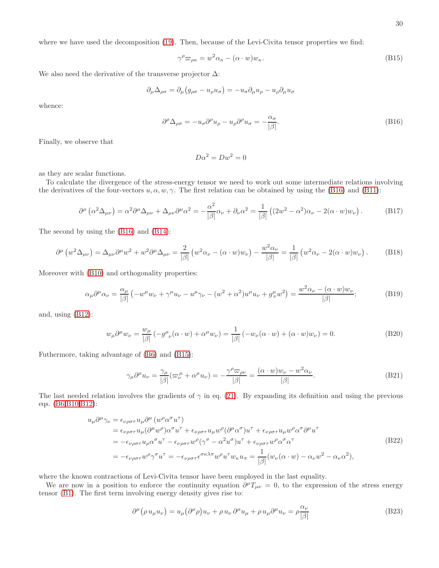where we have used the decomposition [\(19\)](#page-4-1). Then, because of the Levi-Civita tensor properties we find:

<span id="page-29-1"></span>
$$
\gamma^{\rho} \varpi_{\rho \kappa} = w^2 \alpha_{\kappa} - (\alpha \cdot w) w_{\kappa}.
$$
\n(B15)

We also need the derivative of the transverse projector  $\Delta$ :

$$
\partial_{\mu}\Delta_{\rho\sigma} = \partial_{\mu}\left(g_{\rho\sigma} - u_{\rho}u_{\sigma}\right) = -u_{\sigma}\partial_{\mu}u_{\rho} - u_{\rho}\partial_{\mu}u_{\sigma}
$$

<span id="page-29-0"></span>whence:

$$
\partial^{\rho} \Delta_{\rho \sigma} = -u_{\sigma} \partial^{\rho} u_{\rho} - u_{\rho} \partial^{\rho} u_{\sigma} = -\frac{\alpha_{\sigma}}{|\beta|}.
$$
\n(B16)

Finally, we observe that

<span id="page-29-3"></span><span id="page-29-2"></span>
$$
D\alpha^2 = Dw^2 = 0
$$

as they are scalar functions.

To calculate the divergence of the stress-energy tensor we need to work out some intermediate relations involving the derivatives of the four-vectors  $u, \alpha, w, \gamma$ . The first relation can be obtained by using the [\(B16\)](#page-29-0) and [\(B11\)](#page-28-1):

$$
\partial^{\mu} \left( \alpha^{2} \Delta_{\mu \nu} \right) = \alpha^{2} \partial^{\mu} \Delta_{\mu \nu} + \Delta_{\mu \nu} \partial^{\mu} \alpha^{2} = -\frac{\alpha^{2}}{|\beta|} \alpha_{\nu} + \partial_{\nu} \alpha^{2} = \frac{1}{|\beta|} \left( (2w^{2} - \alpha^{2}) \alpha_{\nu} - 2(\alpha \cdot w) w_{\nu} \right). \tag{B17}
$$

The second by using the [\(B16\)](#page-29-0) and [\(B14\)](#page-28-2):

$$
\partial^{\mu} \left( w^{2} \Delta_{\mu \nu} \right) = \Delta_{\mu \nu} \partial^{\mu} w^{2} + w^{2} \partial^{\mu} \Delta_{\mu \nu} = \frac{2}{|\beta|} \left( w^{2} \alpha_{\nu} - (\alpha \cdot w) w_{\nu} \right) - \frac{w^{2} \alpha_{\nu}}{|\beta|} = \frac{1}{|\beta|} \left( w^{2} \alpha_{\nu} - 2(\alpha \cdot w) w_{\nu} \right). \tag{B18}
$$

Moreover with [\(B10\)](#page-28-3) and orthogonality properties:

$$
\alpha_{\mu}\partial^{\mu}\alpha_{\nu} = \frac{\alpha_{\mu}}{|\beta|} \left( -w^{\mu}w_{\nu} + \gamma^{\mu}u_{\nu} - u^{\mu}\gamma_{\nu} - (w^2 + \alpha^2)u^{\mu}u_{\nu} + g^{\mu}_{\nu}w^2 \right) = \frac{w^2\alpha_{\nu} - (\alpha \cdot w)w_{\nu}}{|\beta|};
$$
\n(B19)

and, using [\(B12\)](#page-28-4):

<span id="page-29-5"></span><span id="page-29-4"></span>
$$
w_{\mu}\partial^{\mu}w_{\nu} = \frac{w_{\mu}}{|\beta|}(-g^{\mu}_{\ \nu}(\alpha \cdot w) + \alpha^{\mu}w_{\nu}) = \frac{1}{|\beta|}(-w_{\nu}(\alpha \cdot w) + (\alpha \cdot w)w_{\nu}) = 0.
$$
 (B20)

Futhermore, taking advantage of [\(B6\)](#page-27-3) and [\(B15\)](#page-29-1):

<span id="page-29-6"></span>
$$
\gamma_{\mu}\partial^{\mu}u_{\nu} = \frac{\gamma_{\mu}}{|\beta|}(\varpi_{\nu}^{\mu} + \alpha^{\mu}u_{\nu}) = -\frac{\gamma^{\rho}\varpi_{\rho\nu}}{|\beta|} = \frac{(\alpha \cdot w)w_{\nu} - w^{2}\alpha_{\nu}}{|\beta|}.
$$
\n(B21)

The last needed relation involves the gradients of  $\gamma$  in eq. [\(21\)](#page-5-2). By expanding its definition and using the previous eqs. [\(B6](#page-27-3)[,B10](#page-28-3)[,B12\)](#page-28-4):

<span id="page-29-7"></span>
$$
u_{\mu}\partial^{\mu}\gamma_{\nu} = \epsilon_{\nu\rho\sigma\tau}u_{\mu}\partial^{\mu}(w^{\rho}\alpha^{\sigma}u^{\tau})
$$
  
\n
$$
= \epsilon_{\nu\rho\sigma\tau}u_{\mu}(\partial^{\mu}w^{\rho})\alpha^{\sigma}u^{\tau} + \epsilon_{\nu\rho\sigma\tau}u_{\mu}w^{\rho}(\partial^{\mu}\alpha^{\sigma})u^{\tau} + \epsilon_{\nu\rho\sigma\tau}u_{\mu}w^{\rho}\alpha^{\sigma}\partial^{\mu}u^{\tau}
$$
  
\n
$$
= -\epsilon_{\nu\rho\sigma\tau}u_{\rho}\alpha^{\sigma}u^{\tau} - \epsilon_{\nu\rho\sigma\tau}w^{\rho}(\gamma^{\sigma} - \alpha^{2}u^{\sigma})u^{\tau} + \epsilon_{\nu\rho\sigma\tau}w^{\rho}\alpha^{\sigma}\alpha^{\tau}
$$
  
\n
$$
= -\epsilon_{\nu\rho\sigma\tau}w^{\rho}\gamma^{\sigma}u^{\tau} = -\epsilon_{\nu\rho\sigma\tau}\epsilon^{\sigma\kappa\lambda\pi}w^{\rho}u^{\tau}w_{\kappa}u_{\pi} = \frac{1}{|\beta|}(w_{\nu}(\alpha \cdot w) - \alpha_{\nu}w^{2} - \alpha_{\nu}\alpha^{2}),
$$
\n(B22)

where the known contractions of Levi-Civita tensor have been employed in the last equality.

We are now in a position to enforce the continuity equation  $\partial^{\mu}T_{\mu\nu} = 0$ , to the expression of the stress energy tensor [\(B1\)](#page-27-4). The first term involving energy density gives rise to:

<span id="page-29-8"></span>
$$
\partial^{\mu}(\rho u_{\mu}u_{\nu}) = u_{\mu}(\partial^{\mu}\rho)u_{\nu} + \rho u_{\nu}\partial^{\mu}u_{\mu} + \rho u_{\mu}\partial^{\mu}u_{\nu} = \rho \frac{\alpha_{\nu}}{|\beta|}
$$
(B23)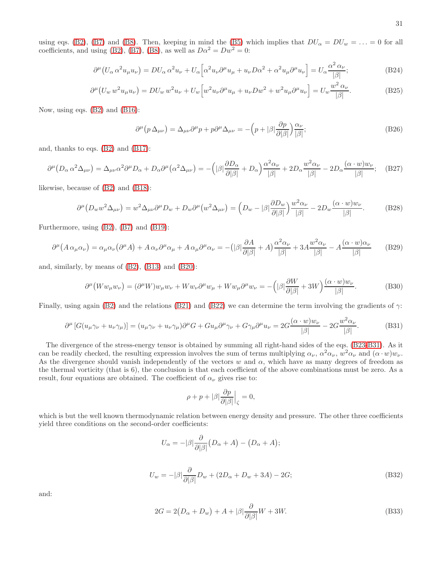using eqs. [\(B2\)](#page-27-5), [\(B7\)](#page-27-6) and [\(B8\)](#page-28-5). Then, keeping in mind the [\(B5\)](#page-27-7) which implies that  $DU_{\alpha} = DU_w = \ldots = 0$  for all coefficients, and using [\(B2\)](#page-27-5), [\(B7\)](#page-27-6), [\(B8\)](#page-28-5), as well as  $D\alpha^2 = Dw^2 = 0$ :

$$
\partial^{\mu} \left( U_{\alpha} \alpha^2 u_{\mu} u_{\nu} \right) = D U_{\alpha} \alpha^2 u_{\nu} + U_{\alpha} \left[ \alpha^2 u_{\nu} \partial^{\mu} u_{\mu} + u_{\nu} D \alpha^2 + \alpha^2 u_{\mu} \partial^{\mu} u_{\nu} \right] = U_{\alpha} \frac{\alpha^2 \alpha_{\nu}}{|\beta|};
$$
\n(B24)

$$
\partial^{\mu} \left( U_w w^2 u_{\mu} u_{\nu} \right) = D U_w w^2 u_{\nu} + U_w \left[ w^2 u_{\nu} \partial^{\mu} u_{\mu} + u_{\nu} D w^2 + w^2 u_{\mu} \partial^{\mu} u_{\nu} \right] = U_w \frac{w^2 \alpha_{\nu}}{|\beta|}.
$$
 (B25)

Now, using eqs. [\(B2\)](#page-27-5) and [\(B16\)](#page-29-0):

$$
\partial^{\mu} (p \Delta_{\mu\nu}) = \Delta_{\mu\nu} \partial^{\mu} p + p \partial^{\mu} \Delta_{\mu\nu} = -\left(p + |\beta| \frac{\partial p}{\partial |\beta|}\right) \frac{\alpha_{\nu}}{|\beta|};\tag{B26}
$$

and, thanks to eqs. [\(B2\)](#page-27-5) and [\(B17\)](#page-29-2):

$$
\partial^{\mu} (D_{\alpha} \alpha^{2} \Delta_{\mu \nu}) = \Delta_{\mu \nu} \alpha^{2} \partial^{\mu} D_{\alpha} + D_{\alpha} \partial^{\mu} (\alpha^{2} \Delta_{\mu \nu}) = -\left( |\beta| \frac{\partial D_{\alpha}}{\partial |\beta|} + D_{\alpha} \right) \frac{\alpha^{2} \alpha_{\nu}}{|\beta|} + 2D_{\alpha} \frac{w^{2} \alpha_{\nu}}{|\beta|} - 2D_{\alpha} \frac{(\alpha \cdot w) w_{\nu}}{|\beta|}; \quad (B27)
$$

likewise, because of [\(B2\)](#page-27-5) and [\(B18\)](#page-29-3):

$$
\partial^{\mu} \left( D_{w} w^{2} \Delta_{\mu \nu} \right) = w^{2} \Delta_{\mu \nu} \partial^{\mu} D_{w} + D_{w} \partial^{\mu} \left( w^{2} \Delta_{\mu \nu} \right) = \left( D_{w} - |\beta| \frac{\partial D_{w}}{\partial |\beta|} \right) \frac{w^{2} \alpha_{\nu}}{|\beta|} - 2D_{w} \frac{(\alpha \cdot w) w_{\nu}}{|\beta|}. \tag{B28}
$$

Furthermore, using [\(B2\)](#page-27-5), [\(B7\)](#page-27-6) and [\(B19\)](#page-29-4):

$$
\partial^{\mu} (A \alpha_{\mu} \alpha_{\nu}) = \alpha_{\mu} \alpha_{\nu} (\partial^{\mu} A) + A \alpha_{\nu} \partial^{\mu} \alpha_{\mu} + A \alpha_{\mu} \partial^{\mu} \alpha_{\nu} = -(|\beta| \frac{\partial A}{\partial |\beta|} + A) \frac{\alpha^2 \alpha_{\nu}}{|\beta|} + 3A \frac{w^2 \alpha_{\nu}}{|\beta|} - A \frac{(\alpha \cdot w) \alpha_{\nu}}{|\beta|}
$$
(B29)

and, similarly, by means of [\(B2\)](#page-27-5), [\(B13\)](#page-28-6) and [\(B20\)](#page-29-5):

$$
\partial^{\mu} \left( W w_{\mu} w_{\nu} \right) = (\partial^{\mu} W) w_{\mu} w_{\nu} + W w_{\nu} \partial^{\mu} w_{\mu} + W w_{\mu} \partial^{\mu} w_{\nu} = -\left( |\beta| \frac{\partial W}{\partial |\beta|} + 3W \right) \frac{(\alpha \cdot w) w_{\nu}}{|\beta|}.
$$
 (B30)

Finally, using again [\(B2\)](#page-27-5) and the relations [\(B21\)](#page-29-6) and [\(B22\)](#page-29-7) we can determine the term involving the gradients of  $\gamma$ :

$$
\partial^{\mu} \left[ G(u_{\mu} \gamma_{\nu} + u_{\nu} \gamma_{\mu}) \right] = (u_{\mu} \gamma_{\nu} + u_{\nu} \gamma_{\mu}) \partial^{\mu} G + G u_{\mu} \partial^{\mu} \gamma_{\nu} + G \gamma_{\mu} \partial^{\mu} u_{\nu} = 2G \frac{(\alpha \cdot w) w_{\nu}}{|\beta|} - 2G \frac{w^2 \alpha_{\nu}}{|\beta|}. \tag{B31}
$$

The divergence of the stress-energy tensor is obtained by summing all right-hand sides of the eqs. [\(B23-](#page-29-8)[B31\)](#page-30-0). As it can be readily checked, the resulting expression involves the sum of terms multiplying  $\alpha_{\nu}$ ,  $\alpha^2 \alpha_{\nu}$ ,  $w^2 \alpha_{\nu}$  and  $(\alpha \cdot w)w_{\nu}$ . As the divergence should vanish independently of the vectors w and  $\alpha$ , which have as many degrees of freedom as the thermal vorticity (that is 6), the conclusion is that each coefficient of the above combinations must be zero. As a result, four equations are obtained. The coefficient of  $\alpha_{\nu}$  gives rise to:

<span id="page-30-0"></span>
$$
\rho + p + |\beta| \frac{\partial p}{\partial |\beta|} \Big|_{\zeta} = 0,
$$

which is but the well known thermodynamic relation between energy density and pressure. The other three coefficients yield three conditions on the second-order coefficients:

$$
U_{\alpha} = -|\beta| \frac{\partial}{\partial |\beta|} (D_{\alpha} + A) - (D_{\alpha} + A);
$$
  
\n
$$
U_{\alpha} = -|\beta| \frac{\partial}{\partial D_{\alpha}} D_{\alpha} + (2D_{\alpha} + D_{\alpha} + 3A) - 2G.
$$
 (B32)

$$
U_w = -|\beta| \frac{\partial}{\partial |\beta|} D_w + (2D_\alpha + D_w + 3A) - 2G; \tag{B32}
$$

<span id="page-30-2"></span><span id="page-30-1"></span>and:

$$
2G = 2(D_{\alpha} + D_w) + A + |\beta| \frac{\partial}{\partial |\beta|} W + 3W.
$$
 (B33)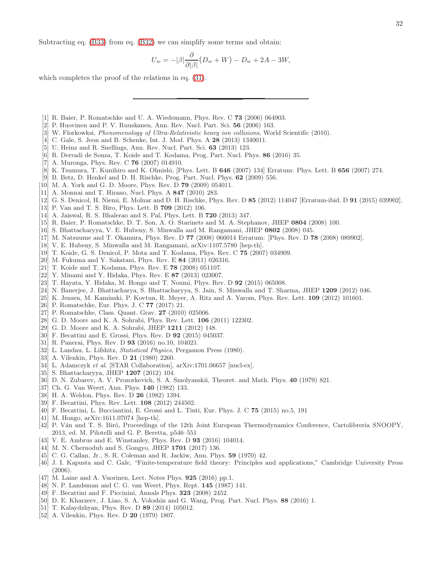$$
U_w = -|\beta| \frac{\partial}{\partial |\beta|} (D_w + W) - D_w + 2A - 3W,
$$

which completes the proof of the relations in eq.  $(31)$ .

- <span id="page-31-0"></span>[1] R. Baier, P. Romatschke and U. A. Wiedemann, Phys. Rev. C 73 (2006) 064903.
- [2] P. Huovinen and P. V. Ruuskanen, Ann. Rev. Nucl. Part. Sci. 56 (2006) 163.
- [3] W. Florkowksi, Phenomenology of Ultra-Relativistic heavy ion collisions, World Scientific (2010).
- [4] C. Gale, S. Jeon and B. Schenke, Int. J. Mod. Phys. A 28 (2013) 1340011.
- [5] U. Heinz and R. Snellings, Ann. Rev. Nucl. Part. Sci. 63 (2013) 123.
- <span id="page-31-1"></span>[6] R. Derradi de Souza, T. Koide and T. Kodama, Prog. Part. Nucl. Phys. 86 (2016) 35.
- <span id="page-31-2"></span>[7] A. Muronga, Phys. Rev. C 76 (2007) 014910.
- [8] K. Tsumura, T. Kunihiro and K. Ohnishi, [Phys. Lett. B 646 (2007) 134] Erratum: Phys. Lett. B 656 (2007) 274.
- [9] B. Betz, D. Henkel and D. H. Rischke, Prog. Part. Nucl. Phys. 62 (2009) 556.
- <span id="page-31-16"></span>[10] M. A. York and G. D. Moore, Phys. Rev. D 79 (2009) 054011.
- [11] A. Monnai and T. Hirano, Nucl. Phys. A 847 (2010) 283.
- [12] G. S. Denicol, H. Niemi, E. Molnar and D. H. Rischke, Phys. Rev. D 85 (2012) 114047 [Erratum-ibid. D 91 (2015) 039902].
- [13] P. Van and T. S. Biro, Phys. Lett. B 709 (2012) 106.
- <span id="page-31-3"></span>[14] A. Jaiswal, R. S. Bhalerao and S. Pal, Phys. Lett. B 720 (2013) 347.
- <span id="page-31-4"></span>[15] R. Baier, P. Romatschke, D. T. Son, A. O. Starinets and M. A. Stephanov, JHEP 0804 (2008) 100.
- <span id="page-31-17"></span>[16] S. Bhattacharyya, V. E. Hubeny, S. Minwalla and M. Rangamani, JHEP 0802 (2008) 045.
- [17] M. Natsuume and T. Okamura, Phys. Rev. D 77 (2008) 066014 Erratum: [Phys. Rev. D 78 (2008) 089902].
- <span id="page-31-5"></span>[18] V. E. Hubeny, S. Minwalla and M. Rangamani, arXiv:1107.5780 [hep-th].
- <span id="page-31-6"></span>[19] T. Koide, G. S. Denicol, P. Mota and T. Kodama, Phys. Rev. C 75 (2007) 034909.
- <span id="page-31-7"></span>[20] M. Fukuma and Y. Sakatani, Phys. Rev. E 84 (2011) 026316.
- <span id="page-31-8"></span>[21] T. Koide and T. Kodama, Phys. Rev. E 78 (2008) 051107.
- <span id="page-31-9"></span>[22] Y. Minami and Y. Hidaka, Phys. Rev. E 87 (2013) 023007.
- <span id="page-31-10"></span>[23] T. Hayata, Y. Hidaka, M. Hongo and T. Noumi, Phys. Rev. D 92 (2015) 065008.
- <span id="page-31-11"></span>[24] N. Banerjee, J. Bhattacharya, S. Bhattacharyya, S. Jain, S. Minwalla and T. Sharma, JHEP 1209 (2012) 046.
- <span id="page-31-12"></span>[25] K. Jensen, M. Kaminski, P. Kovtun, R. Meyer, A. Ritz and A. Yarom, Phys. Rev. Lett. 109 (2012) 101601.
- <span id="page-31-13"></span>[26] P. Romatschke, Eur. Phys. J. C 77 (2017) 21.
- <span id="page-31-14"></span>[27] P. Romatschke, Class. Quant. Grav. 27 (2010) 025006.
- <span id="page-31-15"></span>[28] G. D. Moore and K. A. Sohrabi, Phys. Rev. Lett. **106** (2011) 122302.
- <span id="page-31-18"></span>[29] G. D. Moore and K. A. Sohrabi, JHEP 1211 (2012) 148.
- <span id="page-31-20"></span>[30] F. Becattini and E. Grossi, Phys. Rev. D **92** (2015) 045037.
- <span id="page-31-19"></span>[31] R. Panerai, Phys. Rev. D 93 (2016) no.10, 104021.
- <span id="page-31-21"></span>[32] L. Landau, L. Lifshitz, Statistical Physics, Pergamon Press (1980).
- <span id="page-31-22"></span>[33] A. Vilenkin, Phys. Rev. D **21** (1980) 2260.
- <span id="page-31-23"></span>[34] L. Adamczyk et al. [STAR Collaboration], arXiv:1701.06657 [nucl-ex].
- <span id="page-31-24"></span>[35] S. Bhattacharyya, JHEP **1207** (2012) 104.
- <span id="page-31-25"></span>[36] D. N. Zubarev, A. V. Prozorkevich, S. A. Smolyanskii, Theoret. and Math. Phys. 40 (1979) 821.
- [37] Ch. G. Van Weert, Ann. Phys. **140** (1982) 133.
- <span id="page-31-26"></span>[38] H. A. Weldon, Phys. Rev. D 26 (1982) 1394.
- <span id="page-31-27"></span>[39] F. Becattini, Phys. Rev. Lett. 108 (2012) 244502.
- <span id="page-31-29"></span>[40] F. Becattini, L. Bucciantini, E. Grossi and L. Tinti, Eur. Phys. J. C 75 (2015) no.5, 191
- <span id="page-31-28"></span>[41] M. Hongo, arXiv:1611.07074 [hep-th].
- <span id="page-31-30"></span>[42] P. Ván and T. S. Biró, Proceedings of the 12th Joint European Thermodynamics Conference, Cartolibreria SNOOPY, 2013, ed. M. Pilotelli and G. P. Beretta, p546–551
- <span id="page-31-31"></span>[43] V. E. Ambrus and E. Winstanley, Phys. Rev. D 93 (2016) 104014.
- <span id="page-31-32"></span>[44] M. N. Chernodub and S. Gongyo, JHEP **1701** (2017) 136.
- <span id="page-31-33"></span>[45] C. G. Callan, Jr., S. R. Coleman and R. Jackiw, Ann. Phys. 59 (1970) 42.
- <span id="page-31-34"></span>[46] J. I. Kapusta and C. Gale, "Finite-temperature field theory: Principles and applications," Cambridge University Press (2006).
- <span id="page-31-35"></span>[47] M. Laine and A. Vuorinen, Lect. Notes Phys. 925 (2016) pp.1.
- <span id="page-31-36"></span>[48] N. P. Landsman and C. G. van Weert, Phys. Rept. 145 (1987) 141.
- <span id="page-31-37"></span>[49] F. Becattini and F. Piccinini, Annals Phys. 323 (2008) 2452.
- <span id="page-31-38"></span>[50] D. E. Kharzeev, J. Liao, S. A. Voloshin and G. Wang, Prog. Part. Nucl. Phys. 88 (2016) 1.
- <span id="page-31-39"></span>[51] T. Kalaydzhyan, Phys. Rev. D 89 (2014) 105012.
- <span id="page-31-40"></span>[52] A. Vilenkin, Phys. Rev. D **20** (1979) 1807.